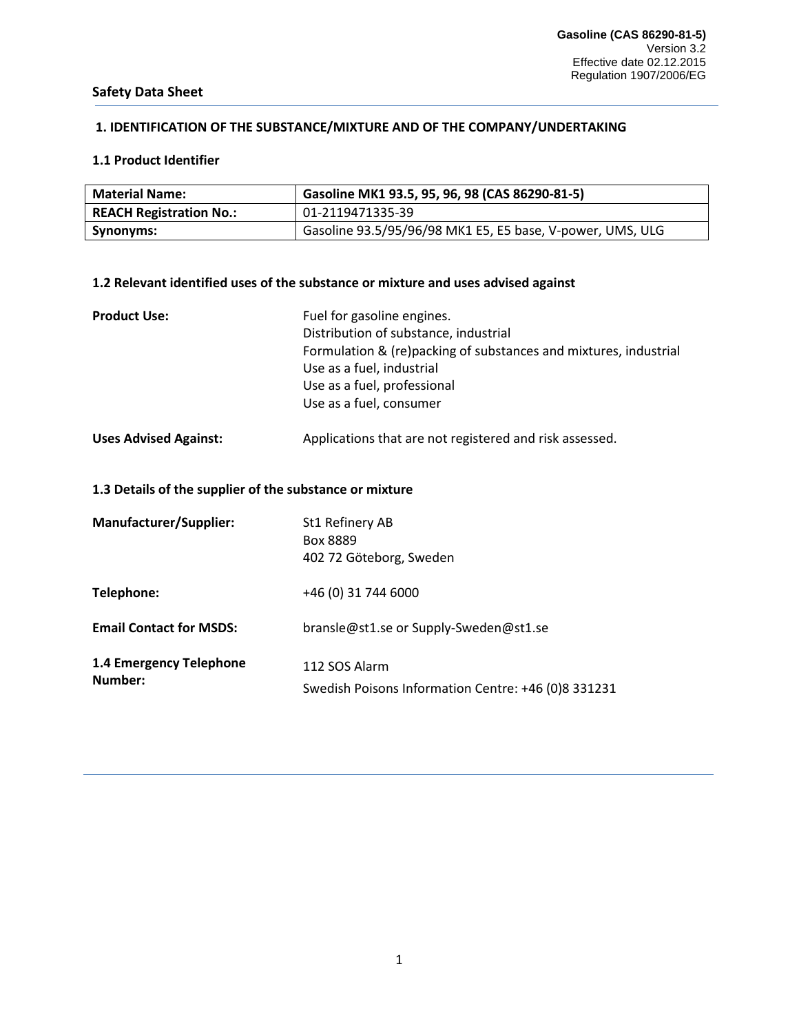# **1. IDENTIFICATION OF THE SUBSTANCE/MIXTURE AND OF THE COMPANY/UNDERTAKING**

# **1.1 Product Identifier**

| <b>Material Name:</b>          | Gasoline MK1 93.5, 95, 96, 98 (CAS 86290-81-5)            |
|--------------------------------|-----------------------------------------------------------|
| <b>REACH Registration No.:</b> | 01-2119471335-39                                          |
| Synonyms:                      | Gasoline 93.5/95/96/98 MK1 E5, E5 base, V-power, UMS, ULG |

# **1.2 Relevant identified uses of the substance or mixture and uses advised against**

| <b>Product Use:</b>          | Fuel for gasoline engines.                                       |
|------------------------------|------------------------------------------------------------------|
|                              | Distribution of substance, industrial                            |
|                              | Formulation & (re)packing of substances and mixtures, industrial |
|                              | Use as a fuel, industrial                                        |
|                              | Use as a fuel, professional                                      |
|                              | Use as a fuel, consumer                                          |
| <b>Uses Advised Against:</b> | Applications that are not registered and risk assessed.          |

# **1.3 Details of the supplier of the substance or mixture**

| <b>Manufacturer/Supplier:</b>      | St1 Refinery AB<br>Box 8889<br>402 72 Göteborg, Sweden               |
|------------------------------------|----------------------------------------------------------------------|
| Telephone:                         | +46 (0) 31 744 6000                                                  |
| <b>Email Contact for MSDS:</b>     | bransle@st1.se or Supply-Sweden@st1.se                               |
| 1.4 Emergency Telephone<br>Number: | 112 SOS Alarm<br>Swedish Poisons Information Centre: +46 (0)8 331231 |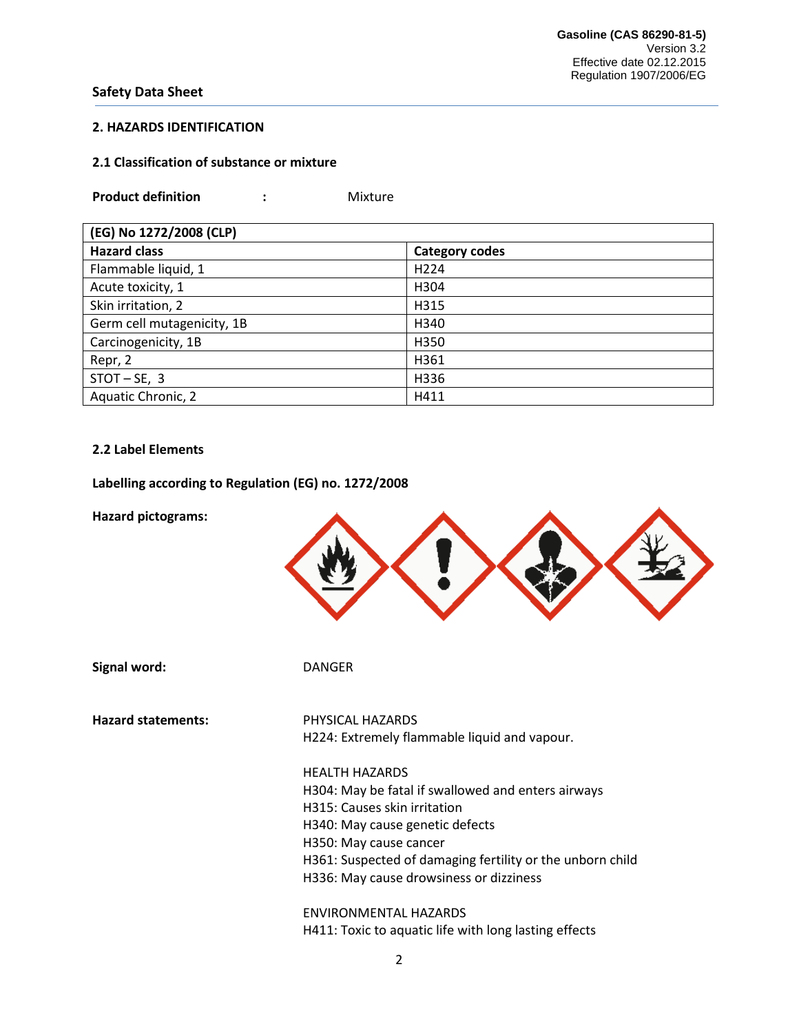#### **2. HAZARDS IDENTIFICATION**

#### **2.1 Classification of substance or mixture**

| <b>Product definition</b> |  | Mixture |
|---------------------------|--|---------|
|---------------------------|--|---------|

| (EG) No 1272/2008 (CLP)    |                  |  |
|----------------------------|------------------|--|
| <b>Hazard class</b>        | Category codes   |  |
| Flammable liquid, 1        | H <sub>224</sub> |  |
| Acute toxicity, 1          | H304             |  |
| Skin irritation, 2         | H315             |  |
| Germ cell mutagenicity, 1B | H340             |  |
| Carcinogenicity, 1B        | H350             |  |
| Repr, 2                    | H361             |  |
| $STOT-SE$ , 3              | H336             |  |
| Aquatic Chronic, 2         | H411             |  |

#### **2.2 Label Elements**

**Labelling according to Regulation (EG) no. 1272/2008**

**Hazard pictograms:**



H411: Toxic to aquatic life with long lasting effects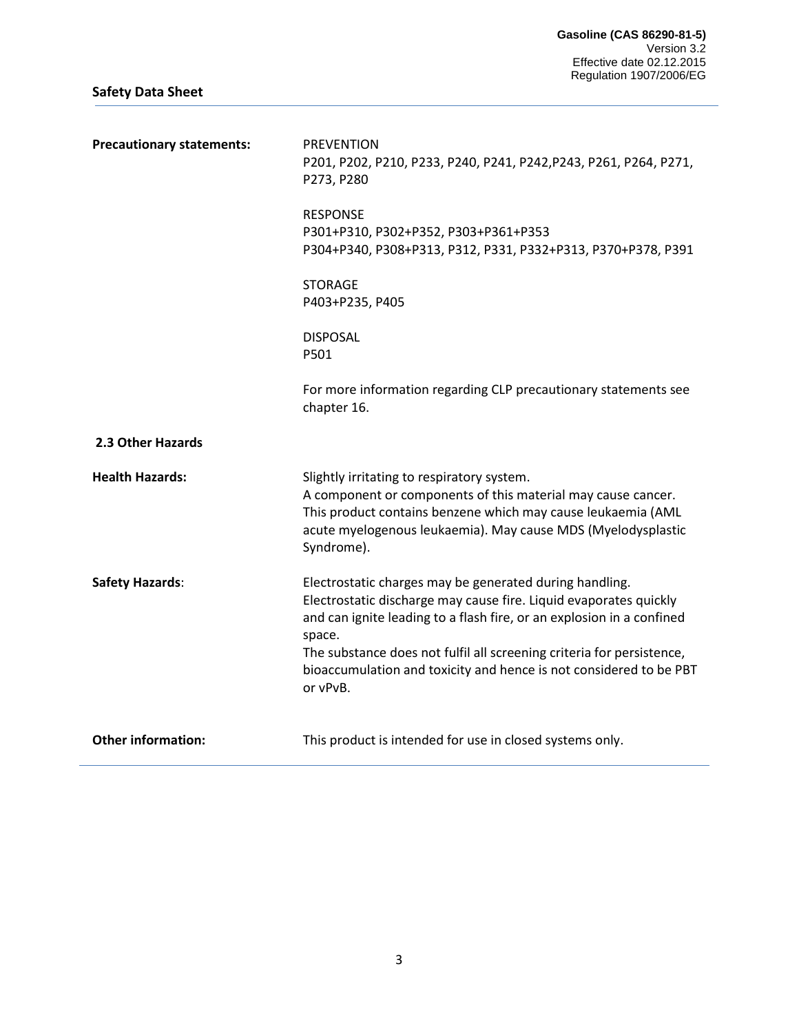| <b>Precautionary statements:</b> | <b>PREVENTION</b><br>P201, P202, P210, P233, P240, P241, P242, P243, P261, P264, P271,<br>P273, P280                                                                                                                                                                                                                                                                       |
|----------------------------------|----------------------------------------------------------------------------------------------------------------------------------------------------------------------------------------------------------------------------------------------------------------------------------------------------------------------------------------------------------------------------|
|                                  | <b>RESPONSE</b><br>P301+P310, P302+P352, P303+P361+P353<br>P304+P340, P308+P313, P312, P331, P332+P313, P370+P378, P391                                                                                                                                                                                                                                                    |
|                                  | <b>STORAGE</b><br>P403+P235, P405                                                                                                                                                                                                                                                                                                                                          |
|                                  | <b>DISPOSAL</b><br>P501                                                                                                                                                                                                                                                                                                                                                    |
|                                  | For more information regarding CLP precautionary statements see<br>chapter 16.                                                                                                                                                                                                                                                                                             |
| 2.3 Other Hazards                |                                                                                                                                                                                                                                                                                                                                                                            |
| <b>Health Hazards:</b>           | Slightly irritating to respiratory system.<br>A component or components of this material may cause cancer.<br>This product contains benzene which may cause leukaemia (AML<br>acute myelogenous leukaemia). May cause MDS (Myelodysplastic<br>Syndrome).                                                                                                                   |
| <b>Safety Hazards:</b>           | Electrostatic charges may be generated during handling.<br>Electrostatic discharge may cause fire. Liquid evaporates quickly<br>and can ignite leading to a flash fire, or an explosion in a confined<br>space.<br>The substance does not fulfil all screening criteria for persistence,<br>bioaccumulation and toxicity and hence is not considered to be PBT<br>or vPvB. |
| <b>Other information:</b>        | This product is intended for use in closed systems only.                                                                                                                                                                                                                                                                                                                   |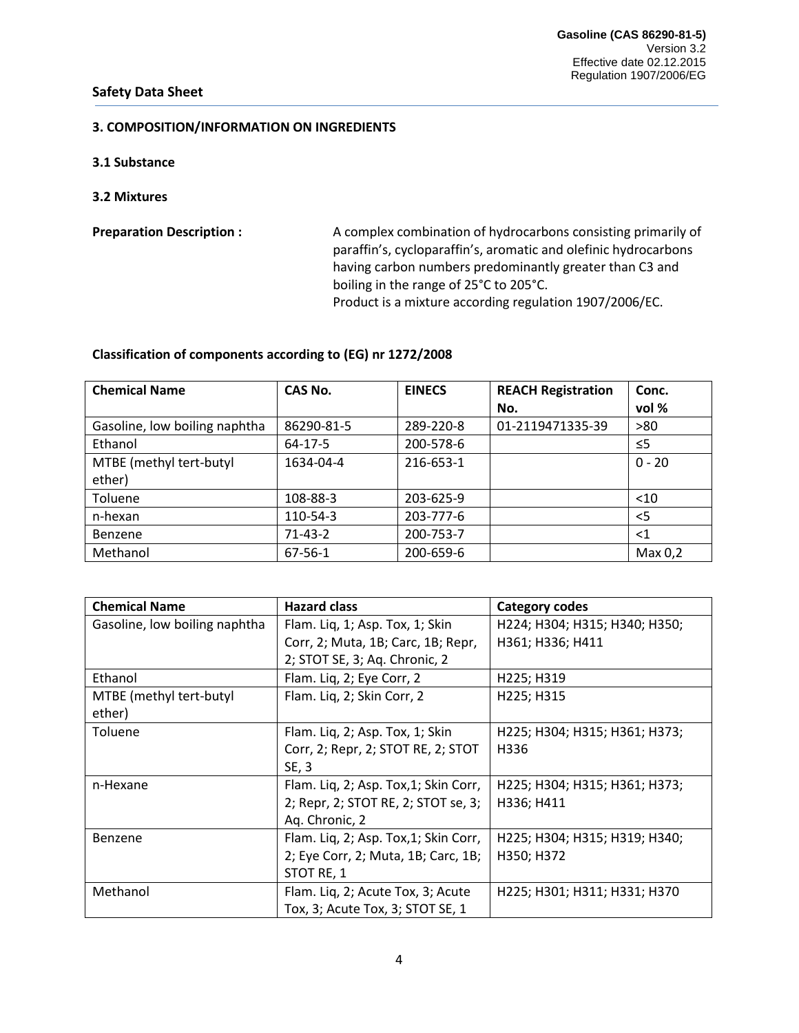# **3. COMPOSITION/INFORMATION ON INGREDIENTS**

# **3.1 Substance**

**3.2 Mixtures**

**Preparation Description :** A complex combination of hydrocarbons consisting primarily of paraffin's, cycloparaffin's, aromatic and olefinic hydrocarbons having carbon numbers predominantly greater than C3 and boiling in the range of 25°C to 205°C. Product is a mixture according regulation 1907/2006/EC.

# **Classification of components according to (EG) nr 1272/2008**

| <b>Chemical Name</b>          | <b>CAS No.</b> | <b>EINECS</b> | <b>REACH Registration</b> | Conc.              |
|-------------------------------|----------------|---------------|---------------------------|--------------------|
|                               |                |               | No.                       | vol %              |
| Gasoline, low boiling naphtha | 86290-81-5     | 289-220-8     | 01-2119471335-39          | >80                |
| Ethanol                       | $64 - 17 - 5$  | 200-578-6     |                           | ≤5                 |
| MTBE (methyl tert-butyl       | 1634-04-4      | 216-653-1     |                           | $0 - 20$           |
| ether)                        |                |               |                           |                    |
| Toluene                       | 108-88-3       | 203-625-9     |                           | $<$ 10             |
| n-hexan                       | 110-54-3       | 203-777-6     |                           | $<$ 5              |
| Benzene                       | $71-43-2$      | 200-753-7     |                           | $\leq$ 1           |
| Methanol                      | 67-56-1        | 200-659-6     |                           | Max <sub>0,2</sub> |

| <b>Chemical Name</b>          | <b>Hazard class</b>                   | <b>Category codes</b>         |
|-------------------------------|---------------------------------------|-------------------------------|
| Gasoline, low boiling naphtha | Flam. Liq, 1; Asp. Tox, 1; Skin       | H224; H304; H315; H340; H350; |
|                               | Corr, 2; Muta, 1B; Carc, 1B; Repr,    | H361; H336; H411              |
|                               | 2; STOT SE, 3; Aq. Chronic, 2         |                               |
| Ethanol                       | Flam. Liq, 2; Eye Corr, 2             | H225; H319                    |
| MTBE (methyl tert-butyl       | Flam. Lig, 2; Skin Corr, 2            | H225; H315                    |
| ether)                        |                                       |                               |
| Toluene                       | Flam. Liq, 2; Asp. Tox, 1; Skin       | H225; H304; H315; H361; H373; |
|                               | Corr, 2; Repr, 2; STOT RE, 2; STOT    | H336                          |
|                               | SE, 3                                 |                               |
| n-Hexane                      | Flam. Liq, 2; Asp. Tox, 1; Skin Corr, | H225; H304; H315; H361; H373; |
|                               | 2; Repr, 2; STOT RE, 2; STOT se, 3;   | H336; H411                    |
|                               | Aq. Chronic, 2                        |                               |
| <b>Benzene</b>                | Flam. Liq, 2; Asp. Tox, 1; Skin Corr, | H225; H304; H315; H319; H340; |
|                               | 2; Eye Corr, 2; Muta, 1B; Carc, 1B;   | H350; H372                    |
|                               | STOT RE, 1                            |                               |
| Methanol                      | Flam. Liq, 2; Acute Tox, 3; Acute     | H225; H301; H311; H331; H370  |
|                               | Tox, 3; Acute Tox, 3; STOT SE, 1      |                               |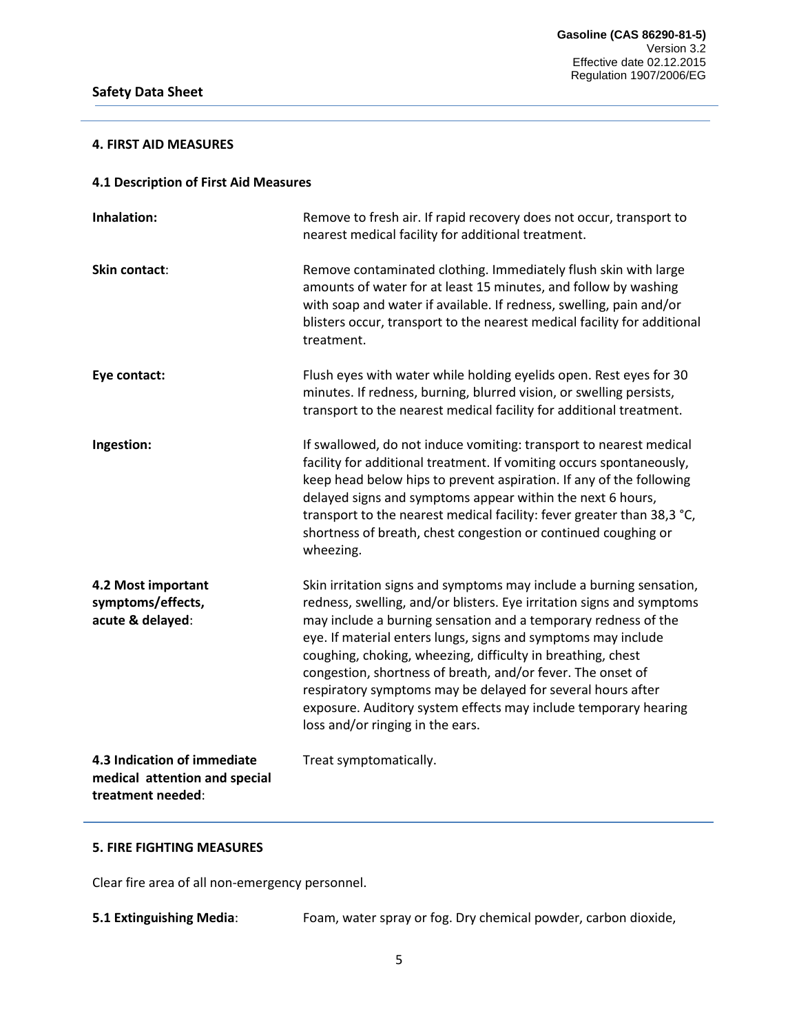#### **4. FIRST AID MEASURES**

# **4.1 Description of First Aid Measures**

| Inhalation:                                                                       | Remove to fresh air. If rapid recovery does not occur, transport to<br>nearest medical facility for additional treatment.                                                                                                                                                                                                                                                                                                                                                                                                                                                           |
|-----------------------------------------------------------------------------------|-------------------------------------------------------------------------------------------------------------------------------------------------------------------------------------------------------------------------------------------------------------------------------------------------------------------------------------------------------------------------------------------------------------------------------------------------------------------------------------------------------------------------------------------------------------------------------------|
| Skin contact:                                                                     | Remove contaminated clothing. Immediately flush skin with large<br>amounts of water for at least 15 minutes, and follow by washing<br>with soap and water if available. If redness, swelling, pain and/or<br>blisters occur, transport to the nearest medical facility for additional<br>treatment.                                                                                                                                                                                                                                                                                 |
| Eye contact:                                                                      | Flush eyes with water while holding eyelids open. Rest eyes for 30<br>minutes. If redness, burning, blurred vision, or swelling persists,<br>transport to the nearest medical facility for additional treatment.                                                                                                                                                                                                                                                                                                                                                                    |
| Ingestion:                                                                        | If swallowed, do not induce vomiting: transport to nearest medical<br>facility for additional treatment. If vomiting occurs spontaneously,<br>keep head below hips to prevent aspiration. If any of the following<br>delayed signs and symptoms appear within the next 6 hours,<br>transport to the nearest medical facility: fever greater than 38,3 °C,<br>shortness of breath, chest congestion or continued coughing or<br>wheezing.                                                                                                                                            |
| 4.2 Most important<br>symptoms/effects,<br>acute & delayed:                       | Skin irritation signs and symptoms may include a burning sensation,<br>redness, swelling, and/or blisters. Eye irritation signs and symptoms<br>may include a burning sensation and a temporary redness of the<br>eye. If material enters lungs, signs and symptoms may include<br>coughing, choking, wheezing, difficulty in breathing, chest<br>congestion, shortness of breath, and/or fever. The onset of<br>respiratory symptoms may be delayed for several hours after<br>exposure. Auditory system effects may include temporary hearing<br>loss and/or ringing in the ears. |
| 4.3 Indication of immediate<br>medical attention and special<br>treatment needed: | Treat symptomatically.                                                                                                                                                                                                                                                                                                                                                                                                                                                                                                                                                              |

# **5. FIRE FIGHTING MEASURES**

Clear fire area of all non-emergency personnel.

**5.1 Extinguishing Media:** Foam, water spray or fog. Dry chemical powder, carbon dioxide,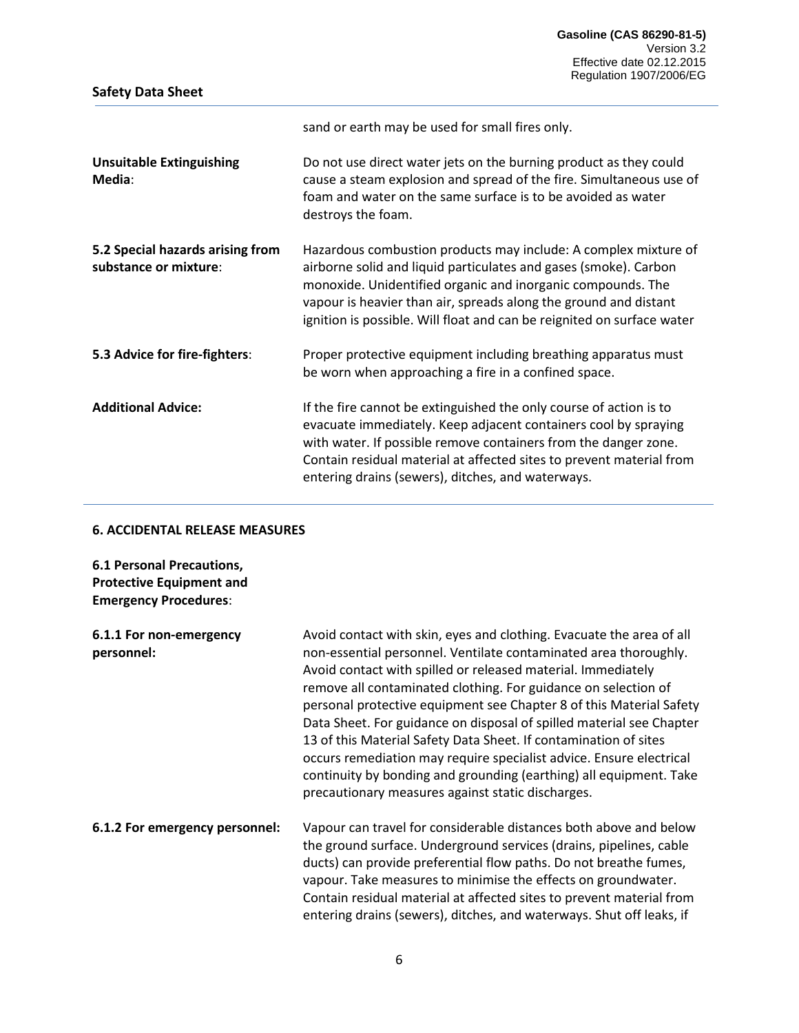|                                                           | sand or earth may be used for small fires only.                                                                                                                                                                                                                                                                                                  |
|-----------------------------------------------------------|--------------------------------------------------------------------------------------------------------------------------------------------------------------------------------------------------------------------------------------------------------------------------------------------------------------------------------------------------|
| <b>Unsuitable Extinguishing</b><br>Media:                 | Do not use direct water jets on the burning product as they could<br>cause a steam explosion and spread of the fire. Simultaneous use of<br>foam and water on the same surface is to be avoided as water<br>destroys the foam.                                                                                                                   |
| 5.2 Special hazards arising from<br>substance or mixture: | Hazardous combustion products may include: A complex mixture of<br>airborne solid and liquid particulates and gases (smoke). Carbon<br>monoxide. Unidentified organic and inorganic compounds. The<br>vapour is heavier than air, spreads along the ground and distant<br>ignition is possible. Will float and can be reignited on surface water |
| 5.3 Advice for fire-fighters:                             | Proper protective equipment including breathing apparatus must<br>be worn when approaching a fire in a confined space.                                                                                                                                                                                                                           |
| <b>Additional Advice:</b>                                 | If the fire cannot be extinguished the only course of action is to<br>evacuate immediately. Keep adjacent containers cool by spraying<br>with water. If possible remove containers from the danger zone.<br>Contain residual material at affected sites to prevent material from<br>entering drains (sewers), ditches, and waterways.            |

# **6. ACCIDENTAL RELEASE MEASURES**

**6.1 Personal Precautions, Protective Equipment and Emergency Procedures**:

| 6.1.1 For non-emergency<br>personnel: | Avoid contact with skin, eyes and clothing. Evacuate the area of all<br>non-essential personnel. Ventilate contaminated area thoroughly.<br>Avoid contact with spilled or released material. Immediately<br>remove all contaminated clothing. For guidance on selection of<br>personal protective equipment see Chapter 8 of this Material Safety<br>Data Sheet. For guidance on disposal of spilled material see Chapter<br>13 of this Material Safety Data Sheet. If contamination of sites<br>occurs remediation may require specialist advice. Ensure electrical<br>continuity by bonding and grounding (earthing) all equipment. Take<br>precautionary measures against static discharges. |
|---------------------------------------|-------------------------------------------------------------------------------------------------------------------------------------------------------------------------------------------------------------------------------------------------------------------------------------------------------------------------------------------------------------------------------------------------------------------------------------------------------------------------------------------------------------------------------------------------------------------------------------------------------------------------------------------------------------------------------------------------|
| 6.1.2 For emergency personnel:        | Vapour can travel for considerable distances both above and below<br>the ground surface. Underground services (drains, pipelines, cable<br>ducts) can provide preferential flow paths. Do not breathe fumes,<br>vapour. Take measures to minimise the effects on groundwater.<br>Contain residual material at affected sites to prevent material from<br>entering drains (sewers), ditches, and waterways. Shut off leaks, if                                                                                                                                                                                                                                                                   |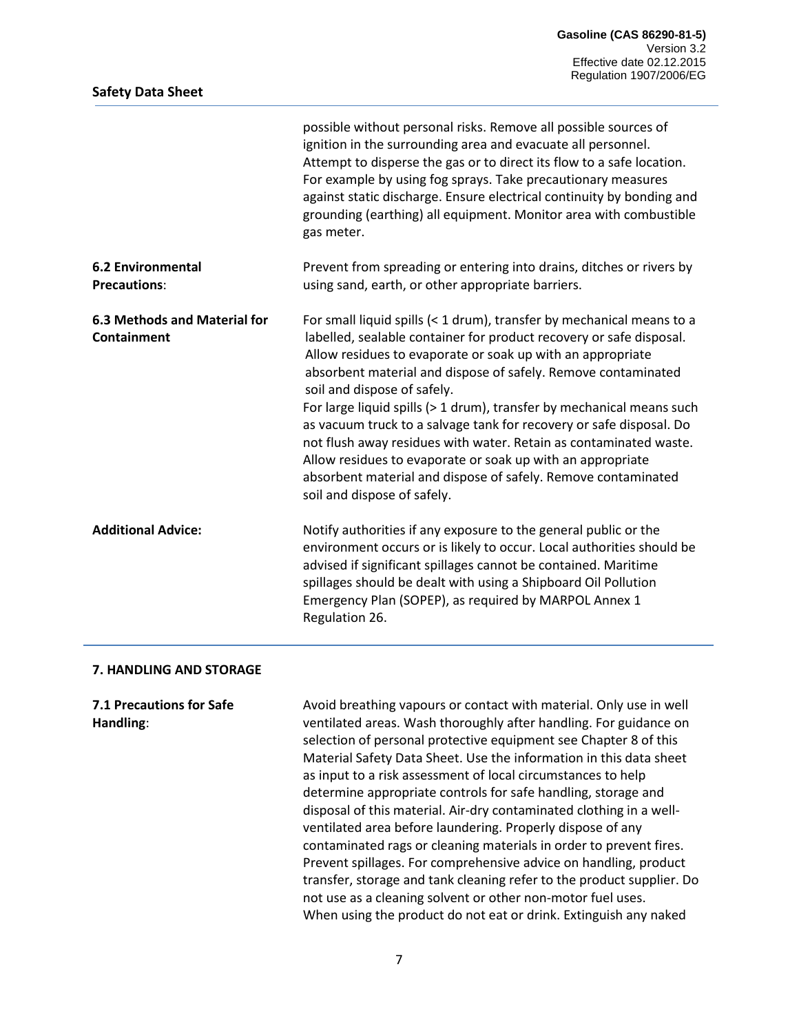|                                                 | possible without personal risks. Remove all possible sources of<br>ignition in the surrounding area and evacuate all personnel.<br>Attempt to disperse the gas or to direct its flow to a safe location.<br>For example by using fog sprays. Take precautionary measures<br>against static discharge. Ensure electrical continuity by bonding and<br>grounding (earthing) all equipment. Monitor area with combustible<br>gas meter.                                                                                                                                                                                                                                                          |
|-------------------------------------------------|-----------------------------------------------------------------------------------------------------------------------------------------------------------------------------------------------------------------------------------------------------------------------------------------------------------------------------------------------------------------------------------------------------------------------------------------------------------------------------------------------------------------------------------------------------------------------------------------------------------------------------------------------------------------------------------------------|
| <b>6.2 Environmental</b><br><b>Precautions:</b> | Prevent from spreading or entering into drains, ditches or rivers by<br>using sand, earth, or other appropriate barriers.                                                                                                                                                                                                                                                                                                                                                                                                                                                                                                                                                                     |
| 6.3 Methods and Material for<br>Containment     | For small liquid spills (< 1 drum), transfer by mechanical means to a<br>labelled, sealable container for product recovery or safe disposal.<br>Allow residues to evaporate or soak up with an appropriate<br>absorbent material and dispose of safely. Remove contaminated<br>soil and dispose of safely.<br>For large liquid spills (> 1 drum), transfer by mechanical means such<br>as vacuum truck to a salvage tank for recovery or safe disposal. Do<br>not flush away residues with water. Retain as contaminated waste.<br>Allow residues to evaporate or soak up with an appropriate<br>absorbent material and dispose of safely. Remove contaminated<br>soil and dispose of safely. |
| <b>Additional Advice:</b>                       | Notify authorities if any exposure to the general public or the<br>environment occurs or is likely to occur. Local authorities should be<br>advised if significant spillages cannot be contained. Maritime<br>spillages should be dealt with using a Shipboard Oil Pollution<br>Emergency Plan (SOPEP), as required by MARPOL Annex 1<br>Regulation 26.                                                                                                                                                                                                                                                                                                                                       |

#### **7. HANDLING AND STORAGE**

**7.1 Precautions for Safe Handling**:

Avoid breathing vapours or contact with material. Only use in well ventilated areas. Wash thoroughly after handling. For guidance on selection of personal protective equipment see Chapter 8 of this Material Safety Data Sheet. Use the information in this data sheet as input to a risk assessment of local circumstances to help determine appropriate controls for safe handling, storage and disposal of this material. Air-dry contaminated clothing in a wellventilated area before laundering. Properly dispose of any contaminated rags or cleaning materials in order to prevent fires. Prevent spillages. For comprehensive advice on handling, product transfer, storage and tank cleaning refer to the product supplier. Do not use as a cleaning solvent or other non-motor fuel uses. When using the product do not eat or drink. Extinguish any naked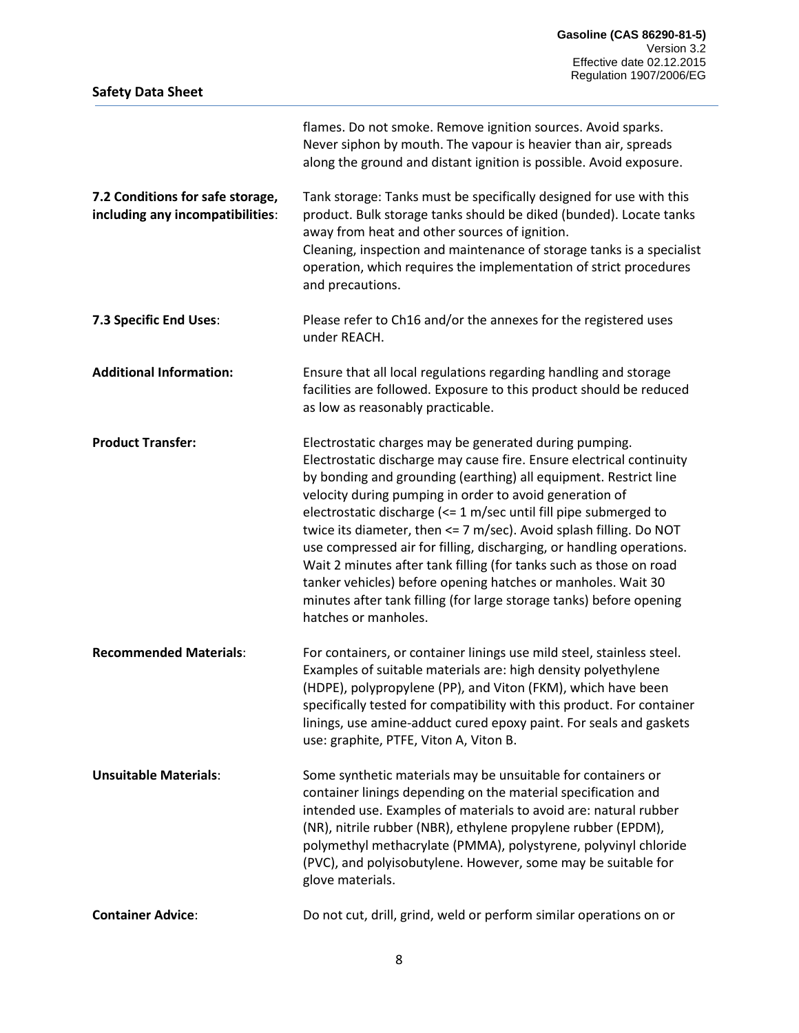|                                                                      | flames. Do not smoke. Remove ignition sources. Avoid sparks.<br>Never siphon by mouth. The vapour is heavier than air, spreads<br>along the ground and distant ignition is possible. Avoid exposure.                                                                                                                                                                                                                                                                                                                                                                                                                                                                                                                              |
|----------------------------------------------------------------------|-----------------------------------------------------------------------------------------------------------------------------------------------------------------------------------------------------------------------------------------------------------------------------------------------------------------------------------------------------------------------------------------------------------------------------------------------------------------------------------------------------------------------------------------------------------------------------------------------------------------------------------------------------------------------------------------------------------------------------------|
| 7.2 Conditions for safe storage,<br>including any incompatibilities: | Tank storage: Tanks must be specifically designed for use with this<br>product. Bulk storage tanks should be diked (bunded). Locate tanks<br>away from heat and other sources of ignition.<br>Cleaning, inspection and maintenance of storage tanks is a specialist<br>operation, which requires the implementation of strict procedures<br>and precautions.                                                                                                                                                                                                                                                                                                                                                                      |
| 7.3 Specific End Uses:                                               | Please refer to Ch16 and/or the annexes for the registered uses<br>under REACH.                                                                                                                                                                                                                                                                                                                                                                                                                                                                                                                                                                                                                                                   |
| <b>Additional Information:</b>                                       | Ensure that all local regulations regarding handling and storage<br>facilities are followed. Exposure to this product should be reduced<br>as low as reasonably practicable.                                                                                                                                                                                                                                                                                                                                                                                                                                                                                                                                                      |
| <b>Product Transfer:</b>                                             | Electrostatic charges may be generated during pumping.<br>Electrostatic discharge may cause fire. Ensure electrical continuity<br>by bonding and grounding (earthing) all equipment. Restrict line<br>velocity during pumping in order to avoid generation of<br>electrostatic discharge $\left(<=1\right)$ m/sec until fill pipe submerged to<br>twice its diameter, then <= 7 m/sec). Avoid splash filling. Do NOT<br>use compressed air for filling, discharging, or handling operations.<br>Wait 2 minutes after tank filling (for tanks such as those on road<br>tanker vehicles) before opening hatches or manholes. Wait 30<br>minutes after tank filling (for large storage tanks) before opening<br>hatches or manholes. |
| <b>Recommended Materials:</b>                                        | For containers, or container linings use mild steel, stainless steel.<br>Examples of suitable materials are: high density polyethylene<br>(HDPE), polypropylene (PP), and Viton (FKM), which have been<br>specifically tested for compatibility with this product. For container<br>linings, use amine-adduct cured epoxy paint. For seals and gaskets<br>use: graphite, PTFE, Viton A, Viton B.                                                                                                                                                                                                                                                                                                                                  |
| <b>Unsuitable Materials:</b>                                         | Some synthetic materials may be unsuitable for containers or<br>container linings depending on the material specification and<br>intended use. Examples of materials to avoid are: natural rubber<br>(NR), nitrile rubber (NBR), ethylene propylene rubber (EPDM),<br>polymethyl methacrylate (PMMA), polystyrene, polyvinyl chloride<br>(PVC), and polyisobutylene. However, some may be suitable for<br>glove materials.                                                                                                                                                                                                                                                                                                        |
| <b>Container Advice:</b>                                             | Do not cut, drill, grind, weld or perform similar operations on or                                                                                                                                                                                                                                                                                                                                                                                                                                                                                                                                                                                                                                                                |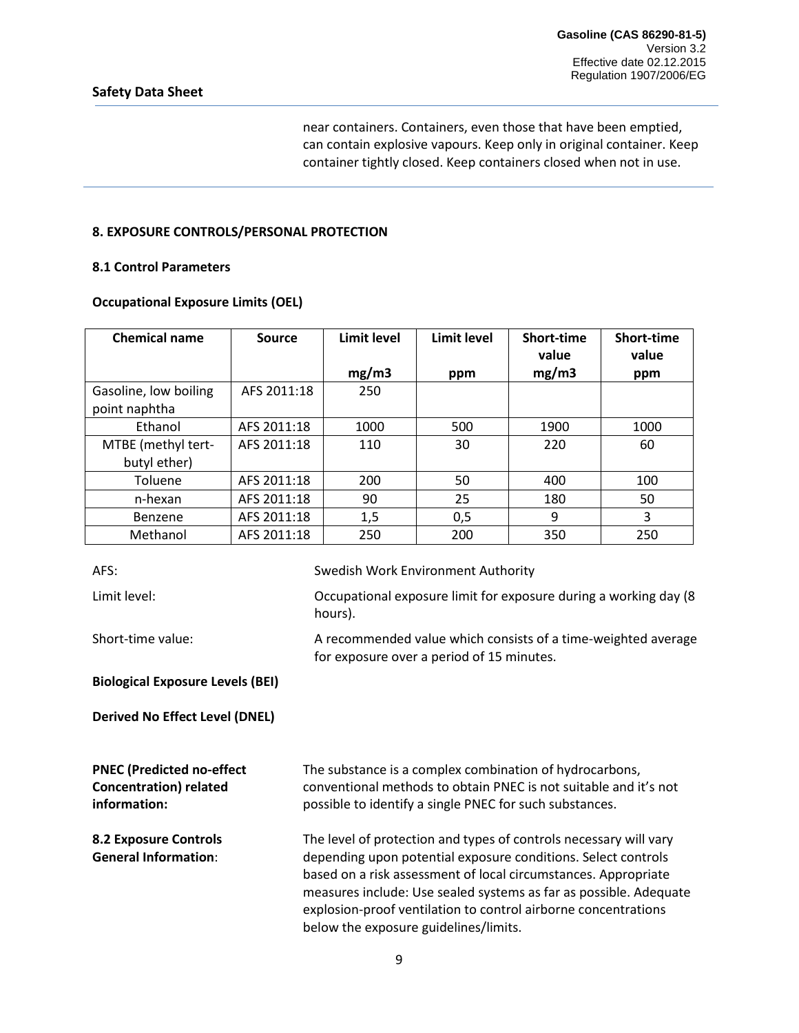near containers. Containers, even those that have been emptied, can contain explosive vapours. Keep only in original container. Keep container tightly closed. Keep containers closed when not in use.

# **8. EXPOSURE CONTROLS/PERSONAL PROTECTION**

# **8.1 Control Parameters**

#### **Occupational Exposure Limits (OEL)**

| <b>Chemical name</b>  | Source      | <b>Limit level</b> | <b>Limit level</b> | <b>Short-time</b><br>value | <b>Short-time</b><br>value |
|-----------------------|-------------|--------------------|--------------------|----------------------------|----------------------------|
|                       |             | mg/m3              | ppm                | mg/m3                      | ppm                        |
| Gasoline, low boiling | AFS 2011:18 | 250                |                    |                            |                            |
| point naphtha         |             |                    |                    |                            |                            |
| Ethanol               | AFS 2011:18 | 1000               | 500                | 1900                       | 1000                       |
| MTBE (methyl tert-    | AFS 2011:18 | 110                | 30                 | 220                        | 60                         |
| butyl ether)          |             |                    |                    |                            |                            |
| Toluene               | AFS 2011:18 | 200                | 50                 | 400                        | 100                        |
| n-hexan               | AFS 2011:18 | 90                 | 25                 | 180                        | 50                         |
| Benzene               | AFS 2011:18 | 1,5                | 0,5                | 9                          | 3                          |
| Methanol              | AFS 2011:18 | 250                | 200                | 350                        | 250                        |

AFS: Swedish Work Environment Authority Limit level: Occupational exposure limit for exposure during a working day (8 hours). Short-time value: A recommended value which consists of a time-weighted average for exposure over a period of 15 minutes. **Biological Exposure Levels (BEI) Derived No Effect Level (DNEL) PNEC (Predicted no-effect Concentration) related information:** The substance is a complex combination of hydrocarbons, conventional methods to obtain PNEC is not suitable and it's not possible to identify a single PNEC for such substances. **8.2 Exposure Controls General Information**: The level of protection and types of controls necessary will vary depending upon potential exposure conditions. Select controls based on a risk assessment of local circumstances. Appropriate measures include: Use sealed systems as far as possible. Adequate explosion-proof ventilation to control airborne concentrations below the exposure guidelines/limits.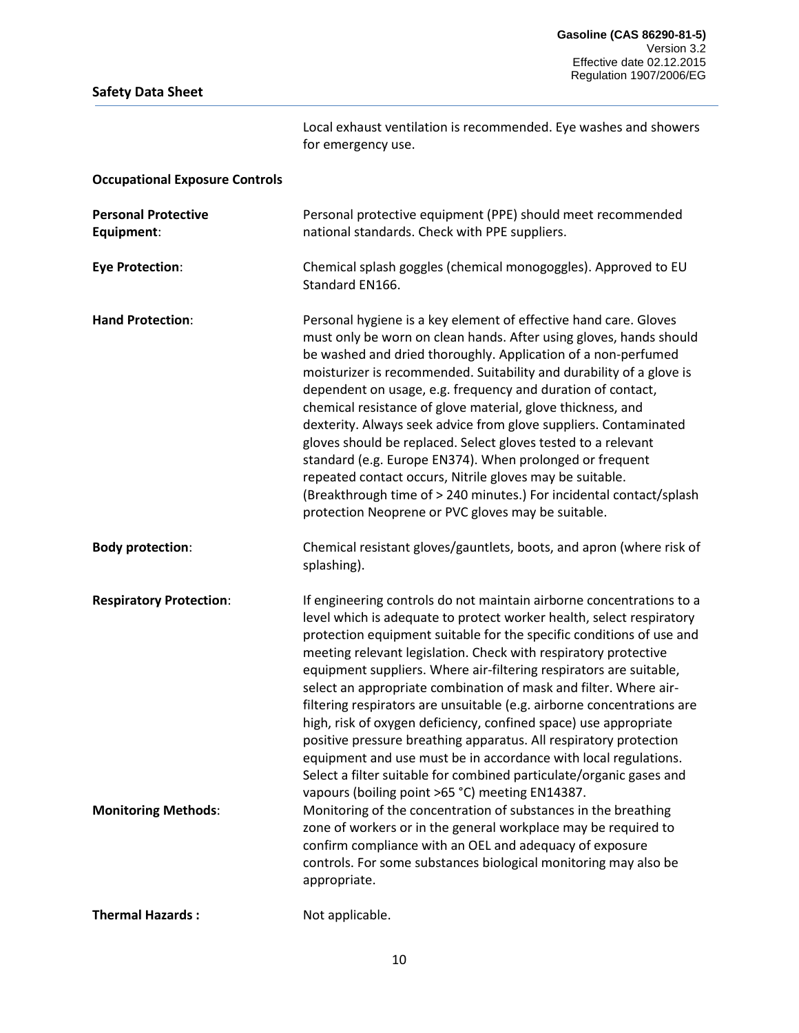Local exhaust ventilation is recommended. Eye washes and showers for emergency use.

| <b>Occupational Exposure Controls</b> |  |
|---------------------------------------|--|
|                                       |  |

| <b>Personal Protective</b><br>Equipment:                     | Personal protective equipment (PPE) should meet recommended<br>national standards. Check with PPE suppliers.                                                                                                                                                                                                                                                                                                                                                                                                                                                                                                                                                                                                                                                                                                                                                                                                                                                                                                                                                                                                                        |
|--------------------------------------------------------------|-------------------------------------------------------------------------------------------------------------------------------------------------------------------------------------------------------------------------------------------------------------------------------------------------------------------------------------------------------------------------------------------------------------------------------------------------------------------------------------------------------------------------------------------------------------------------------------------------------------------------------------------------------------------------------------------------------------------------------------------------------------------------------------------------------------------------------------------------------------------------------------------------------------------------------------------------------------------------------------------------------------------------------------------------------------------------------------------------------------------------------------|
| <b>Eye Protection:</b>                                       | Chemical splash goggles (chemical monogoggles). Approved to EU<br>Standard EN166.                                                                                                                                                                                                                                                                                                                                                                                                                                                                                                                                                                                                                                                                                                                                                                                                                                                                                                                                                                                                                                                   |
| <b>Hand Protection:</b>                                      | Personal hygiene is a key element of effective hand care. Gloves<br>must only be worn on clean hands. After using gloves, hands should<br>be washed and dried thoroughly. Application of a non-perfumed<br>moisturizer is recommended. Suitability and durability of a glove is<br>dependent on usage, e.g. frequency and duration of contact,<br>chemical resistance of glove material, glove thickness, and<br>dexterity. Always seek advice from glove suppliers. Contaminated<br>gloves should be replaced. Select gloves tested to a relevant<br>standard (e.g. Europe EN374). When prolonged or frequent<br>repeated contact occurs, Nitrile gloves may be suitable.<br>(Breakthrough time of > 240 minutes.) For incidental contact/splash<br>protection Neoprene or PVC gloves may be suitable.                                                                                                                                                                                                                                                                                                                             |
| <b>Body protection:</b>                                      | Chemical resistant gloves/gauntlets, boots, and apron (where risk of<br>splashing).                                                                                                                                                                                                                                                                                                                                                                                                                                                                                                                                                                                                                                                                                                                                                                                                                                                                                                                                                                                                                                                 |
| <b>Respiratory Protection:</b><br><b>Monitoring Methods:</b> | If engineering controls do not maintain airborne concentrations to a<br>level which is adequate to protect worker health, select respiratory<br>protection equipment suitable for the specific conditions of use and<br>meeting relevant legislation. Check with respiratory protective<br>equipment suppliers. Where air-filtering respirators are suitable,<br>select an appropriate combination of mask and filter. Where air-<br>filtering respirators are unsuitable (e.g. airborne concentrations are<br>high, risk of oxygen deficiency, confined space) use appropriate<br>positive pressure breathing apparatus. All respiratory protection<br>equipment and use must be in accordance with local regulations.<br>Select a filter suitable for combined particulate/organic gases and<br>vapours (boiling point >65 °C) meeting EN14387.<br>Monitoring of the concentration of substances in the breathing<br>zone of workers or in the general workplace may be required to<br>confirm compliance with an OEL and adequacy of exposure<br>controls. For some substances biological monitoring may also be<br>appropriate. |
| <b>Thermal Hazards:</b>                                      | Not applicable.                                                                                                                                                                                                                                                                                                                                                                                                                                                                                                                                                                                                                                                                                                                                                                                                                                                                                                                                                                                                                                                                                                                     |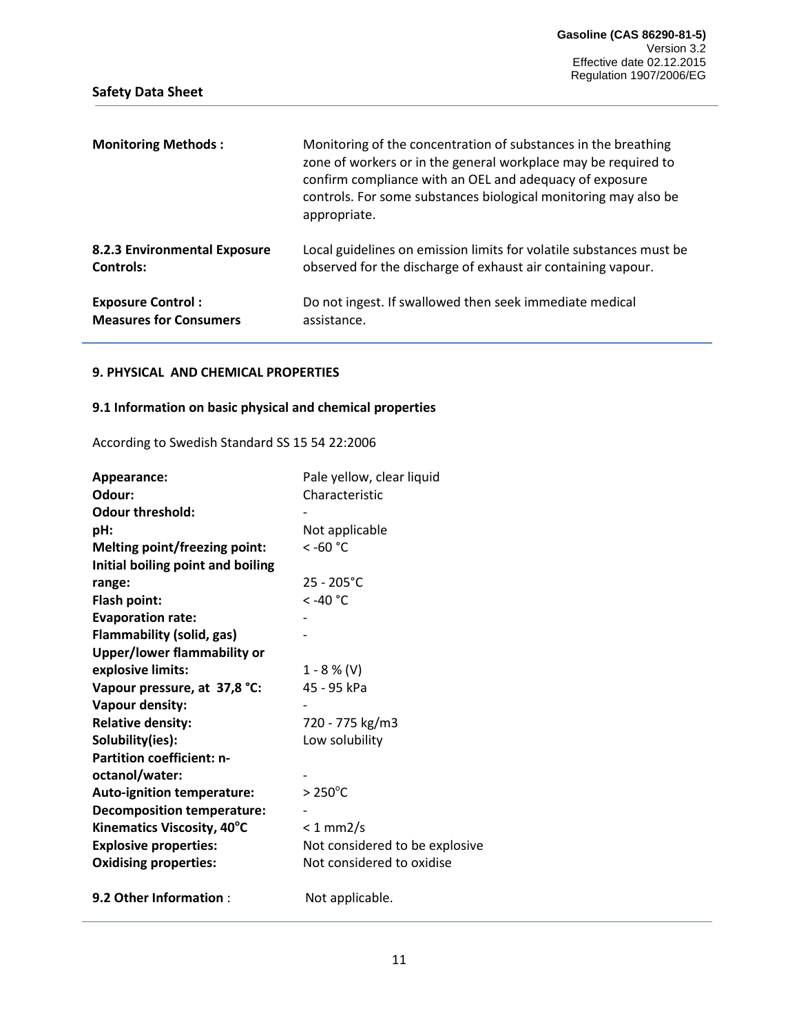| <b>Monitoring Methods:</b>    | Monitoring of the concentration of substances in the breathing<br>zone of workers or in the general workplace may be required to<br>confirm compliance with an OEL and adequacy of exposure<br>controls. For some substances biological monitoring may also be<br>appropriate. |
|-------------------------------|--------------------------------------------------------------------------------------------------------------------------------------------------------------------------------------------------------------------------------------------------------------------------------|
| 8.2.3 Environmental Exposure  | Local guidelines on emission limits for volatile substances must be                                                                                                                                                                                                            |
| <b>Controls:</b>              | observed for the discharge of exhaust air containing vapour.                                                                                                                                                                                                                   |
| <b>Exposure Control:</b>      | Do not ingest. If swallowed then seek immediate medical                                                                                                                                                                                                                        |
| <b>Measures for Consumers</b> | assistance.                                                                                                                                                                                                                                                                    |

#### **9. PHYSICAL AND CHEMICAL PROPERTIES**

# **9.1 Information on basic physical and chemical properties**

According to Swedish Standard SS 15 54 22:2006

| Appearance:                          | Pale yellow, clear liquid      |
|--------------------------------------|--------------------------------|
| Odour:                               | Characteristic                 |
| <b>Odour threshold:</b>              |                                |
| pH:                                  | Not applicable                 |
| <b>Melting point/freezing point:</b> | $~$ < -60 °C                   |
| Initial boiling point and boiling    |                                |
| range:                               | $25 - 205^{\circ}C$            |
| Flash point:                         | $<$ -40 °C                     |
| <b>Evaporation rate:</b>             |                                |
| <b>Flammability (solid, gas)</b>     |                                |
| Upper/lower flammability or          |                                |
| explosive limits:                    | $1 - 8 %$ (V)                  |
| Vapour pressure, at 37,8 °C:         | 45 - 95 kPa                    |
| Vapour density:                      |                                |
| <b>Relative density:</b>             | 720 - 775 kg/m3                |
| Solubility(ies):                     | Low solubility                 |
| <b>Partition coefficient: n-</b>     |                                |
| octanol/water:                       |                                |
| <b>Auto-ignition temperature:</b>    | $>250^{\circ}$ C               |
| <b>Decomposition temperature:</b>    |                                |
| Kinematics Viscosity, 40°C           | $< 1$ mm2/s                    |
| <b>Explosive properties:</b>         | Not considered to be explosive |
| <b>Oxidising properties:</b>         | Not considered to oxidise      |
|                                      |                                |
| 9.2 Other Information:               | Not applicable.                |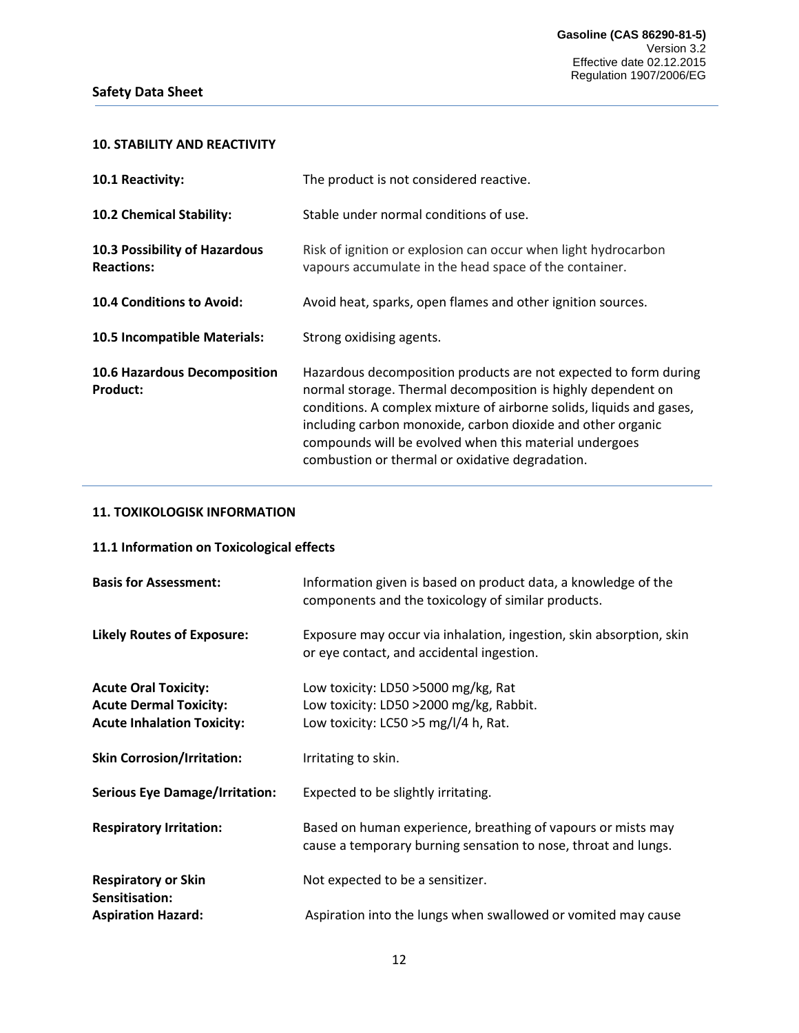### **10. STABILITY AND REACTIVITY**

| 10.1 Reactivity:                                   | The product is not considered reactive.                                                                                                                                                                                                                                                                                                                                              |
|----------------------------------------------------|--------------------------------------------------------------------------------------------------------------------------------------------------------------------------------------------------------------------------------------------------------------------------------------------------------------------------------------------------------------------------------------|
| 10.2 Chemical Stability:                           | Stable under normal conditions of use.                                                                                                                                                                                                                                                                                                                                               |
| 10.3 Possibility of Hazardous<br><b>Reactions:</b> | Risk of ignition or explosion can occur when light hydrocarbon<br>vapours accumulate in the head space of the container.                                                                                                                                                                                                                                                             |
| <b>10.4 Conditions to Avoid:</b>                   | Avoid heat, sparks, open flames and other ignition sources.                                                                                                                                                                                                                                                                                                                          |
| 10.5 Incompatible Materials:                       | Strong oxidising agents.                                                                                                                                                                                                                                                                                                                                                             |
| 10.6 Hazardous Decomposition<br><b>Product:</b>    | Hazardous decomposition products are not expected to form during<br>normal storage. Thermal decomposition is highly dependent on<br>conditions. A complex mixture of airborne solids, liquids and gases,<br>including carbon monoxide, carbon dioxide and other organic<br>compounds will be evolved when this material undergoes<br>combustion or thermal or oxidative degradation. |

# **11. TOXIKOLOGISK INFORMATION**

# **11.1 Information on Toxicological effects**

| <b>Basis for Assessment:</b>                                                                      | Information given is based on product data, a knowledge of the<br>components and the toxicology of similar products.           |
|---------------------------------------------------------------------------------------------------|--------------------------------------------------------------------------------------------------------------------------------|
| <b>Likely Routes of Exposure:</b>                                                                 | Exposure may occur via inhalation, ingestion, skin absorption, skin<br>or eye contact, and accidental ingestion.               |
| <b>Acute Oral Toxicity:</b><br><b>Acute Dermal Toxicity:</b><br><b>Acute Inhalation Toxicity:</b> | Low toxicity: LD50 >5000 mg/kg, Rat<br>Low toxicity: LD50 >2000 mg/kg, Rabbit.<br>Low toxicity: LC50 >5 mg/l/4 h, Rat.         |
| <b>Skin Corrosion/Irritation:</b>                                                                 | Irritating to skin.                                                                                                            |
| <b>Serious Eye Damage/Irritation:</b>                                                             | Expected to be slightly irritating.                                                                                            |
| <b>Respiratory Irritation:</b>                                                                    | Based on human experience, breathing of vapours or mists may<br>cause a temporary burning sensation to nose, throat and lungs. |
| <b>Respiratory or Skin</b><br>Sensitisation:                                                      | Not expected to be a sensitizer.                                                                                               |
| <b>Aspiration Hazard:</b>                                                                         | Aspiration into the lungs when swallowed or vomited may cause                                                                  |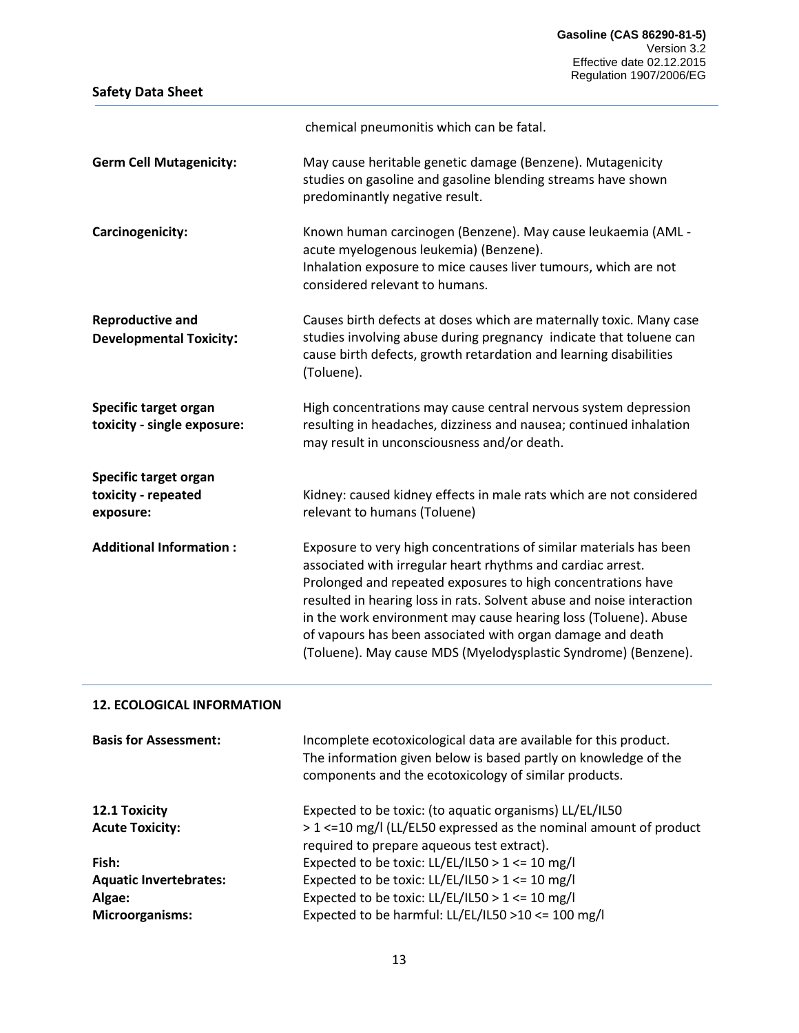| <b>Safety Data Sheet</b>                                  |                                                                                                                                                                                                                                                                                                                                                                                                                                                                               |
|-----------------------------------------------------------|-------------------------------------------------------------------------------------------------------------------------------------------------------------------------------------------------------------------------------------------------------------------------------------------------------------------------------------------------------------------------------------------------------------------------------------------------------------------------------|
|                                                           | chemical pneumonitis which can be fatal.                                                                                                                                                                                                                                                                                                                                                                                                                                      |
| <b>Germ Cell Mutagenicity:</b>                            | May cause heritable genetic damage (Benzene). Mutagenicity<br>studies on gasoline and gasoline blending streams have shown<br>predominantly negative result.                                                                                                                                                                                                                                                                                                                  |
| Carcinogenicity:                                          | Known human carcinogen (Benzene). May cause leukaemia (AML -<br>acute myelogenous leukemia) (Benzene).<br>Inhalation exposure to mice causes liver tumours, which are not<br>considered relevant to humans.                                                                                                                                                                                                                                                                   |
| <b>Reproductive and</b><br><b>Developmental Toxicity:</b> | Causes birth defects at doses which are maternally toxic. Many case<br>studies involving abuse during pregnancy indicate that toluene can<br>cause birth defects, growth retardation and learning disabilities<br>(Toluene).                                                                                                                                                                                                                                                  |
| Specific target organ<br>toxicity - single exposure:      | High concentrations may cause central nervous system depression<br>resulting in headaches, dizziness and nausea; continued inhalation<br>may result in unconsciousness and/or death.                                                                                                                                                                                                                                                                                          |
| Specific target organ<br>toxicity - repeated<br>exposure: | Kidney: caused kidney effects in male rats which are not considered<br>relevant to humans (Toluene)                                                                                                                                                                                                                                                                                                                                                                           |
| <b>Additional Information:</b>                            | Exposure to very high concentrations of similar materials has been<br>associated with irregular heart rhythms and cardiac arrest.<br>Prolonged and repeated exposures to high concentrations have<br>resulted in hearing loss in rats. Solvent abuse and noise interaction<br>in the work environment may cause hearing loss (Toluene). Abuse<br>of vapours has been associated with organ damage and death<br>(Toluene). May cause MDS (Myelodysplastic Syndrome) (Benzene). |

# **12. ECOLOGICAL INFORMATION**

L.

| <b>Basis for Assessment:</b>  | Incomplete ecotoxicological data are available for this product.<br>The information given below is based partly on knowledge of the<br>components and the ecotoxicology of similar products. |
|-------------------------------|----------------------------------------------------------------------------------------------------------------------------------------------------------------------------------------------|
| 12.1 Toxicity                 | Expected to be toxic: (to aquatic organisms) LL/EL/IL50                                                                                                                                      |
| <b>Acute Toxicity:</b>        | >1<=10 mg/l (LL/EL50 expressed as the nominal amount of product                                                                                                                              |
|                               | required to prepare aqueous test extract).                                                                                                                                                   |
| Fish:                         | Expected to be toxic: LL/EL/IL50 > $1 \le 10$ mg/l                                                                                                                                           |
| <b>Aquatic Invertebrates:</b> | Expected to be toxic: LL/EL/IL50 > $1 \le 10$ mg/l                                                                                                                                           |
| Algae:                        | Expected to be toxic: LL/EL/IL50 > $1 \le 10$ mg/l                                                                                                                                           |
| Microorganisms:               | Expected to be harmful: LL/EL/IL50 >10 <= 100 mg/l                                                                                                                                           |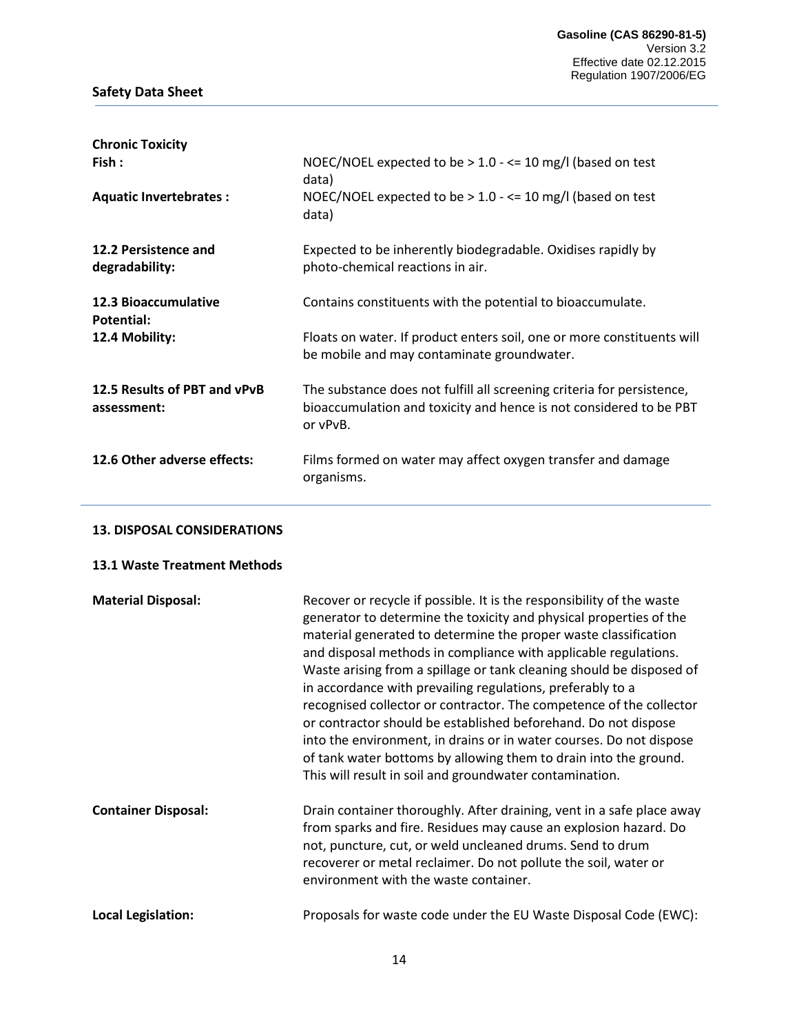| <b>Chronic Toxicity</b>                     |                                                                                                                                                          |
|---------------------------------------------|----------------------------------------------------------------------------------------------------------------------------------------------------------|
| Fish:                                       | NOEC/NOEL expected to be $> 1.0 - \le$ 10 mg/l (based on test<br>data)                                                                                   |
| <b>Aquatic Invertebrates:</b>               | NOEC/NOEL expected to be $> 1.0 - \le$ 10 mg/l (based on test<br>data)                                                                                   |
| 12.2 Persistence and<br>degradability:      | Expected to be inherently biodegradable. Oxidises rapidly by<br>photo-chemical reactions in air.                                                         |
| 12.3 Bioaccumulative<br><b>Potential:</b>   | Contains constituents with the potential to bioaccumulate.                                                                                               |
| 12.4 Mobility:                              | Floats on water. If product enters soil, one or more constituents will<br>be mobile and may contaminate groundwater.                                     |
| 12.5 Results of PBT and vPvB<br>assessment: | The substance does not fulfill all screening criteria for persistence,<br>bioaccumulation and toxicity and hence is not considered to be PBT<br>or vPvB. |
| 12.6 Other adverse effects:                 | Films formed on water may affect oxygen transfer and damage<br>organisms.                                                                                |

# **13. DISPOSAL CONSIDERATIONS**

#### **13.1 Waste Treatment Methods**

| <b>Material Disposal:</b>  | Recover or recycle if possible. It is the responsibility of the waste<br>generator to determine the toxicity and physical properties of the<br>material generated to determine the proper waste classification<br>and disposal methods in compliance with applicable regulations.<br>Waste arising from a spillage or tank cleaning should be disposed of<br>in accordance with prevailing regulations, preferably to a<br>recognised collector or contractor. The competence of the collector<br>or contractor should be established beforehand. Do not dispose<br>into the environment, in drains or in water courses. Do not dispose<br>of tank water bottoms by allowing them to drain into the ground.<br>This will result in soil and groundwater contamination. |
|----------------------------|------------------------------------------------------------------------------------------------------------------------------------------------------------------------------------------------------------------------------------------------------------------------------------------------------------------------------------------------------------------------------------------------------------------------------------------------------------------------------------------------------------------------------------------------------------------------------------------------------------------------------------------------------------------------------------------------------------------------------------------------------------------------|
| <b>Container Disposal:</b> | Drain container thoroughly. After draining, vent in a safe place away<br>from sparks and fire. Residues may cause an explosion hazard. Do<br>not, puncture, cut, or weld uncleaned drums. Send to drum<br>recoverer or metal reclaimer. Do not pollute the soil, water or<br>environment with the waste container.                                                                                                                                                                                                                                                                                                                                                                                                                                                     |
| <b>Local Legislation:</b>  | Proposals for waste code under the EU Waste Disposal Code (EWC):                                                                                                                                                                                                                                                                                                                                                                                                                                                                                                                                                                                                                                                                                                       |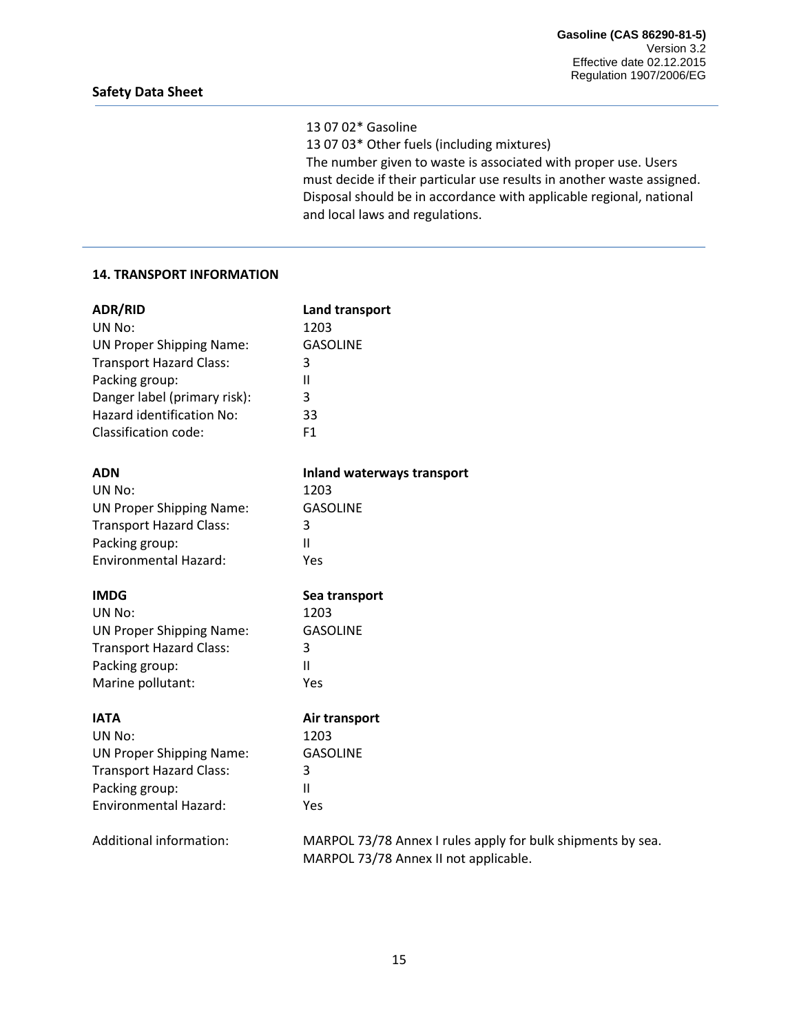13 07 02\* Gasoline 13 07 03\* Other fuels (including mixtures) The number given to waste is associated with proper use. Users must decide if their particular use results in another waste assigned. Disposal should be in accordance with applicable regional, national and local laws and regulations.

#### **14. TRANSPORT INFORMATION**

| <b>ADR/RID</b>                   | Land transport                                                                                       |
|----------------------------------|------------------------------------------------------------------------------------------------------|
| UN No:                           | 1203                                                                                                 |
| <b>UN Proper Shipping Name:</b>  | <b>GASOLINE</b>                                                                                      |
| <b>Transport Hazard Class:</b>   | 3                                                                                                    |
| Packing group:                   | Ш                                                                                                    |
| Danger label (primary risk):     | 3                                                                                                    |
| <b>Hazard identification No:</b> | 33                                                                                                   |
| Classification code:             | F <sub>1</sub>                                                                                       |
| <b>ADN</b>                       | Inland waterways transport                                                                           |
| UN No:                           | 1203                                                                                                 |
| <b>UN Proper Shipping Name:</b>  | <b>GASOLINE</b>                                                                                      |
| <b>Transport Hazard Class:</b>   | 3                                                                                                    |
| Packing group:                   | $\mathbf{I}$                                                                                         |
| <b>Environmental Hazard:</b>     | Yes                                                                                                  |
| <b>IMDG</b>                      | Sea transport                                                                                        |
|                                  |                                                                                                      |
| UN No:                           | 1203                                                                                                 |
| <b>UN Proper Shipping Name:</b>  | <b>GASOLINE</b>                                                                                      |
| <b>Transport Hazard Class:</b>   | 3                                                                                                    |
| Packing group:                   | $\mathbf{H}$                                                                                         |
| Marine pollutant:                | Yes                                                                                                  |
| <b>IATA</b>                      | Air transport                                                                                        |
| UN No:                           | 1203                                                                                                 |
| <b>UN Proper Shipping Name:</b>  | <b>GASOLINE</b>                                                                                      |
| <b>Transport Hazard Class:</b>   | 3                                                                                                    |
| Packing group:                   | $\mathbf{I}$                                                                                         |
| <b>Environmental Hazard:</b>     | Yes                                                                                                  |
| Additional information:          | MARPOL 73/78 Annex I rules apply for bulk shipments by sea.<br>MARPOL 73/78 Annex II not applicable. |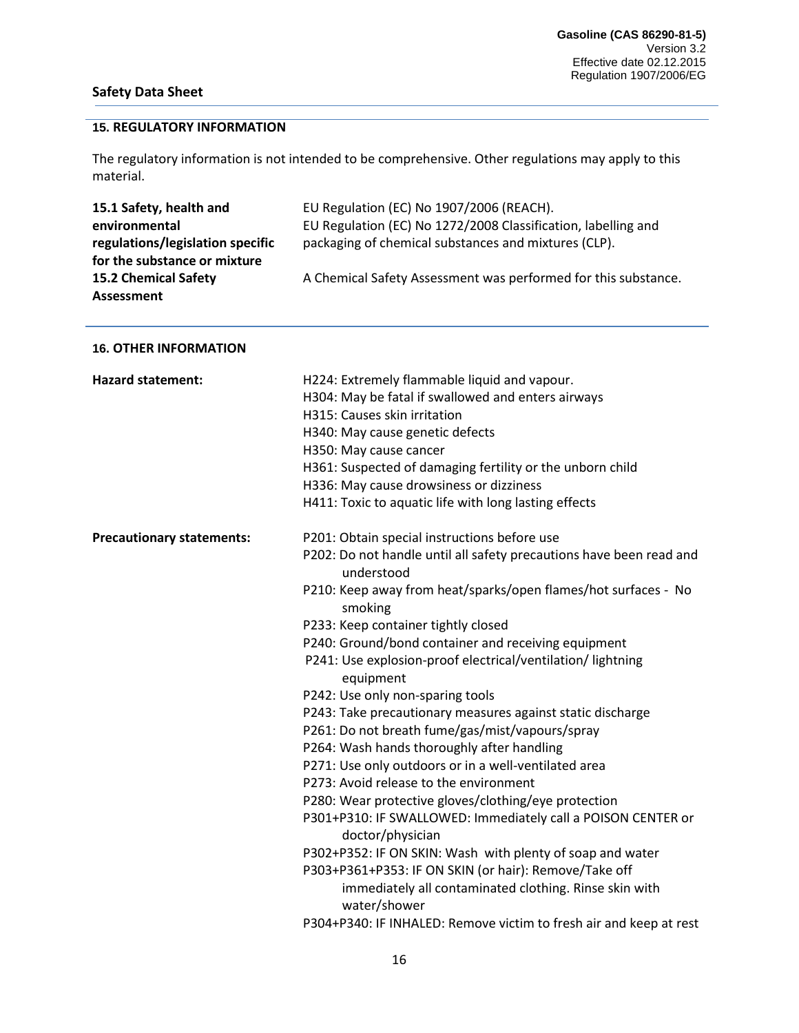# **15. REGULATORY INFORMATION**

The regulatory information is not intended to be comprehensive. Other regulations may apply to this material.

| 15.1 Safety, health and          | EU Regulation (EC) No 1907/2006 (REACH).                       |
|----------------------------------|----------------------------------------------------------------|
| environmental                    | EU Regulation (EC) No 1272/2008 Classification, labelling and  |
| regulations/legislation specific | packaging of chemical substances and mixtures (CLP).           |
| for the substance or mixture     |                                                                |
| <b>15.2 Chemical Safety</b>      | A Chemical Safety Assessment was performed for this substance. |
| Assessment                       |                                                                |

#### **16. OTHER INFORMATION**

| <b>Hazard statement:</b>         | H224: Extremely flammable liquid and vapour.<br>H304: May be fatal if swallowed and enters airways<br>H315: Causes skin irritation<br>H340: May cause genetic defects<br>H350: May cause cancer<br>H361: Suspected of damaging fertility or the unborn child<br>H336: May cause drowsiness or dizziness<br>H411: Toxic to aquatic life with long lasting effects |
|----------------------------------|------------------------------------------------------------------------------------------------------------------------------------------------------------------------------------------------------------------------------------------------------------------------------------------------------------------------------------------------------------------|
| <b>Precautionary statements:</b> | P201: Obtain special instructions before use<br>P202: Do not handle until all safety precautions have been read and                                                                                                                                                                                                                                              |
|                                  | understood                                                                                                                                                                                                                                                                                                                                                       |
|                                  | P210: Keep away from heat/sparks/open flames/hot surfaces - No<br>smoking                                                                                                                                                                                                                                                                                        |
|                                  | P233: Keep container tightly closed                                                                                                                                                                                                                                                                                                                              |
|                                  | P240: Ground/bond container and receiving equipment                                                                                                                                                                                                                                                                                                              |
|                                  | P241: Use explosion-proof electrical/ventilation/ lightning<br>equipment                                                                                                                                                                                                                                                                                         |
|                                  | P242: Use only non-sparing tools                                                                                                                                                                                                                                                                                                                                 |
|                                  | P243: Take precautionary measures against static discharge                                                                                                                                                                                                                                                                                                       |
|                                  | P261: Do not breath fume/gas/mist/vapours/spray                                                                                                                                                                                                                                                                                                                  |
|                                  | P264: Wash hands thoroughly after handling                                                                                                                                                                                                                                                                                                                       |
|                                  | P271: Use only outdoors or in a well-ventilated area                                                                                                                                                                                                                                                                                                             |
|                                  | P273: Avoid release to the environment                                                                                                                                                                                                                                                                                                                           |
|                                  | P280: Wear protective gloves/clothing/eye protection                                                                                                                                                                                                                                                                                                             |
|                                  | P301+P310: IF SWALLOWED: Immediately call a POISON CENTER or<br>doctor/physician                                                                                                                                                                                                                                                                                 |
|                                  | P302+P352: IF ON SKIN: Wash with plenty of soap and water                                                                                                                                                                                                                                                                                                        |
|                                  | P303+P361+P353: IF ON SKIN (or hair): Remove/Take off                                                                                                                                                                                                                                                                                                            |
|                                  | immediately all contaminated clothing. Rinse skin with<br>water/shower                                                                                                                                                                                                                                                                                           |
|                                  | P304+P340: IF INHALED: Remove victim to fresh air and keep at rest                                                                                                                                                                                                                                                                                               |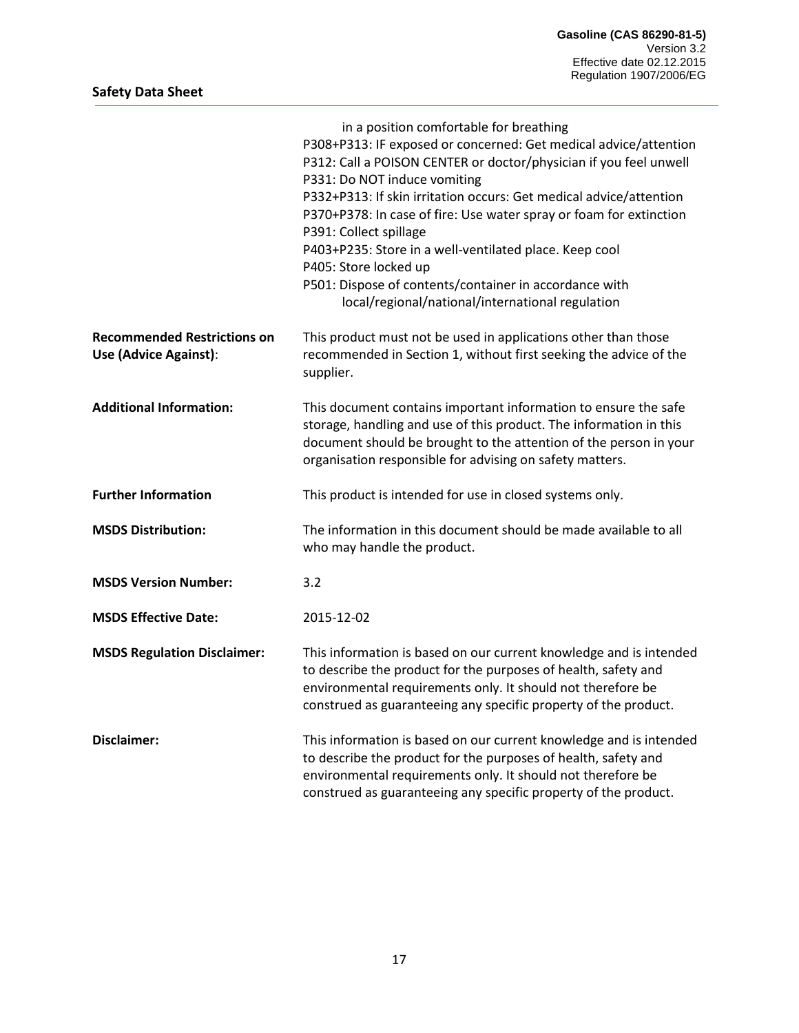|                                                             | in a position comfortable for breathing<br>P308+P313: IF exposed or concerned: Get medical advice/attention<br>P312: Call a POISON CENTER or doctor/physician if you feel unwell<br>P331: Do NOT induce vomiting<br>P332+P313: If skin irritation occurs: Get medical advice/attention<br>P370+P378: In case of fire: Use water spray or foam for extinction<br>P391: Collect spillage<br>P403+P235: Store in a well-ventilated place. Keep cool<br>P405: Store locked up<br>P501: Dispose of contents/container in accordance with<br>local/regional/national/international regulation |
|-------------------------------------------------------------|-----------------------------------------------------------------------------------------------------------------------------------------------------------------------------------------------------------------------------------------------------------------------------------------------------------------------------------------------------------------------------------------------------------------------------------------------------------------------------------------------------------------------------------------------------------------------------------------|
| <b>Recommended Restrictions on</b><br>Use (Advice Against): | This product must not be used in applications other than those<br>recommended in Section 1, without first seeking the advice of the<br>supplier.                                                                                                                                                                                                                                                                                                                                                                                                                                        |
| <b>Additional Information:</b>                              | This document contains important information to ensure the safe<br>storage, handling and use of this product. The information in this<br>document should be brought to the attention of the person in your<br>organisation responsible for advising on safety matters.                                                                                                                                                                                                                                                                                                                  |
| <b>Further Information</b>                                  | This product is intended for use in closed systems only.                                                                                                                                                                                                                                                                                                                                                                                                                                                                                                                                |
| <b>MSDS Distribution:</b>                                   | The information in this document should be made available to all<br>who may handle the product.                                                                                                                                                                                                                                                                                                                                                                                                                                                                                         |
| <b>MSDS Version Number:</b>                                 | 3.2                                                                                                                                                                                                                                                                                                                                                                                                                                                                                                                                                                                     |
| <b>MSDS Effective Date:</b>                                 | 2015-12-02                                                                                                                                                                                                                                                                                                                                                                                                                                                                                                                                                                              |
| <b>MSDS Regulation Disclaimer:</b>                          | This information is based on our current knowledge and is intended<br>to describe the product for the purposes of health, safety and<br>environmental requirements only. It should not therefore be<br>construed as guaranteeing any specific property of the product.                                                                                                                                                                                                                                                                                                                  |
| Disclaimer:                                                 | This information is based on our current knowledge and is intended<br>to describe the product for the purposes of health, safety and<br>environmental requirements only. It should not therefore be<br>construed as guaranteeing any specific property of the product.                                                                                                                                                                                                                                                                                                                  |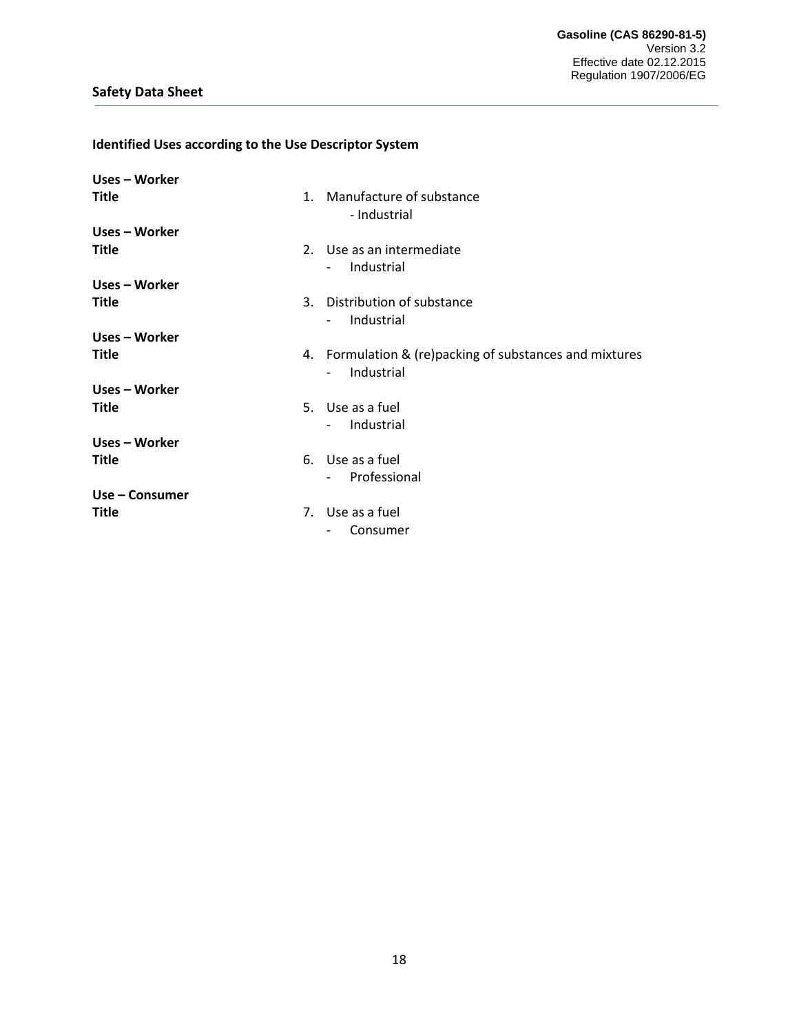# **Identified Uses according to the Use Descriptor System**

| Uses – Worker  |    |                                                                                                   |
|----------------|----|---------------------------------------------------------------------------------------------------|
| <b>Title</b>   | 1. | Manufacture of substance<br>- Industrial                                                          |
| Uses – Worker  |    |                                                                                                   |
| <b>Title</b>   |    | 2. Use as an intermediate<br>Industrial                                                           |
| Uses – Worker  |    |                                                                                                   |
| <b>Title</b>   | 3. | Distribution of substance<br>Industrial<br>$\overline{\phantom{0}}$                               |
| Uses – Worker  |    |                                                                                                   |
| <b>Title</b>   |    | 4. Formulation & (re)packing of substances and mixtures<br>Industrial<br>$\overline{\phantom{0}}$ |
| Uses – Worker  |    |                                                                                                   |
| <b>Title</b>   |    | 5. Use as a fuel                                                                                  |
|                |    | Industrial                                                                                        |
| Uses – Worker  |    |                                                                                                   |
| <b>Title</b>   |    | 6. Use as a fuel<br>Professional<br>$\sim$                                                        |
| Use – Consumer |    |                                                                                                   |
| <b>Title</b>   |    | 7. Use as a fuel                                                                                  |
|                |    | Consumer                                                                                          |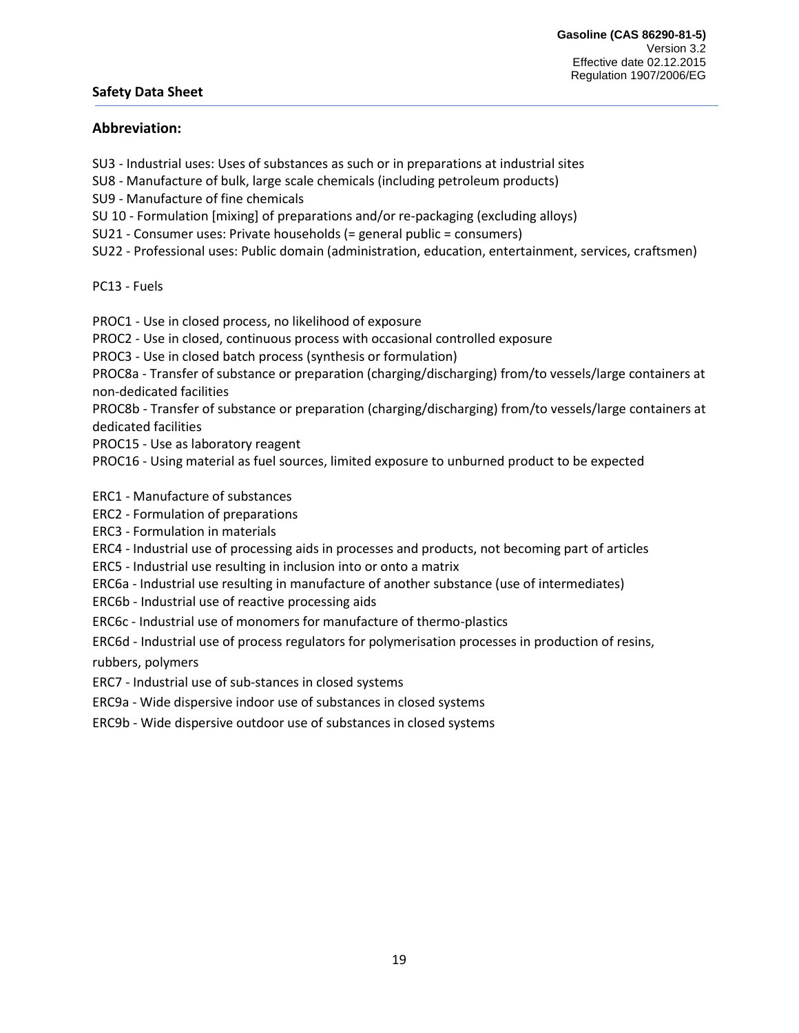# **Abbreviation:**

- SU3 Industrial uses: Uses of substances as such or in preparations at industrial sites
- SU8 Manufacture of bulk, large scale chemicals (including petroleum products)
- SU9 Manufacture of fine chemicals
- SU 10 Formulation [mixing] of preparations and/or re-packaging (excluding alloys)
- SU21 Consumer uses: Private households (= general public = consumers)
- SU22 Professional uses: Public domain (administration, education, entertainment, services, craftsmen)

PC13 - Fuels

- PROC1 Use in closed process, no likelihood of exposure
- PROC2 Use in closed, continuous process with occasional controlled exposure
- PROC3 Use in closed batch process (synthesis or formulation)

PROC8a - Transfer of substance or preparation (charging/discharging) from/to vessels/large containers at non-dedicated facilities

PROC8b - Transfer of substance or preparation (charging/discharging) from/to vessels/large containers at dedicated facilities

PROC15 - Use as laboratory reagent

PROC16 - Using material as fuel sources, limited exposure to unburned product to be expected

ERC1 - Manufacture of substances

ERC2 - Formulation of preparations

ERC3 - Formulation in materials

ERC4 - Industrial use of processing aids in processes and products, not becoming part of articles

- ERC5 Industrial use resulting in inclusion into or onto a matrix
- ERC6a Industrial use resulting in manufacture of another substance (use of intermediates)
- ERC6b Industrial use of reactive processing aids

ERC6c - Industrial use of monomers for manufacture of thermo-plastics

ERC6d - Industrial use of process regulators for polymerisation processes in production of resins,

rubbers, polymers

ERC7 - Industrial use of sub-stances in closed systems

ERC9a - Wide dispersive indoor use of substances in closed systems

ERC9b - Wide dispersive outdoor use of substances in closed systems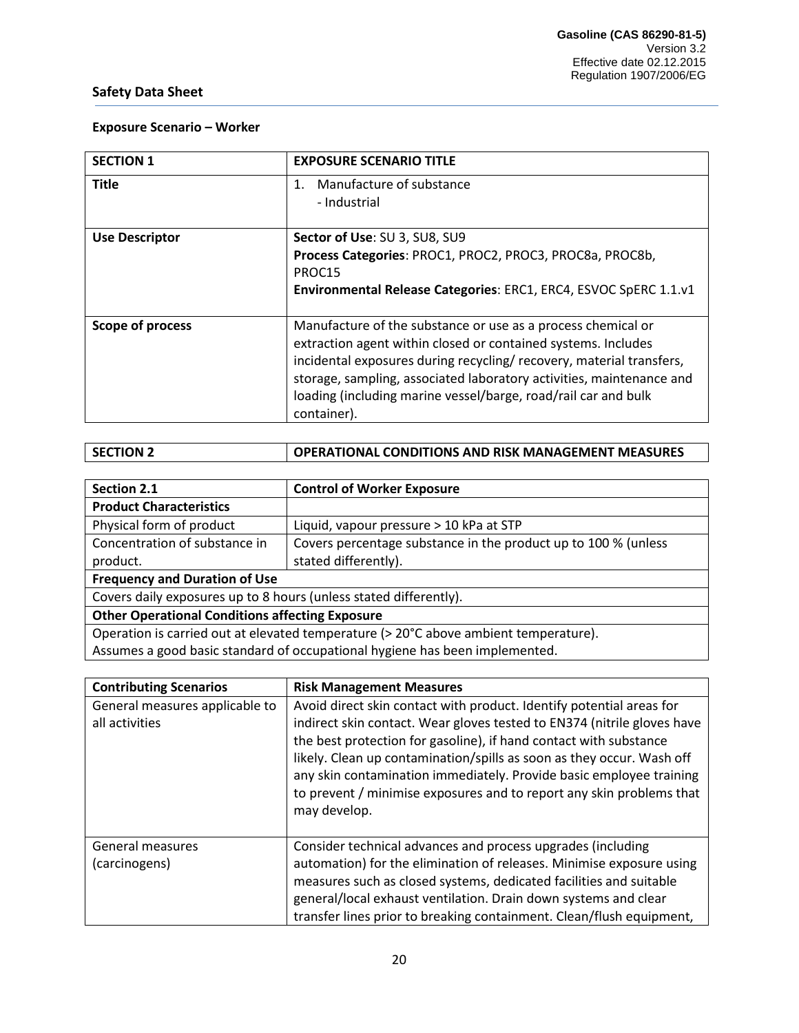# **Exposure Scenario – Worker**

| <b>SECTION 1</b>        | <b>EXPOSURE SCENARIO TITLE</b>                                                                                                                                                                                                                                                                                                                                |
|-------------------------|---------------------------------------------------------------------------------------------------------------------------------------------------------------------------------------------------------------------------------------------------------------------------------------------------------------------------------------------------------------|
| <b>Title</b>            | Manufacture of substance<br>$\mathbf{1}$ .<br>- Industrial                                                                                                                                                                                                                                                                                                    |
| <b>Use Descriptor</b>   | Sector of Use: SU 3, SU8, SU9<br>Process Categories: PROC1, PROC2, PROC3, PROC8a, PROC8b,<br>PROC15<br>Environmental Release Categories: ERC1, ERC4, ESVOC SpERC 1.1.v1                                                                                                                                                                                       |
| <b>Scope of process</b> | Manufacture of the substance or use as a process chemical or<br>extraction agent within closed or contained systems. Includes<br>incidental exposures during recycling/recovery, material transfers,<br>storage, sampling, associated laboratory activities, maintenance and<br>loading (including marine vessel/barge, road/rail car and bulk<br>container). |

| <b>SECTION 2</b> | OPERATIONAL CONDITIONS AND RISK MANAGEMENT MEASURES |
|------------------|-----------------------------------------------------|
|                  |                                                     |

| Section 2.1                                                                          | <b>Control of Worker Exposure</b>                              |  |  |
|--------------------------------------------------------------------------------------|----------------------------------------------------------------|--|--|
| <b>Product Characteristics</b>                                                       |                                                                |  |  |
| Physical form of product                                                             | Liquid, vapour pressure > 10 kPa at STP                        |  |  |
| Concentration of substance in                                                        | Covers percentage substance in the product up to 100 % (unless |  |  |
| product.                                                                             | stated differently).                                           |  |  |
| <b>Frequency and Duration of Use</b>                                                 |                                                                |  |  |
| Covers daily exposures up to 8 hours (unless stated differently).                    |                                                                |  |  |
| <b>Other Operational Conditions affecting Exposure</b>                               |                                                                |  |  |
| Operation is carried out at elevated temperature (> 20°C above ambient temperature). |                                                                |  |  |
| Assumes a good basic standard of occupational hygiene has been implemented.          |                                                                |  |  |

| <b>Contributing Scenarios</b>                    | <b>Risk Management Measures</b>                                                                                                                                                                                                                                                                                                                                                                                                                              |
|--------------------------------------------------|--------------------------------------------------------------------------------------------------------------------------------------------------------------------------------------------------------------------------------------------------------------------------------------------------------------------------------------------------------------------------------------------------------------------------------------------------------------|
| General measures applicable to<br>all activities | Avoid direct skin contact with product. Identify potential areas for<br>indirect skin contact. Wear gloves tested to EN374 (nitrile gloves have<br>the best protection for gasoline), if hand contact with substance<br>likely. Clean up contamination/spills as soon as they occur. Wash off<br>any skin contamination immediately. Provide basic employee training<br>to prevent / minimise exposures and to report any skin problems that<br>may develop. |
| General measures<br>(carcinogens)                | Consider technical advances and process upgrades (including<br>automation) for the elimination of releases. Minimise exposure using<br>measures such as closed systems, dedicated facilities and suitable<br>general/local exhaust ventilation. Drain down systems and clear<br>transfer lines prior to breaking containment. Clean/flush equipment,                                                                                                         |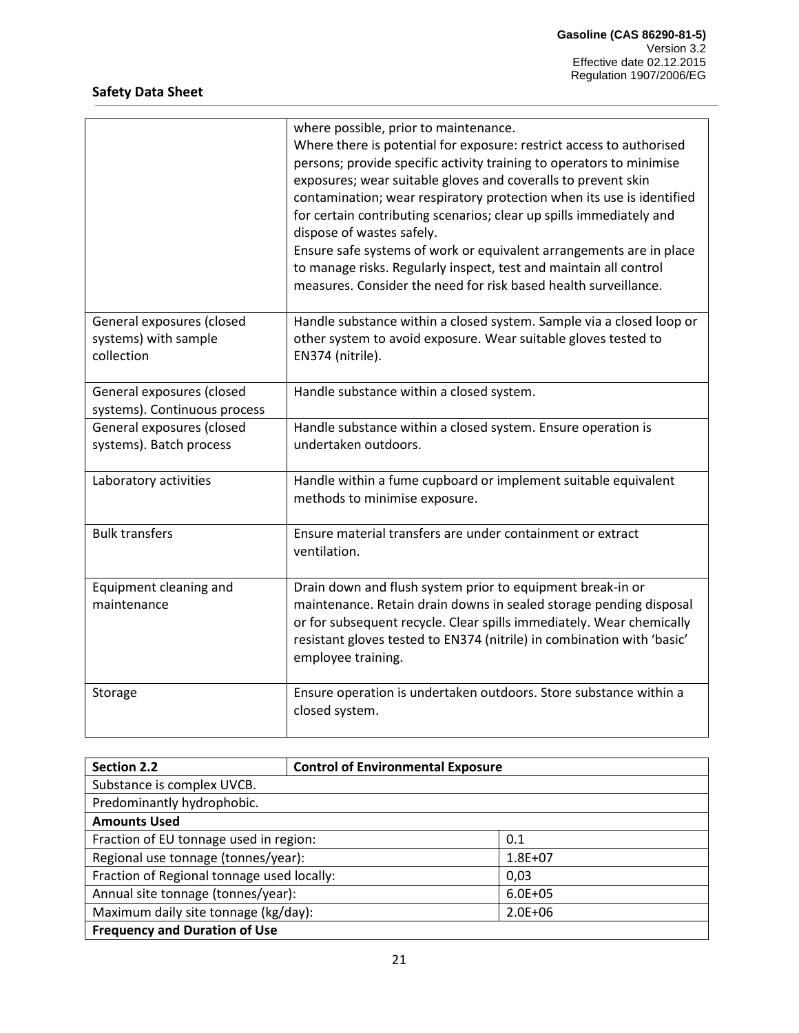|                                                                 | where possible, prior to maintenance.<br>Where there is potential for exposure: restrict access to authorised<br>persons; provide specific activity training to operators to minimise<br>exposures; wear suitable gloves and coveralls to prevent skin<br>contamination; wear respiratory protection when its use is identified<br>for certain contributing scenarios; clear up spills immediately and<br>dispose of wastes safely.<br>Ensure safe systems of work or equivalent arrangements are in place<br>to manage risks. Regularly inspect, test and maintain all control<br>measures. Consider the need for risk based health surveillance. |
|-----------------------------------------------------------------|----------------------------------------------------------------------------------------------------------------------------------------------------------------------------------------------------------------------------------------------------------------------------------------------------------------------------------------------------------------------------------------------------------------------------------------------------------------------------------------------------------------------------------------------------------------------------------------------------------------------------------------------------|
| General exposures (closed<br>systems) with sample<br>collection | Handle substance within a closed system. Sample via a closed loop or<br>other system to avoid exposure. Wear suitable gloves tested to<br>EN374 (nitrile).                                                                                                                                                                                                                                                                                                                                                                                                                                                                                         |
| General exposures (closed<br>systems). Continuous process       | Handle substance within a closed system.                                                                                                                                                                                                                                                                                                                                                                                                                                                                                                                                                                                                           |
| General exposures (closed<br>systems). Batch process            | Handle substance within a closed system. Ensure operation is<br>undertaken outdoors.                                                                                                                                                                                                                                                                                                                                                                                                                                                                                                                                                               |
| Laboratory activities                                           | Handle within a fume cupboard or implement suitable equivalent<br>methods to minimise exposure.                                                                                                                                                                                                                                                                                                                                                                                                                                                                                                                                                    |
| <b>Bulk transfers</b>                                           | Ensure material transfers are under containment or extract<br>ventilation.                                                                                                                                                                                                                                                                                                                                                                                                                                                                                                                                                                         |
| Equipment cleaning and<br>maintenance                           | Drain down and flush system prior to equipment break-in or<br>maintenance. Retain drain downs in sealed storage pending disposal<br>or for subsequent recycle. Clear spills immediately. Wear chemically<br>resistant gloves tested to EN374 (nitrile) in combination with 'basic'<br>employee training.                                                                                                                                                                                                                                                                                                                                           |
| Storage                                                         | Ensure operation is undertaken outdoors. Store substance within a<br>closed system.                                                                                                                                                                                                                                                                                                                                                                                                                                                                                                                                                                |

| Section 2.2                                | <b>Control of Environmental Exposure</b> |             |
|--------------------------------------------|------------------------------------------|-------------|
| Substance is complex UVCB.                 |                                          |             |
| Predominantly hydrophobic.                 |                                          |             |
| <b>Amounts Used</b>                        |                                          |             |
| Fraction of EU tonnage used in region:     |                                          | 0.1         |
| Regional use tonnage (tonnes/year):        |                                          | $1.8E + 07$ |
| Fraction of Regional tonnage used locally: |                                          | 0,03        |
| Annual site tonnage (tonnes/year):         |                                          | $6.0E + 05$ |
| Maximum daily site tonnage (kg/day):       |                                          | $2.0E + 06$ |
| <b>Frequency and Duration of Use</b>       |                                          |             |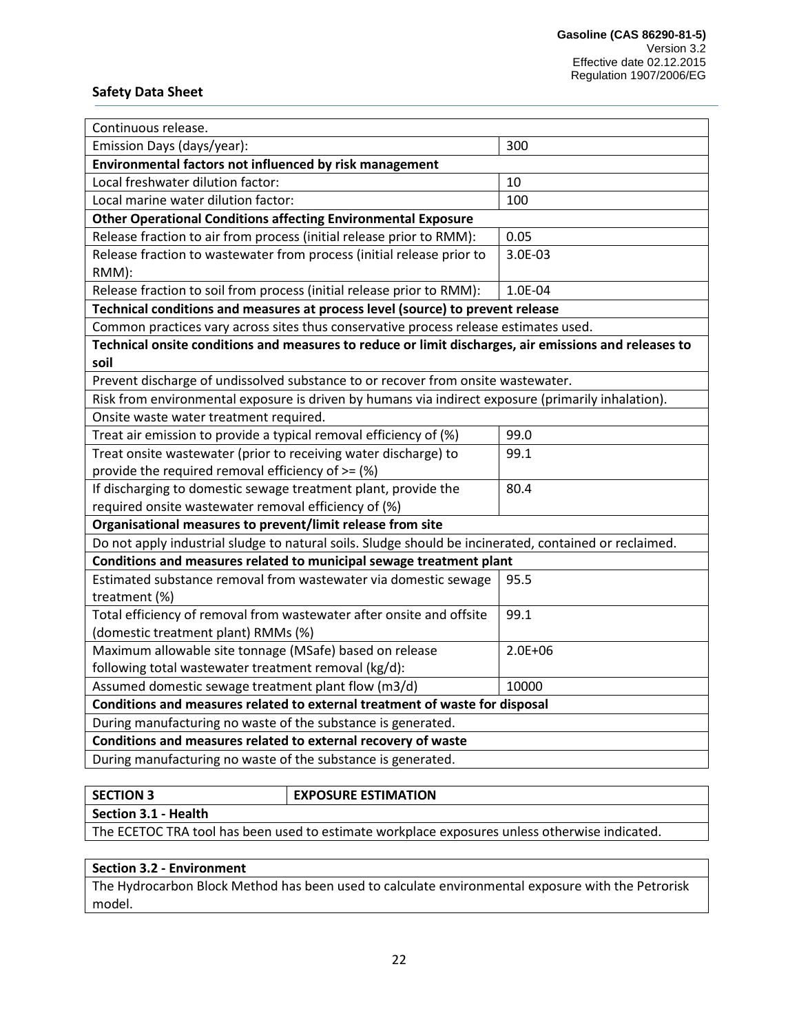| Continuous release.                                                                                    |             |  |  |
|--------------------------------------------------------------------------------------------------------|-------------|--|--|
| Emission Days (days/year):                                                                             | 300         |  |  |
| Environmental factors not influenced by risk management                                                |             |  |  |
| Local freshwater dilution factor:                                                                      | 10          |  |  |
| Local marine water dilution factor:                                                                    | 100         |  |  |
| <b>Other Operational Conditions affecting Environmental Exposure</b>                                   |             |  |  |
| Release fraction to air from process (initial release prior to RMM):                                   | 0.05        |  |  |
| Release fraction to wastewater from process (initial release prior to<br>RMM):                         | 3.0E-03     |  |  |
| Release fraction to soil from process (initial release prior to RMM):                                  | 1.0E-04     |  |  |
| Technical conditions and measures at process level (source) to prevent release                         |             |  |  |
| Common practices vary across sites thus conservative process release estimates used.                   |             |  |  |
| Technical onsite conditions and measures to reduce or limit discharges, air emissions and releases to  |             |  |  |
| soil                                                                                                   |             |  |  |
| Prevent discharge of undissolved substance to or recover from onsite wastewater.                       |             |  |  |
| Risk from environmental exposure is driven by humans via indirect exposure (primarily inhalation).     |             |  |  |
| Onsite waste water treatment required.                                                                 |             |  |  |
| Treat air emission to provide a typical removal efficiency of (%)                                      | 99.0        |  |  |
| Treat onsite wastewater (prior to receiving water discharge) to                                        | 99.1        |  |  |
| provide the required removal efficiency of >= (%)                                                      |             |  |  |
| If discharging to domestic sewage treatment plant, provide the                                         | 80.4        |  |  |
| required onsite wastewater removal efficiency of (%)                                                   |             |  |  |
| Organisational measures to prevent/limit release from site                                             |             |  |  |
| Do not apply industrial sludge to natural soils. Sludge should be incinerated, contained or reclaimed. |             |  |  |
| Conditions and measures related to municipal sewage treatment plant                                    |             |  |  |
| Estimated substance removal from wastewater via domestic sewage                                        | 95.5        |  |  |
| treatment (%)                                                                                          |             |  |  |
| Total efficiency of removal from wastewater after onsite and offsite                                   | 99.1        |  |  |
| (domestic treatment plant) RMMs (%)                                                                    |             |  |  |
| Maximum allowable site tonnage (MSafe) based on release                                                | $2.0E + 06$ |  |  |
| following total wastewater treatment removal (kg/d):                                                   |             |  |  |
| 10000<br>Assumed domestic sewage treatment plant flow (m3/d)                                           |             |  |  |
| Conditions and measures related to external treatment of waste for disposal                            |             |  |  |
| During manufacturing no waste of the substance is generated.                                           |             |  |  |
| Conditions and measures related to external recovery of waste                                          |             |  |  |
| During manufacturing no waste of the substance is generated.                                           |             |  |  |

| <b>SECTION 3</b>                                                                              | <b>EXPOSURE ESTIMATION</b> |
|-----------------------------------------------------------------------------------------------|----------------------------|
| Section 3.1 - Health                                                                          |                            |
| The ECETOC TRA tool has been used to estimate workplace exposures unless otherwise indicated. |                            |

#### **Section 3.2 - Environment**

The Hydrocarbon Block Method has been used to calculate environmental exposure with the Petrorisk model.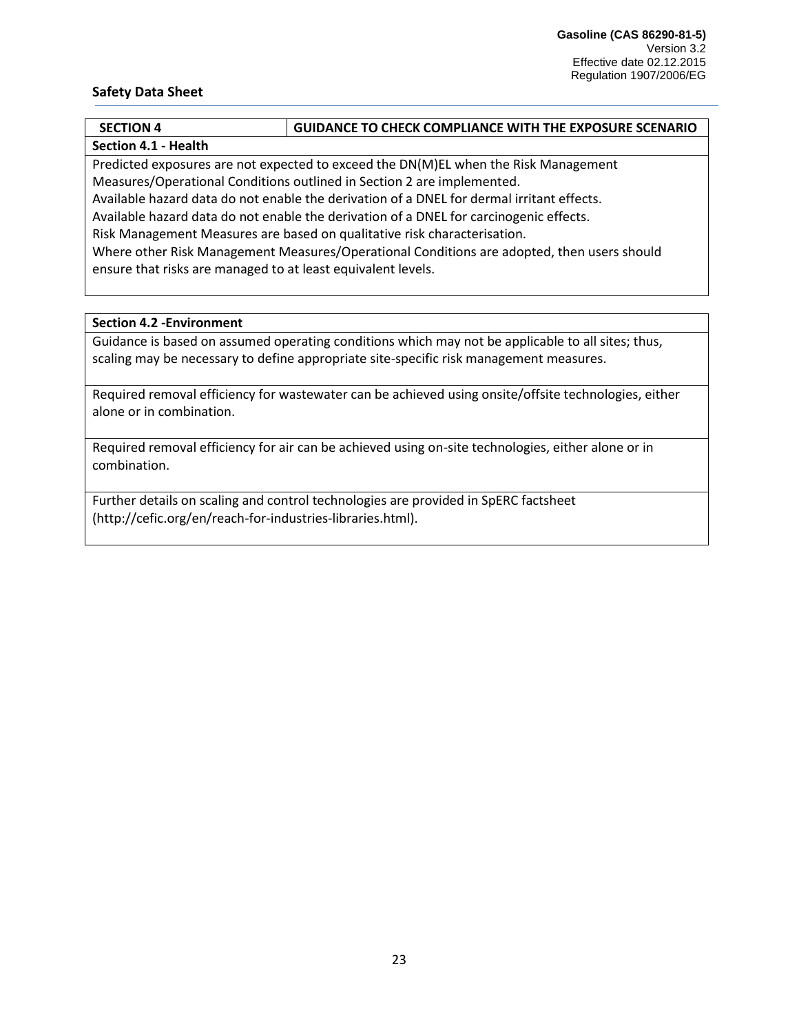| <b>SECTION 4</b>                                                                                                                                           | <b>GUIDANCE TO CHECK COMPLIANCE WITH THE EXPOSURE SCENARIO</b>                      |  |
|------------------------------------------------------------------------------------------------------------------------------------------------------------|-------------------------------------------------------------------------------------|--|
| Section 4.1 - Health                                                                                                                                       |                                                                                     |  |
|                                                                                                                                                            | Predicted exposures are not expected to exceed the DN(M)EL when the Risk Management |  |
| Measures/Operational Conditions outlined in Section 2 are implemented.                                                                                     |                                                                                     |  |
| Available hazard data do not enable the derivation of a DNEL for dermal irritant effects.                                                                  |                                                                                     |  |
| Available hazard data do not enable the derivation of a DNEL for carcinogenic effects.                                                                     |                                                                                     |  |
| Risk Management Measures are based on qualitative risk characterisation.                                                                                   |                                                                                     |  |
| Where other Risk Management Measures/Operational Conditions are adopted, then users should<br>ensure that risks are managed to at least equivalent levels. |                                                                                     |  |
|                                                                                                                                                            |                                                                                     |  |

# **Section 4.2 -Environment**

Guidance is based on assumed operating conditions which may not be applicable to all sites; thus, scaling may be necessary to define appropriate site-specific risk management measures.

Required removal efficiency for wastewater can be achieved using onsite/offsite technologies, either alone or in combination.

Required removal efficiency for air can be achieved using on-site technologies, either alone or in combination.

Further details on scaling and control technologies are provided in SpERC factsheet (http://cefic.org/en/reach-for-industries-libraries.html).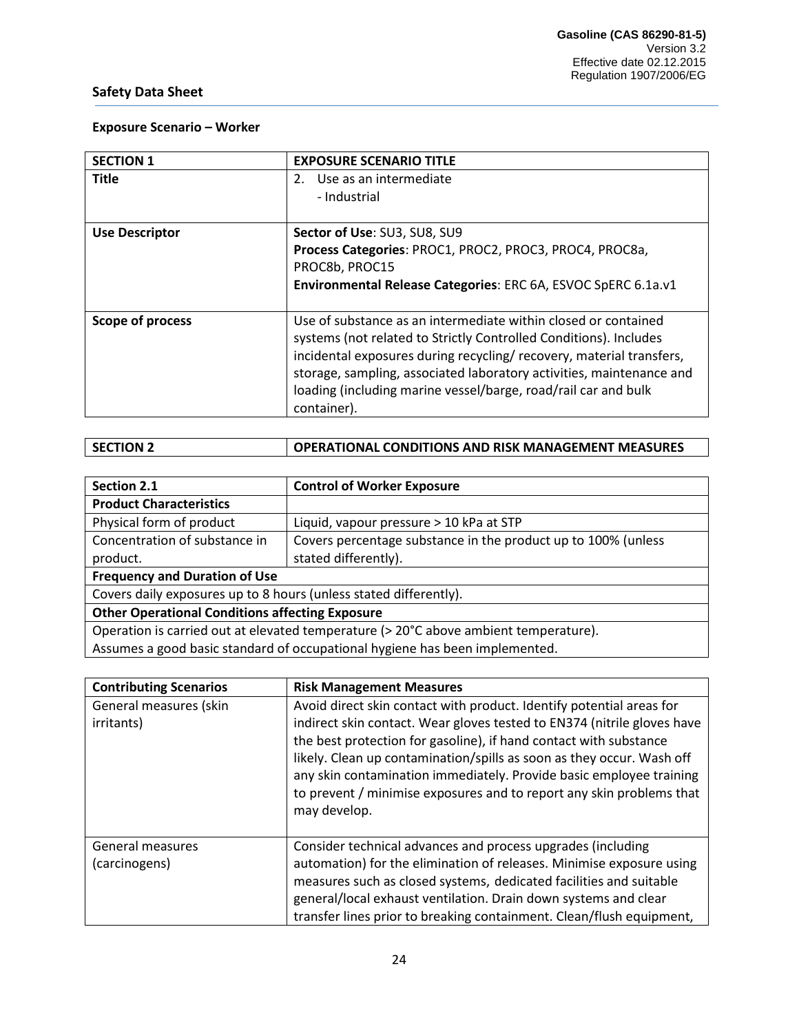# **Exposure Scenario – Worker**

| <b>SECTION 1</b>      | <b>EXPOSURE SCENARIO TITLE</b>                                                                                                                                                                                                                                                                                                                                      |
|-----------------------|---------------------------------------------------------------------------------------------------------------------------------------------------------------------------------------------------------------------------------------------------------------------------------------------------------------------------------------------------------------------|
| <b>Title</b>          | 2. Use as an intermediate<br>- Industrial                                                                                                                                                                                                                                                                                                                           |
| <b>Use Descriptor</b> | Sector of Use: SU3, SU8, SU9<br>Process Categories: PROC1, PROC2, PROC3, PROC4, PROC8a,<br>PROC8b, PROC15<br>Environmental Release Categories: ERC 6A, ESVOC SpERC 6.1a.v1                                                                                                                                                                                          |
| Scope of process      | Use of substance as an intermediate within closed or contained<br>systems (not related to Strictly Controlled Conditions). Includes<br>incidental exposures during recycling/recovery, material transfers,<br>storage, sampling, associated laboratory activities, maintenance and<br>loading (including marine vessel/barge, road/rail car and bulk<br>container). |

# **SECTION 2** OPERATIONAL CONDITIONS AND RISK MANAGEMENT MEASURES

| Section 2.1                                                                          | <b>Control of Worker Exposure</b>                             |  |
|--------------------------------------------------------------------------------------|---------------------------------------------------------------|--|
| <b>Product Characteristics</b>                                                       |                                                               |  |
| Physical form of product                                                             | Liquid, vapour pressure > 10 kPa at STP                       |  |
| Concentration of substance in                                                        | Covers percentage substance in the product up to 100% (unless |  |
| product.                                                                             | stated differently).                                          |  |
| <b>Frequency and Duration of Use</b>                                                 |                                                               |  |
| Covers daily exposures up to 8 hours (unless stated differently).                    |                                                               |  |
| <b>Other Operational Conditions affecting Exposure</b>                               |                                                               |  |
| Operation is carried out at elevated temperature (> 20°C above ambient temperature). |                                                               |  |
| Assumes a good basic standard of occupational hygiene has been implemented.          |                                                               |  |

| <b>Contributing Scenarios</b>            | <b>Risk Management Measures</b>                                                                                                                                                                                                                                                                                                                                                                                                                              |
|------------------------------------------|--------------------------------------------------------------------------------------------------------------------------------------------------------------------------------------------------------------------------------------------------------------------------------------------------------------------------------------------------------------------------------------------------------------------------------------------------------------|
| General measures (skin<br>irritants)     | Avoid direct skin contact with product. Identify potential areas for<br>indirect skin contact. Wear gloves tested to EN374 (nitrile gloves have<br>the best protection for gasoline), if hand contact with substance<br>likely. Clean up contamination/spills as soon as they occur. Wash off<br>any skin contamination immediately. Provide basic employee training<br>to prevent / minimise exposures and to report any skin problems that<br>may develop. |
| <b>General measures</b><br>(carcinogens) | Consider technical advances and process upgrades (including<br>automation) for the elimination of releases. Minimise exposure using<br>measures such as closed systems, dedicated facilities and suitable<br>general/local exhaust ventilation. Drain down systems and clear<br>transfer lines prior to breaking containment. Clean/flush equipment,                                                                                                         |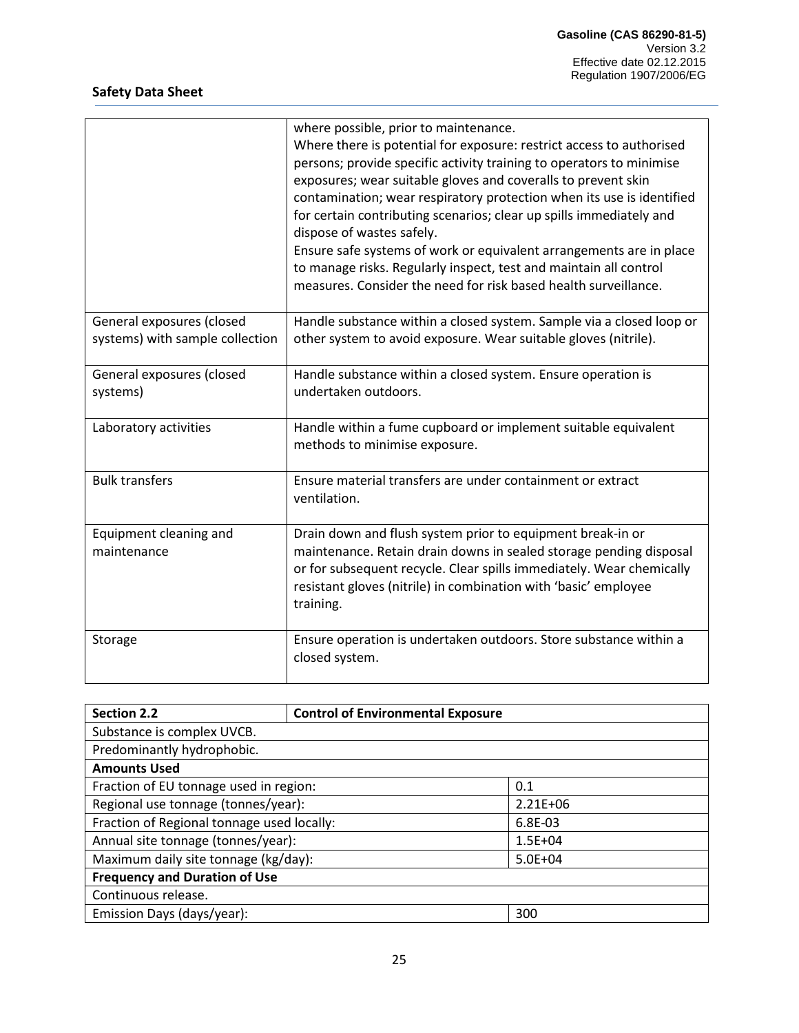|                                                              | where possible, prior to maintenance.<br>Where there is potential for exposure: restrict access to authorised<br>persons; provide specific activity training to operators to minimise<br>exposures; wear suitable gloves and coveralls to prevent skin<br>contamination; wear respiratory protection when its use is identified<br>for certain contributing scenarios; clear up spills immediately and<br>dispose of wastes safely.<br>Ensure safe systems of work or equivalent arrangements are in place<br>to manage risks. Regularly inspect, test and maintain all control<br>measures. Consider the need for risk based health surveillance. |
|--------------------------------------------------------------|----------------------------------------------------------------------------------------------------------------------------------------------------------------------------------------------------------------------------------------------------------------------------------------------------------------------------------------------------------------------------------------------------------------------------------------------------------------------------------------------------------------------------------------------------------------------------------------------------------------------------------------------------|
| General exposures (closed<br>systems) with sample collection | Handle substance within a closed system. Sample via a closed loop or<br>other system to avoid exposure. Wear suitable gloves (nitrile).                                                                                                                                                                                                                                                                                                                                                                                                                                                                                                            |
| General exposures (closed<br>systems)                        | Handle substance within a closed system. Ensure operation is<br>undertaken outdoors.                                                                                                                                                                                                                                                                                                                                                                                                                                                                                                                                                               |
| Laboratory activities                                        | Handle within a fume cupboard or implement suitable equivalent<br>methods to minimise exposure.                                                                                                                                                                                                                                                                                                                                                                                                                                                                                                                                                    |
| <b>Bulk transfers</b>                                        | Ensure material transfers are under containment or extract<br>ventilation.                                                                                                                                                                                                                                                                                                                                                                                                                                                                                                                                                                         |
| Equipment cleaning and<br>maintenance                        | Drain down and flush system prior to equipment break-in or<br>maintenance. Retain drain downs in sealed storage pending disposal<br>or for subsequent recycle. Clear spills immediately. Wear chemically<br>resistant gloves (nitrile) in combination with 'basic' employee<br>training.                                                                                                                                                                                                                                                                                                                                                           |
| Storage                                                      | Ensure operation is undertaken outdoors. Store substance within a<br>closed system.                                                                                                                                                                                                                                                                                                                                                                                                                                                                                                                                                                |

| <b>Section 2.2</b>                         | <b>Control of Environmental Exposure</b> |              |
|--------------------------------------------|------------------------------------------|--------------|
| Substance is complex UVCB.                 |                                          |              |
| Predominantly hydrophobic.                 |                                          |              |
| <b>Amounts Used</b>                        |                                          |              |
| Fraction of EU tonnage used in region:     |                                          | 0.1          |
| Regional use tonnage (tonnes/year):        |                                          | $2.21E + 06$ |
| Fraction of Regional tonnage used locally: |                                          | 6.8E-03      |
| Annual site tonnage (tonnes/year):         |                                          | $1.5E + 04$  |
| Maximum daily site tonnage (kg/day):       |                                          | $5.0E + 04$  |
| <b>Frequency and Duration of Use</b>       |                                          |              |
| Continuous release.                        |                                          |              |
| Emission Days (days/year):                 |                                          | 300          |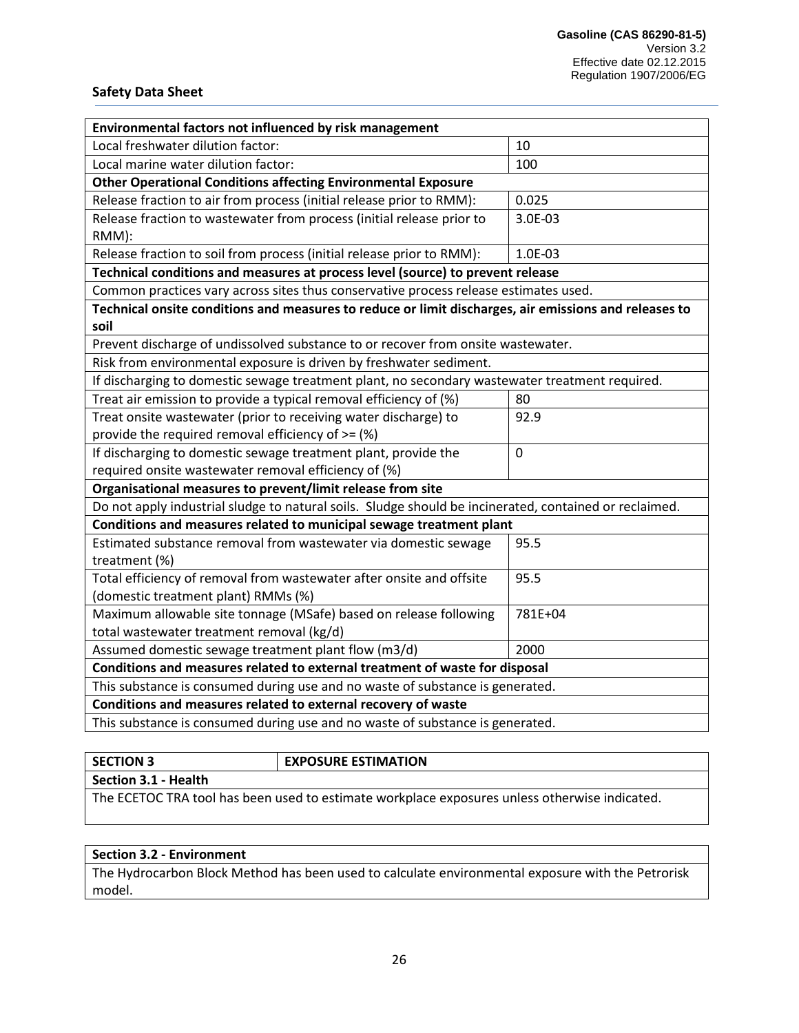| Environmental factors not influenced by risk management                                                |             |
|--------------------------------------------------------------------------------------------------------|-------------|
| Local freshwater dilution factor:                                                                      | 10          |
| Local marine water dilution factor:                                                                    | 100         |
| <b>Other Operational Conditions affecting Environmental Exposure</b>                                   |             |
| Release fraction to air from process (initial release prior to RMM):                                   | 0.025       |
| Release fraction to wastewater from process (initial release prior to                                  | 3.0E-03     |
| RMM):                                                                                                  |             |
| Release fraction to soil from process (initial release prior to RMM):                                  | 1.0E-03     |
| Technical conditions and measures at process level (source) to prevent release                         |             |
| Common practices vary across sites thus conservative process release estimates used.                   |             |
| Technical onsite conditions and measures to reduce or limit discharges, air emissions and releases to  |             |
| soil                                                                                                   |             |
| Prevent discharge of undissolved substance to or recover from onsite wastewater.                       |             |
| Risk from environmental exposure is driven by freshwater sediment.                                     |             |
| If discharging to domestic sewage treatment plant, no secondary wastewater treatment required.         |             |
| Treat air emission to provide a typical removal efficiency of (%)                                      | 80          |
| Treat onsite wastewater (prior to receiving water discharge) to                                        | 92.9        |
| provide the required removal efficiency of >= (%)                                                      |             |
| If discharging to domestic sewage treatment plant, provide the                                         | $\mathbf 0$ |
| required onsite wastewater removal efficiency of (%)                                                   |             |
| Organisational measures to prevent/limit release from site                                             |             |
| Do not apply industrial sludge to natural soils. Sludge should be incinerated, contained or reclaimed. |             |
| Conditions and measures related to municipal sewage treatment plant                                    |             |
| Estimated substance removal from wastewater via domestic sewage                                        | 95.5        |
| treatment (%)                                                                                          |             |
| Total efficiency of removal from wastewater after onsite and offsite                                   | 95.5        |
| (domestic treatment plant) RMMs (%)                                                                    |             |
| Maximum allowable site tonnage (MSafe) based on release following                                      | 781E+04     |
| total wastewater treatment removal (kg/d)                                                              |             |
| Assumed domestic sewage treatment plant flow (m3/d)<br>2000                                            |             |
| Conditions and measures related to external treatment of waste for disposal                            |             |
| This substance is consumed during use and no waste of substance is generated.                          |             |
| Conditions and measures related to external recovery of waste                                          |             |
| This substance is consumed during use and no waste of substance is generated.                          |             |

| <b>SECTION 3</b>                                                                              | <b>EXPOSURE ESTIMATION</b> |
|-----------------------------------------------------------------------------------------------|----------------------------|
| Section 3.1 - Health                                                                          |                            |
| The ECETOC TRA tool has been used to estimate workplace exposures unless otherwise indicated. |                            |

# **Section 3.2 - Environment**

The Hydrocarbon Block Method has been used to calculate environmental exposure with the Petrorisk model.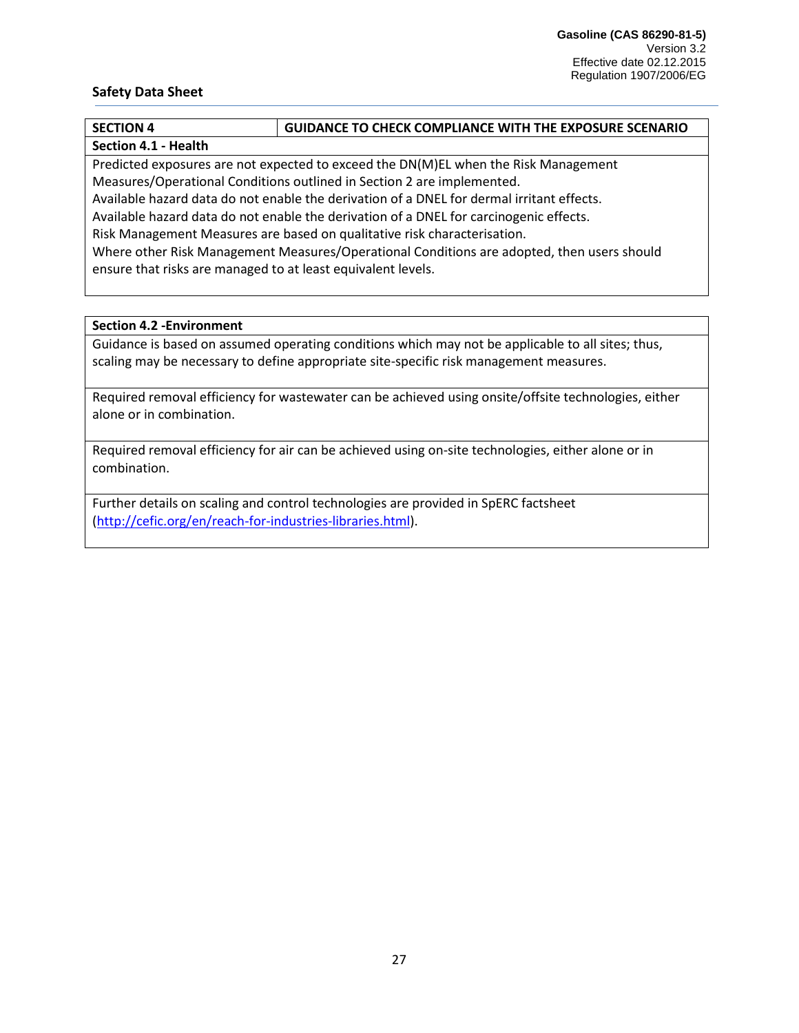| <b>SECTION 4</b>                                                                           | <b>GUIDANCE TO CHECK COMPLIANCE WITH THE EXPOSURE SCENARIO</b>                      |  |
|--------------------------------------------------------------------------------------------|-------------------------------------------------------------------------------------|--|
| Section 4.1 - Health                                                                       |                                                                                     |  |
|                                                                                            | Predicted exposures are not expected to exceed the DN(M)EL when the Risk Management |  |
| Measures/Operational Conditions outlined in Section 2 are implemented.                     |                                                                                     |  |
| Available hazard data do not enable the derivation of a DNEL for dermal irritant effects.  |                                                                                     |  |
| Available hazard data do not enable the derivation of a DNEL for carcinogenic effects.     |                                                                                     |  |
| Risk Management Measures are based on qualitative risk characterisation.                   |                                                                                     |  |
| Where other Risk Management Measures/Operational Conditions are adopted, then users should |                                                                                     |  |
| ensure that risks are managed to at least equivalent levels.                               |                                                                                     |  |
|                                                                                            |                                                                                     |  |

# **Section 4.2 -Environment**

Guidance is based on assumed operating conditions which may not be applicable to all sites; thus, scaling may be necessary to define appropriate site-specific risk management measures.

Required removal efficiency for wastewater can be achieved using onsite/offsite technologies, either alone or in combination.

Required removal efficiency for air can be achieved using on-site technologies, either alone or in combination.

Further details on scaling and control technologies are provided in SpERC factsheet [\(http://cefic.org/en/reach-for-industries-libraries.html\)](http://cefic.org/en/reach-for-industries-libraries.html).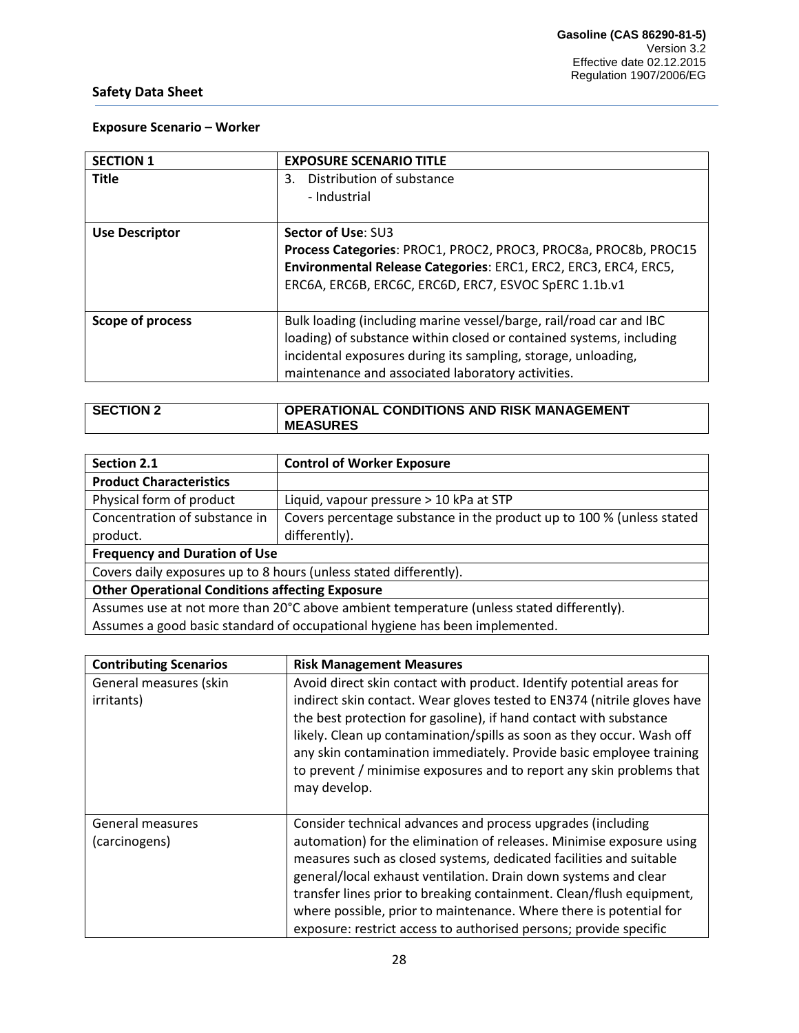# **Exposure Scenario – Worker**

| <b>SECTION 1</b>      | <b>EXPOSURE SCENARIO TITLE</b>                                      |
|-----------------------|---------------------------------------------------------------------|
| <b>Title</b>          | Distribution of substance<br>3.                                     |
|                       | - Industrial                                                        |
|                       |                                                                     |
| <b>Use Descriptor</b> | Sector of Use: SU3                                                  |
|                       | Process Categories: PROC1, PROC2, PROC3, PROC8a, PROC8b, PROC15     |
|                       | Environmental Release Categories: ERC1, ERC2, ERC3, ERC4, ERC5,     |
|                       | ERC6A, ERC6B, ERC6C, ERC6D, ERC7, ESVOC SpERC 1.1b.v1               |
|                       |                                                                     |
| Scope of process      | Bulk loading (including marine vessel/barge, rail/road car and IBC  |
|                       | loading) of substance within closed or contained systems, including |
|                       | incidental exposures during its sampling, storage, unloading,       |
|                       | maintenance and associated laboratory activities.                   |

| <b>SECTION 2</b> | OPERATIONAL CONDITIONS AND RISK MANAGEMENT |
|------------------|--------------------------------------------|
|                  | <b>MEASURES</b>                            |

| Section 2.1                                                                              | <b>Control of Worker Exposure</b>                                     |  |
|------------------------------------------------------------------------------------------|-----------------------------------------------------------------------|--|
| <b>Product Characteristics</b>                                                           |                                                                       |  |
| Physical form of product                                                                 | Liquid, vapour pressure > 10 kPa at STP                               |  |
| Concentration of substance in                                                            | Covers percentage substance in the product up to 100 % (unless stated |  |
| product.                                                                                 | differently).                                                         |  |
| <b>Frequency and Duration of Use</b>                                                     |                                                                       |  |
| Covers daily exposures up to 8 hours (unless stated differently).                        |                                                                       |  |
| <b>Other Operational Conditions affecting Exposure</b>                                   |                                                                       |  |
| Assumes use at not more than 20°C above ambient temperature (unless stated differently). |                                                                       |  |
| Assumes a good basic standard of occupational hygiene has been implemented.              |                                                                       |  |

| <b>Contributing Scenarios</b>        | <b>Risk Management Measures</b>                                                                                                                                                                                                                                                                                                                                                                                                                                                                 |
|--------------------------------------|-------------------------------------------------------------------------------------------------------------------------------------------------------------------------------------------------------------------------------------------------------------------------------------------------------------------------------------------------------------------------------------------------------------------------------------------------------------------------------------------------|
| General measures (skin<br>irritants) | Avoid direct skin contact with product. Identify potential areas for<br>indirect skin contact. Wear gloves tested to EN374 (nitrile gloves have<br>the best protection for gasoline), if hand contact with substance<br>likely. Clean up contamination/spills as soon as they occur. Wash off<br>any skin contamination immediately. Provide basic employee training<br>to prevent / minimise exposures and to report any skin problems that<br>may develop.                                    |
| General measures<br>(carcinogens)    | Consider technical advances and process upgrades (including<br>automation) for the elimination of releases. Minimise exposure using<br>measures such as closed systems, dedicated facilities and suitable<br>general/local exhaust ventilation. Drain down systems and clear<br>transfer lines prior to breaking containment. Clean/flush equipment,<br>where possible, prior to maintenance. Where there is potential for<br>exposure: restrict access to authorised persons; provide specific |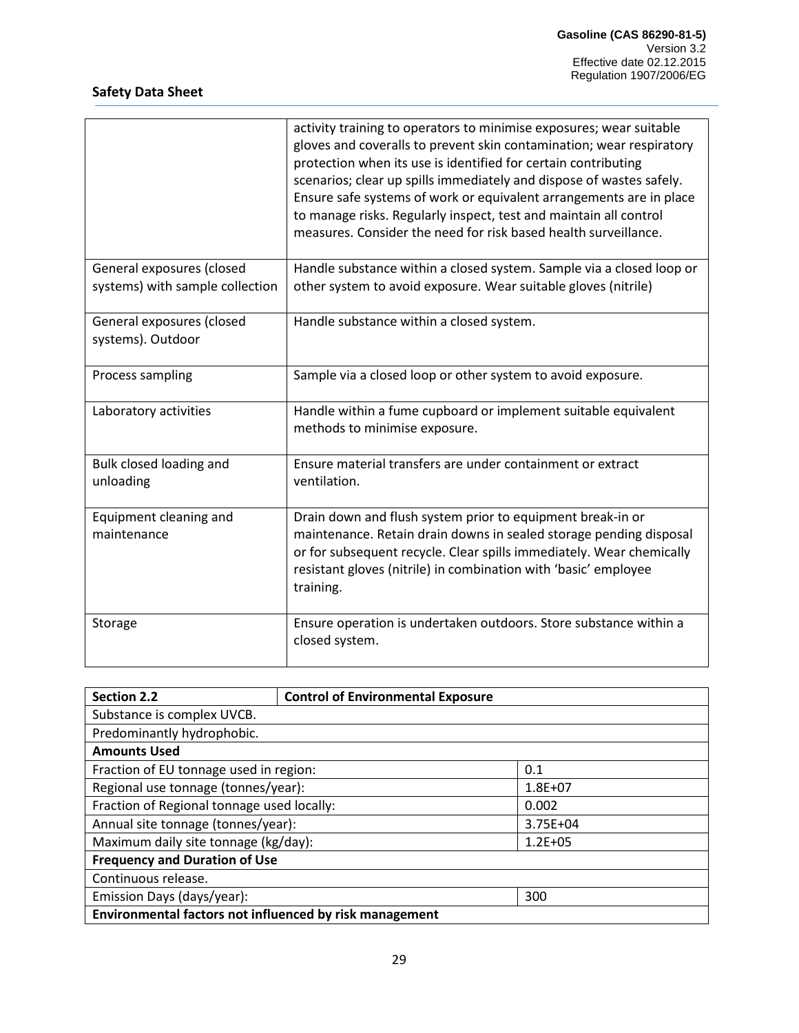|                                                              | activity training to operators to minimise exposures; wear suitable<br>gloves and coveralls to prevent skin contamination; wear respiratory<br>protection when its use is identified for certain contributing<br>scenarios; clear up spills immediately and dispose of wastes safely.<br>Ensure safe systems of work or equivalent arrangements are in place<br>to manage risks. Regularly inspect, test and maintain all control<br>measures. Consider the need for risk based health surveillance. |
|--------------------------------------------------------------|------------------------------------------------------------------------------------------------------------------------------------------------------------------------------------------------------------------------------------------------------------------------------------------------------------------------------------------------------------------------------------------------------------------------------------------------------------------------------------------------------|
| General exposures (closed<br>systems) with sample collection | Handle substance within a closed system. Sample via a closed loop or<br>other system to avoid exposure. Wear suitable gloves (nitrile)                                                                                                                                                                                                                                                                                                                                                               |
| General exposures (closed<br>systems). Outdoor               | Handle substance within a closed system.                                                                                                                                                                                                                                                                                                                                                                                                                                                             |
| Process sampling                                             | Sample via a closed loop or other system to avoid exposure.                                                                                                                                                                                                                                                                                                                                                                                                                                          |
| Laboratory activities                                        | Handle within a fume cupboard or implement suitable equivalent<br>methods to minimise exposure.                                                                                                                                                                                                                                                                                                                                                                                                      |
| Bulk closed loading and<br>unloading                         | Ensure material transfers are under containment or extract<br>ventilation.                                                                                                                                                                                                                                                                                                                                                                                                                           |
| Equipment cleaning and<br>maintenance                        | Drain down and flush system prior to equipment break-in or<br>maintenance. Retain drain downs in sealed storage pending disposal<br>or for subsequent recycle. Clear spills immediately. Wear chemically<br>resistant gloves (nitrile) in combination with 'basic' employee<br>training.                                                                                                                                                                                                             |
| Storage                                                      | Ensure operation is undertaken outdoors. Store substance within a<br>closed system.                                                                                                                                                                                                                                                                                                                                                                                                                  |

| <b>Section 2.2</b>                                      | <b>Control of Environmental Exposure</b> |              |
|---------------------------------------------------------|------------------------------------------|--------------|
| Substance is complex UVCB.                              |                                          |              |
| Predominantly hydrophobic.                              |                                          |              |
| <b>Amounts Used</b>                                     |                                          |              |
| Fraction of EU tonnage used in region:                  |                                          | 0.1          |
| Regional use tonnage (tonnes/year):                     |                                          | $1.8E + 07$  |
| Fraction of Regional tonnage used locally:              |                                          | 0.002        |
| Annual site tonnage (tonnes/year):                      |                                          | $3.75E + 04$ |
| Maximum daily site tonnage (kg/day):                    |                                          | $1.2E + 0.5$ |
| <b>Frequency and Duration of Use</b>                    |                                          |              |
| Continuous release.                                     |                                          |              |
| Emission Days (days/year):<br>300                       |                                          |              |
| Environmental factors not influenced by risk management |                                          |              |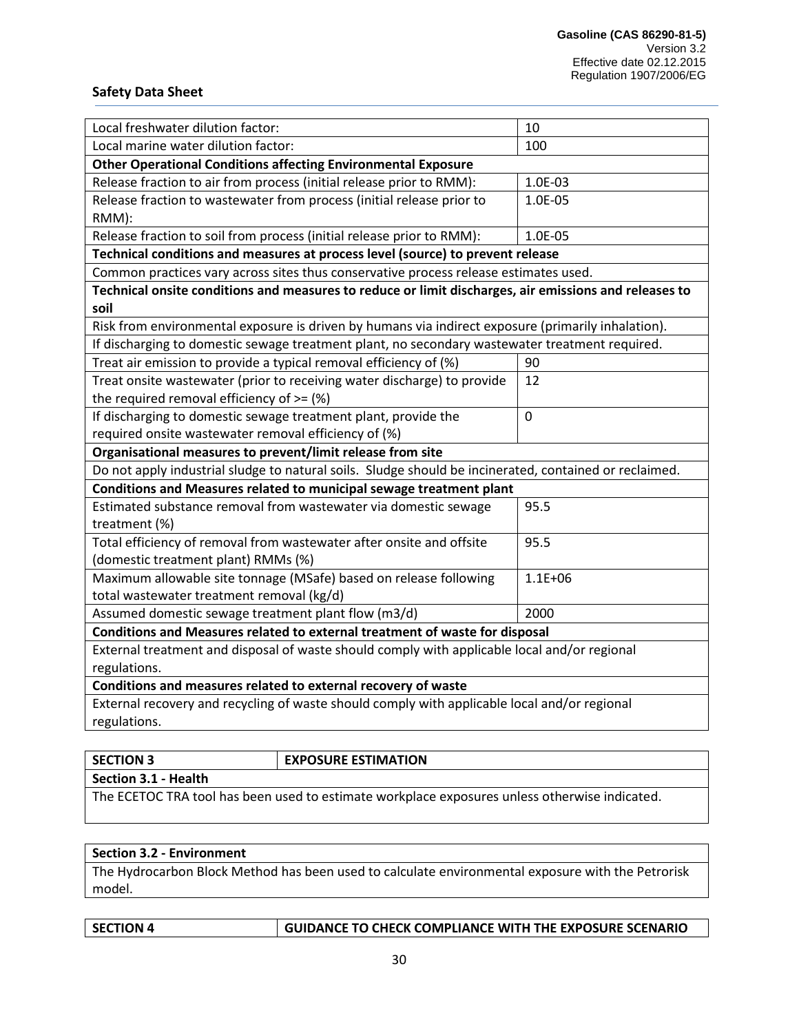| Local freshwater dilution factor:                                                                      | 10          |  |
|--------------------------------------------------------------------------------------------------------|-------------|--|
| Local marine water dilution factor:                                                                    | 100         |  |
| <b>Other Operational Conditions affecting Environmental Exposure</b>                                   |             |  |
| Release fraction to air from process (initial release prior to RMM):                                   | 1.0E-03     |  |
| Release fraction to wastewater from process (initial release prior to                                  | 1.0E-05     |  |
| RMM):                                                                                                  |             |  |
| Release fraction to soil from process (initial release prior to RMM):                                  | 1.0E-05     |  |
| Technical conditions and measures at process level (source) to prevent release                         |             |  |
| Common practices vary across sites thus conservative process release estimates used.                   |             |  |
| Technical onsite conditions and measures to reduce or limit discharges, air emissions and releases to  |             |  |
| soil                                                                                                   |             |  |
| Risk from environmental exposure is driven by humans via indirect exposure (primarily inhalation).     |             |  |
| If discharging to domestic sewage treatment plant, no secondary wastewater treatment required.         |             |  |
| Treat air emission to provide a typical removal efficiency of (%)                                      | 90          |  |
| Treat onsite wastewater (prior to receiving water discharge) to provide                                | 12          |  |
| the required removal efficiency of $>=(\%)$                                                            |             |  |
| If discharging to domestic sewage treatment plant, provide the                                         | $\mathbf 0$ |  |
| required onsite wastewater removal efficiency of (%)                                                   |             |  |
| Organisational measures to prevent/limit release from site                                             |             |  |
| Do not apply industrial sludge to natural soils. Sludge should be incinerated, contained or reclaimed. |             |  |
| Conditions and Measures related to municipal sewage treatment plant                                    |             |  |
| Estimated substance removal from wastewater via domestic sewage                                        | 95.5        |  |
| treatment (%)                                                                                          |             |  |
| Total efficiency of removal from wastewater after onsite and offsite                                   | 95.5        |  |
| (domestic treatment plant) RMMs (%)                                                                    |             |  |
| Maximum allowable site tonnage (MSafe) based on release following                                      | $1.1E + 06$ |  |
| total wastewater treatment removal (kg/d)                                                              |             |  |
| Assumed domestic sewage treatment plant flow (m3/d)                                                    | 2000        |  |
| Conditions and Measures related to external treatment of waste for disposal                            |             |  |
| External treatment and disposal of waste should comply with applicable local and/or regional           |             |  |
| regulations.                                                                                           |             |  |
| Conditions and measures related to external recovery of waste                                          |             |  |
| External recovery and recycling of waste should comply with applicable local and/or regional           |             |  |
| regulations.                                                                                           |             |  |

| <b>SECTION 3</b>                                                                              | <b>EXPOSURE ESTIMATION</b> |  |
|-----------------------------------------------------------------------------------------------|----------------------------|--|
| Section 3.1 - Health                                                                          |                            |  |
| The ECETOC TRA tool has been used to estimate workplace exposures unless otherwise indicated. |                            |  |

# **Section 3.2 - Environment**

The Hydrocarbon Block Method has been used to calculate environmental exposure with the Petrorisk model.

| GUIDANCE TO CHECK COMPLIANCE WITH THE EXPOSURE SCENARIO<br><b>SECTION 4</b> |
|-----------------------------------------------------------------------------|
|-----------------------------------------------------------------------------|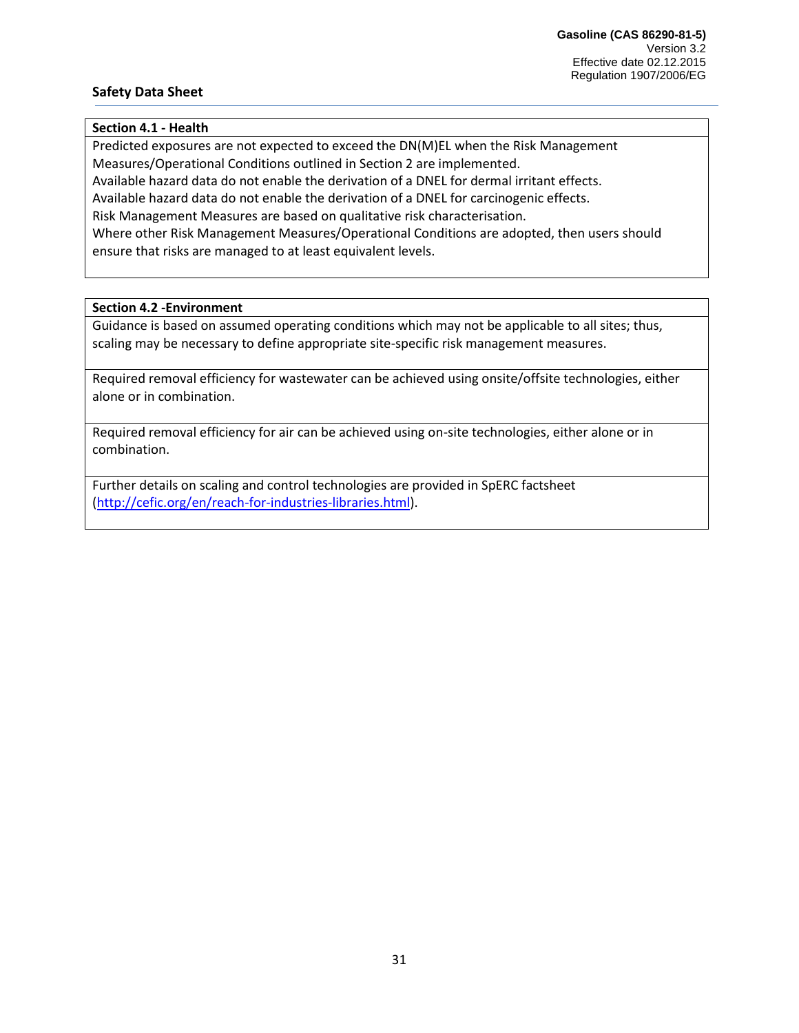#### **Section 4.1 - Health**

Predicted exposures are not expected to exceed the DN(M)EL when the Risk Management Measures/Operational Conditions outlined in Section 2 are implemented.

Available hazard data do not enable the derivation of a DNEL for dermal irritant effects.

Available hazard data do not enable the derivation of a DNEL for carcinogenic effects.

Risk Management Measures are based on qualitative risk characterisation.

Where other Risk Management Measures/Operational Conditions are adopted, then users should ensure that risks are managed to at least equivalent levels.

# **Section 4.2 -Environment**

Guidance is based on assumed operating conditions which may not be applicable to all sites; thus, scaling may be necessary to define appropriate site-specific risk management measures.

Required removal efficiency for wastewater can be achieved using onsite/offsite technologies, either alone or in combination.

Required removal efficiency for air can be achieved using on-site technologies, either alone or in combination.

Further details on scaling and control technologies are provided in SpERC factsheet [\(http://cefic.org/en/reach-for-industries-libraries.html\)](http://cefic.org/en/reach-for-industries-libraries.html).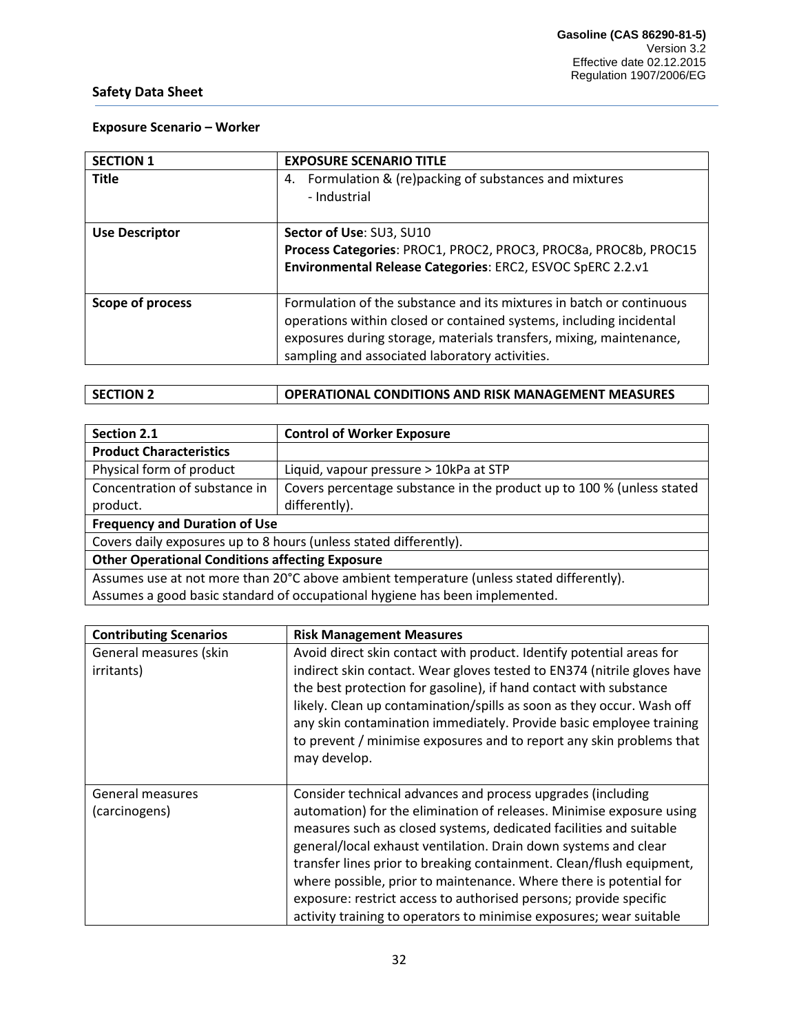# **Exposure Scenario – Worker**

| <b>SECTION 1</b>      | <b>EXPOSURE SCENARIO TITLE</b>                                                                                                                                                                                                                                       |
|-----------------------|----------------------------------------------------------------------------------------------------------------------------------------------------------------------------------------------------------------------------------------------------------------------|
| <b>Title</b>          | Formulation & (re)packing of substances and mixtures<br>4.<br>- Industrial                                                                                                                                                                                           |
| <b>Use Descriptor</b> | Sector of Use: SU3, SU10<br>Process Categories: PROC1, PROC2, PROC3, PROC8a, PROC8b, PROC15<br>Environmental Release Categories: ERC2, ESVOC SpERC 2.2.v1                                                                                                            |
| Scope of process      | Formulation of the substance and its mixtures in batch or continuous<br>operations within closed or contained systems, including incidental<br>exposures during storage, materials transfers, mixing, maintenance,<br>sampling and associated laboratory activities. |

| <b>SECTION 2</b> | OPERATIONAL CONDITIONS AND RISK MANAGEMENT MEASURES |
|------------------|-----------------------------------------------------|
|                  |                                                     |

| Section 2.1                                                                              | <b>Control of Worker Exposure</b>                                     |  |
|------------------------------------------------------------------------------------------|-----------------------------------------------------------------------|--|
| <b>Product Characteristics</b>                                                           |                                                                       |  |
| Physical form of product                                                                 | Liquid, vapour pressure > 10kPa at STP                                |  |
| Concentration of substance in                                                            | Covers percentage substance in the product up to 100 % (unless stated |  |
| product.                                                                                 | differently).                                                         |  |
| <b>Frequency and Duration of Use</b>                                                     |                                                                       |  |
| Covers daily exposures up to 8 hours (unless stated differently).                        |                                                                       |  |
| <b>Other Operational Conditions affecting Exposure</b>                                   |                                                                       |  |
| Assumes use at not more than 20°C above ambient temperature (unless stated differently). |                                                                       |  |
| Assumes a good basic standard of occupational hygiene has been implemented.              |                                                                       |  |

| <b>Contributing Scenarios</b>     | <b>Risk Management Measures</b>                                                                                                                                                                                                                                                                                                                                                                                                                                                                                                                                        |
|-----------------------------------|------------------------------------------------------------------------------------------------------------------------------------------------------------------------------------------------------------------------------------------------------------------------------------------------------------------------------------------------------------------------------------------------------------------------------------------------------------------------------------------------------------------------------------------------------------------------|
| General measures (skin            | Avoid direct skin contact with product. Identify potential areas for                                                                                                                                                                                                                                                                                                                                                                                                                                                                                                   |
| irritants)                        | indirect skin contact. Wear gloves tested to EN374 (nitrile gloves have<br>the best protection for gasoline), if hand contact with substance<br>likely. Clean up contamination/spills as soon as they occur. Wash off<br>any skin contamination immediately. Provide basic employee training<br>to prevent / minimise exposures and to report any skin problems that<br>may develop.                                                                                                                                                                                   |
| General measures<br>(carcinogens) | Consider technical advances and process upgrades (including<br>automation) for the elimination of releases. Minimise exposure using<br>measures such as closed systems, dedicated facilities and suitable<br>general/local exhaust ventilation. Drain down systems and clear<br>transfer lines prior to breaking containment. Clean/flush equipment,<br>where possible, prior to maintenance. Where there is potential for<br>exposure: restrict access to authorised persons; provide specific<br>activity training to operators to minimise exposures; wear suitable |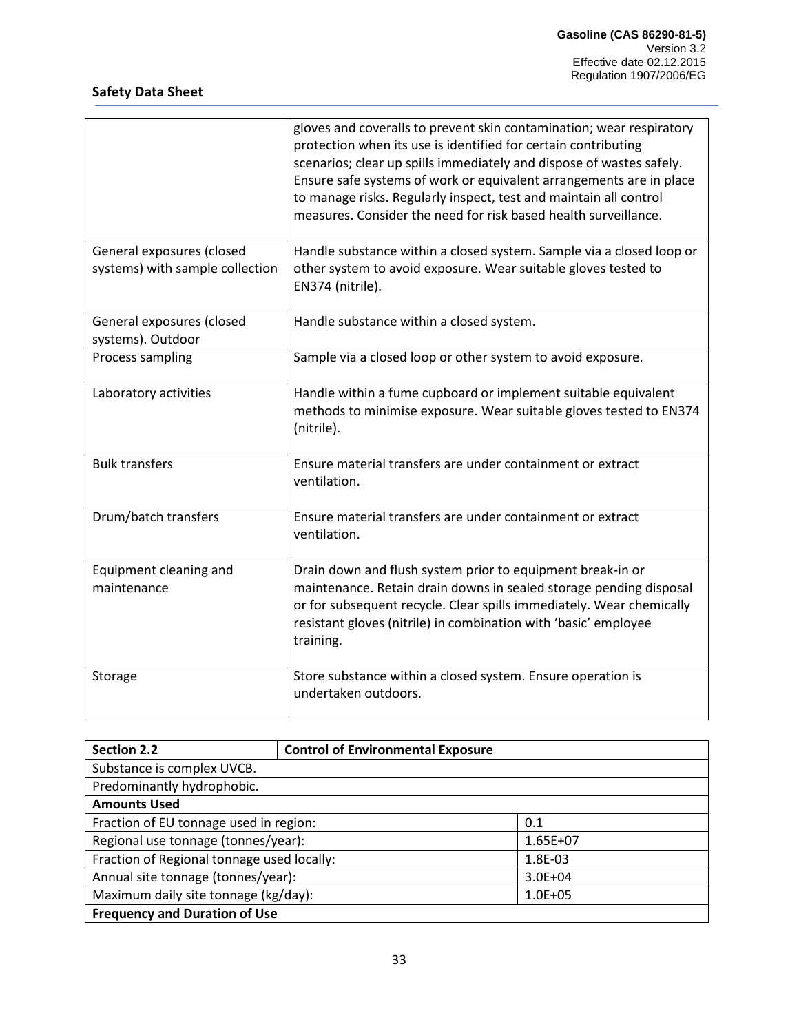|                                                              | gloves and coveralls to prevent skin contamination; wear respiratory<br>protection when its use is identified for certain contributing<br>scenarios; clear up spills immediately and dispose of wastes safely.<br>Ensure safe systems of work or equivalent arrangements are in place<br>to manage risks. Regularly inspect, test and maintain all control<br>measures. Consider the need for risk based health surveillance. |
|--------------------------------------------------------------|-------------------------------------------------------------------------------------------------------------------------------------------------------------------------------------------------------------------------------------------------------------------------------------------------------------------------------------------------------------------------------------------------------------------------------|
| General exposures (closed<br>systems) with sample collection | Handle substance within a closed system. Sample via a closed loop or<br>other system to avoid exposure. Wear suitable gloves tested to<br>EN374 (nitrile).                                                                                                                                                                                                                                                                    |
| General exposures (closed<br>systems). Outdoor               | Handle substance within a closed system.                                                                                                                                                                                                                                                                                                                                                                                      |
| Process sampling                                             | Sample via a closed loop or other system to avoid exposure.                                                                                                                                                                                                                                                                                                                                                                   |
| Laboratory activities                                        | Handle within a fume cupboard or implement suitable equivalent<br>methods to minimise exposure. Wear suitable gloves tested to EN374<br>(nitrile).                                                                                                                                                                                                                                                                            |
| <b>Bulk transfers</b>                                        | Ensure material transfers are under containment or extract<br>ventilation.                                                                                                                                                                                                                                                                                                                                                    |
| Drum/batch transfers                                         | Ensure material transfers are under containment or extract<br>ventilation.                                                                                                                                                                                                                                                                                                                                                    |
| Equipment cleaning and<br>maintenance                        | Drain down and flush system prior to equipment break-in or<br>maintenance. Retain drain downs in sealed storage pending disposal<br>or for subsequent recycle. Clear spills immediately. Wear chemically<br>resistant gloves (nitrile) in combination with 'basic' employee<br>training.                                                                                                                                      |
| Storage                                                      | Store substance within a closed system. Ensure operation is<br>undertaken outdoors.                                                                                                                                                                                                                                                                                                                                           |

| <b>Section 2.2</b>                         | <b>Control of Environmental Exposure</b> |              |
|--------------------------------------------|------------------------------------------|--------------|
| Substance is complex UVCB.                 |                                          |              |
| Predominantly hydrophobic.                 |                                          |              |
| <b>Amounts Used</b>                        |                                          |              |
| Fraction of EU tonnage used in region:     |                                          | 0.1          |
| Regional use tonnage (tonnes/year):        |                                          | $1.65E + 07$ |
| Fraction of Regional tonnage used locally: |                                          | 1.8E-03      |
| Annual site tonnage (tonnes/year):         |                                          | $3.0E + 04$  |
| Maximum daily site tonnage (kg/day):       |                                          | $1.0E + 05$  |
| <b>Frequency and Duration of Use</b>       |                                          |              |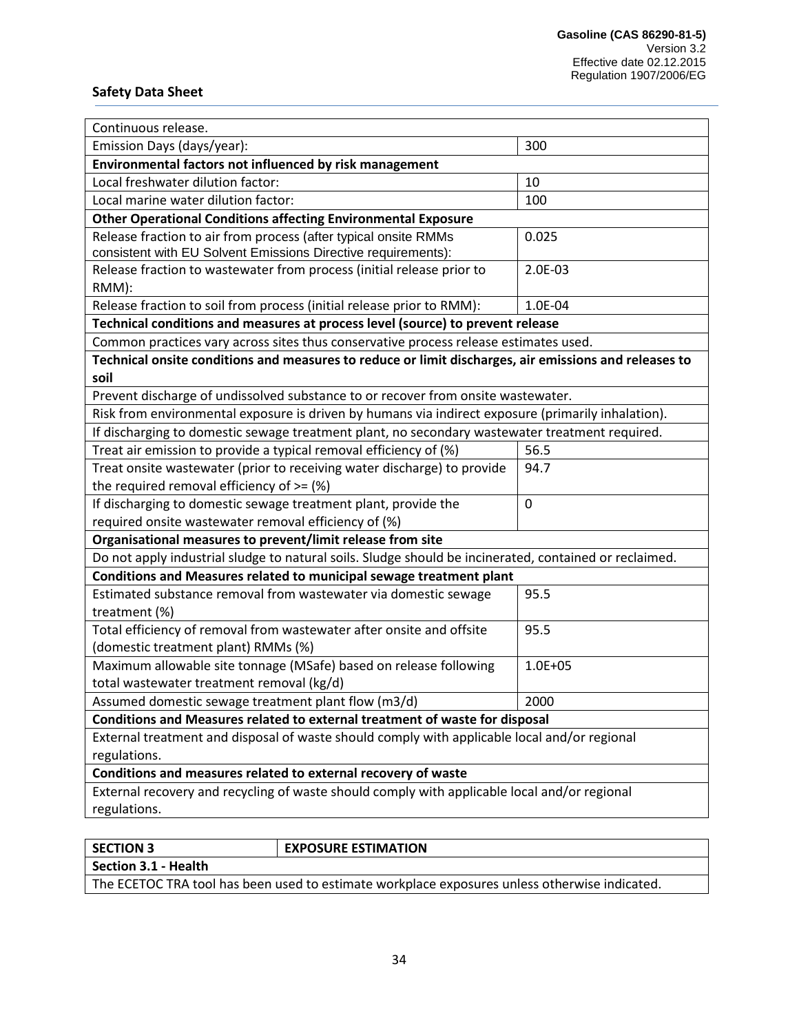| Continuous release.                                                                                    |             |
|--------------------------------------------------------------------------------------------------------|-------------|
| Emission Days (days/year):                                                                             | 300         |
| Environmental factors not influenced by risk management                                                |             |
| Local freshwater dilution factor:                                                                      | 10          |
| Local marine water dilution factor:                                                                    | 100         |
| <b>Other Operational Conditions affecting Environmental Exposure</b>                                   |             |
| Release fraction to air from process (after typical onsite RMMs                                        | 0.025       |
| consistent with EU Solvent Emissions Directive requirements):                                          |             |
| Release fraction to wastewater from process (initial release prior to                                  | 2.0E-03     |
| RMM):                                                                                                  |             |
| Release fraction to soil from process (initial release prior to RMM):                                  | 1.0E-04     |
| Technical conditions and measures at process level (source) to prevent release                         |             |
| Common practices vary across sites thus conservative process release estimates used.                   |             |
| Technical onsite conditions and measures to reduce or limit discharges, air emissions and releases to  |             |
| soil                                                                                                   |             |
| Prevent discharge of undissolved substance to or recover from onsite wastewater.                       |             |
| Risk from environmental exposure is driven by humans via indirect exposure (primarily inhalation).     |             |
| If discharging to domestic sewage treatment plant, no secondary wastewater treatment required.         |             |
| Treat air emission to provide a typical removal efficiency of (%)                                      | 56.5        |
| Treat onsite wastewater (prior to receiving water discharge) to provide                                | 94.7        |
| the required removal efficiency of $>=(\%)$                                                            |             |
| If discharging to domestic sewage treatment plant, provide the                                         | $\mathbf 0$ |
| required onsite wastewater removal efficiency of (%)                                                   |             |
| Organisational measures to prevent/limit release from site                                             |             |
| Do not apply industrial sludge to natural soils. Sludge should be incinerated, contained or reclaimed. |             |
| Conditions and Measures related to municipal sewage treatment plant                                    |             |
| Estimated substance removal from wastewater via domestic sewage                                        | 95.5        |
| treatment (%)                                                                                          |             |
| Total efficiency of removal from wastewater after onsite and offsite                                   | 95.5        |
| (domestic treatment plant) RMMs (%)                                                                    |             |
| Maximum allowable site tonnage (MSafe) based on release following                                      | $1.0E + 05$ |
| total wastewater treatment removal (kg/d)                                                              |             |
| Assumed domestic sewage treatment plant flow (m3/d)                                                    | 2000        |
| <b>Conditions and Measures related to external treatment of waste for disposal</b>                     |             |
| External treatment and disposal of waste should comply with applicable local and/or regional           |             |
| regulations.                                                                                           |             |
| Conditions and measures related to external recovery of waste                                          |             |
| External recovery and recycling of waste should comply with applicable local and/or regional           |             |
| regulations.                                                                                           |             |

| l SECTION 3                                                                                   | <b>EXPOSURE ESTIMATION</b> |
|-----------------------------------------------------------------------------------------------|----------------------------|
| Section 3.1 - Health                                                                          |                            |
| The ECETOC TRA tool has been used to estimate workplace exposures unless otherwise indicated. |                            |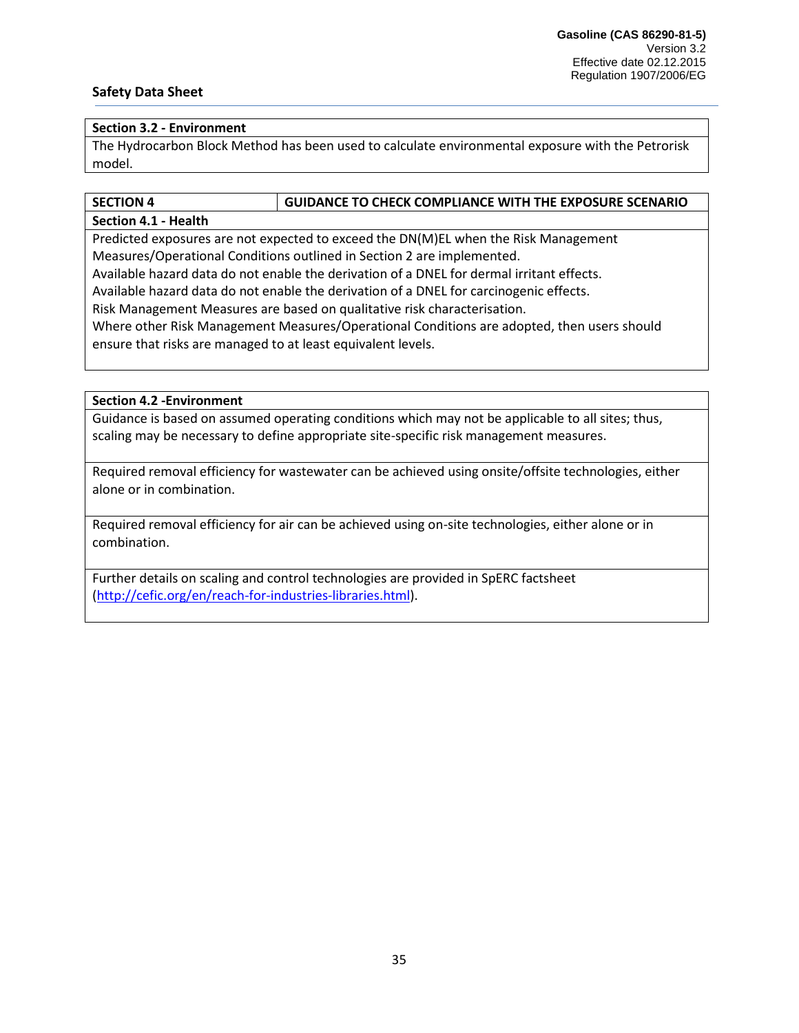# **Section 3.2 - Environment**

The Hydrocarbon Block Method has been used to calculate environmental exposure with the Petrorisk model.

# **SECTION 4 GUIDANCE TO CHECK COMPLIANCE WITH THE EXPOSURE SCENARIO**

# **Section 4.1 - Health**

Predicted exposures are not expected to exceed the DN(M)EL when the Risk Management Measures/Operational Conditions outlined in Section 2 are implemented. Available hazard data do not enable the derivation of a DNEL for dermal irritant effects. Available hazard data do not enable the derivation of a DNEL for carcinogenic effects. Risk Management Measures are based on qualitative risk characterisation. Where other Risk Management Measures/Operational Conditions are adopted, then users should ensure that risks are managed to at least equivalent levels.

# **Section 4.2 -Environment**

Guidance is based on assumed operating conditions which may not be applicable to all sites; thus, scaling may be necessary to define appropriate site-specific risk management measures.

Required removal efficiency for wastewater can be achieved using onsite/offsite technologies, either alone or in combination.

Required removal efficiency for air can be achieved using on-site technologies, either alone or in combination.

Further details on scaling and control technologies are provided in SpERC factsheet [\(http://cefic.org/en/reach-for-industries-libraries.html\)](http://cefic.org/en/reach-for-industries-libraries.html).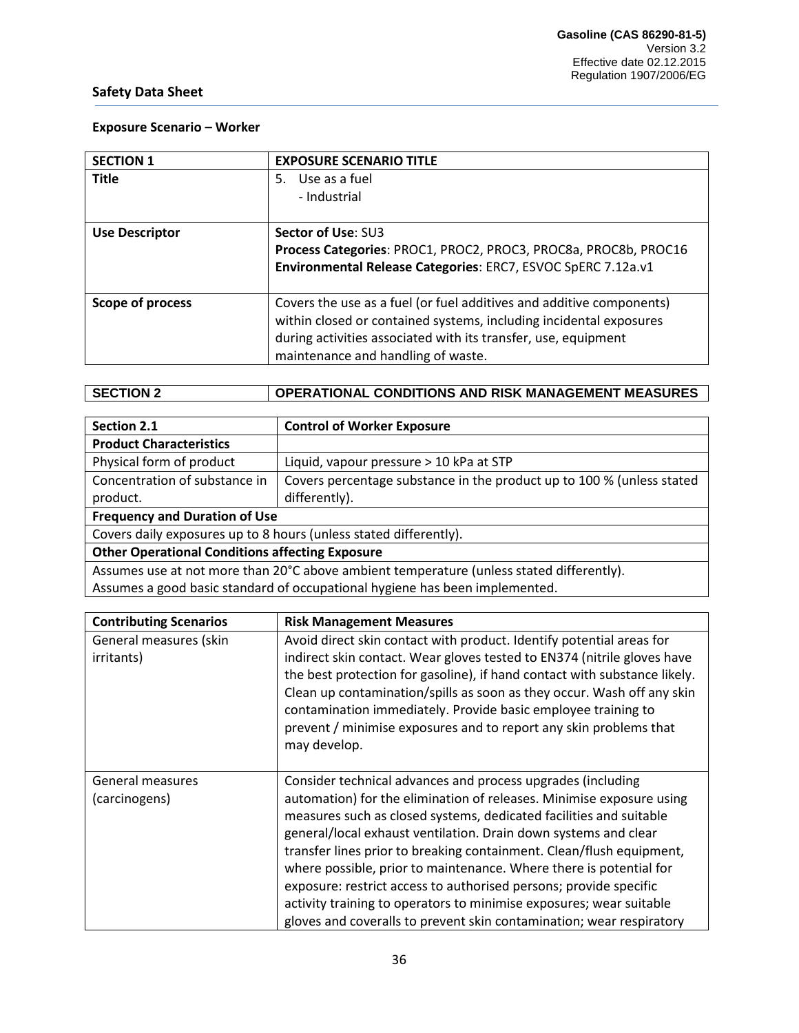# **Exposure Scenario – Worker**

| <b>SECTION 1</b>      | <b>EXPOSURE SCENARIO TITLE</b>                                       |
|-----------------------|----------------------------------------------------------------------|
| <b>Title</b>          | 5. Use as a fuel<br>- Industrial                                     |
|                       |                                                                      |
| <b>Use Descriptor</b> | Sector of Use: SU3                                                   |
|                       | Process Categories: PROC1, PROC2, PROC3, PROC8a, PROC8b, PROC16      |
|                       | Environmental Release Categories: ERC7, ESVOC SpERC 7.12a.v1         |
|                       |                                                                      |
| Scope of process      | Covers the use as a fuel (or fuel additives and additive components) |
|                       | within closed or contained systems, including incidental exposures   |
|                       | during activities associated with its transfer, use, equipment       |
|                       | maintenance and handling of waste.                                   |

# **SECTION 2 OPERATIONAL CONDITIONS AND RISK MANAGEMENT MEASURES**

| <b>Section 2.1</b>                                                                       | <b>Control of Worker Exposure</b>                                     |  |
|------------------------------------------------------------------------------------------|-----------------------------------------------------------------------|--|
| <b>Product Characteristics</b>                                                           |                                                                       |  |
| Physical form of product                                                                 | Liquid, vapour pressure > 10 kPa at STP                               |  |
| Concentration of substance in                                                            | Covers percentage substance in the product up to 100 % (unless stated |  |
| product.                                                                                 | differently).                                                         |  |
| <b>Frequency and Duration of Use</b>                                                     |                                                                       |  |
| Covers daily exposures up to 8 hours (unless stated differently).                        |                                                                       |  |
| <b>Other Operational Conditions affecting Exposure</b>                                   |                                                                       |  |
| Assumes use at not more than 20°C above ambient temperature (unless stated differently). |                                                                       |  |
| Assumes a good basic standard of occupational hygiene has been implemented.              |                                                                       |  |

| <b>Contributing Scenarios</b>        | <b>Risk Management Measures</b>                                                                                                                                                                                                                                                                                                                                                                                                                                                                                                                                                                                                                |
|--------------------------------------|------------------------------------------------------------------------------------------------------------------------------------------------------------------------------------------------------------------------------------------------------------------------------------------------------------------------------------------------------------------------------------------------------------------------------------------------------------------------------------------------------------------------------------------------------------------------------------------------------------------------------------------------|
| General measures (skin<br>irritants) | Avoid direct skin contact with product. Identify potential areas for<br>indirect skin contact. Wear gloves tested to EN374 (nitrile gloves have<br>the best protection for gasoline), if hand contact with substance likely.<br>Clean up contamination/spills as soon as they occur. Wash off any skin<br>contamination immediately. Provide basic employee training to<br>prevent / minimise exposures and to report any skin problems that<br>may develop.                                                                                                                                                                                   |
| General measures<br>(carcinogens)    | Consider technical advances and process upgrades (including<br>automation) for the elimination of releases. Minimise exposure using<br>measures such as closed systems, dedicated facilities and suitable<br>general/local exhaust ventilation. Drain down systems and clear<br>transfer lines prior to breaking containment. Clean/flush equipment,<br>where possible, prior to maintenance. Where there is potential for<br>exposure: restrict access to authorised persons; provide specific<br>activity training to operators to minimise exposures; wear suitable<br>gloves and coveralls to prevent skin contamination; wear respiratory |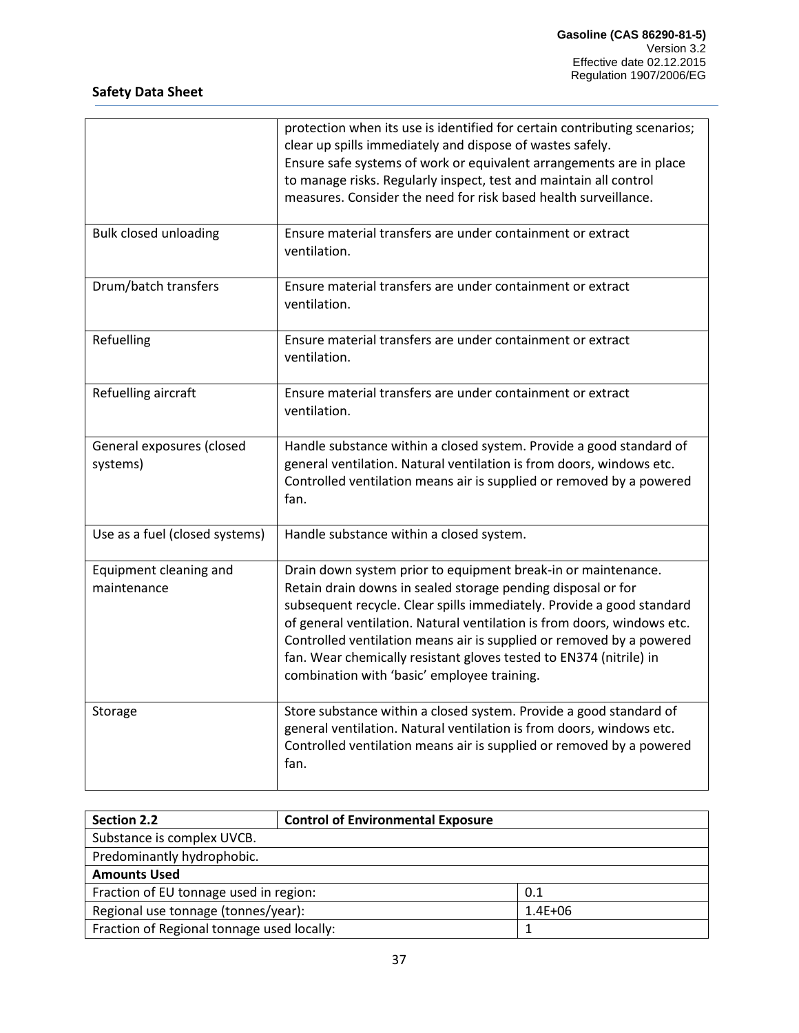|                                       | protection when its use is identified for certain contributing scenarios;<br>clear up spills immediately and dispose of wastes safely.<br>Ensure safe systems of work or equivalent arrangements are in place<br>to manage risks. Regularly inspect, test and maintain all control<br>measures. Consider the need for risk based health surveillance.                                                                                                                          |
|---------------------------------------|--------------------------------------------------------------------------------------------------------------------------------------------------------------------------------------------------------------------------------------------------------------------------------------------------------------------------------------------------------------------------------------------------------------------------------------------------------------------------------|
| <b>Bulk closed unloading</b>          | Ensure material transfers are under containment or extract<br>ventilation.                                                                                                                                                                                                                                                                                                                                                                                                     |
| Drum/batch transfers                  | Ensure material transfers are under containment or extract<br>ventilation.                                                                                                                                                                                                                                                                                                                                                                                                     |
| Refuelling                            | Ensure material transfers are under containment or extract<br>ventilation.                                                                                                                                                                                                                                                                                                                                                                                                     |
| Refuelling aircraft                   | Ensure material transfers are under containment or extract<br>ventilation.                                                                                                                                                                                                                                                                                                                                                                                                     |
| General exposures (closed<br>systems) | Handle substance within a closed system. Provide a good standard of<br>general ventilation. Natural ventilation is from doors, windows etc.<br>Controlled ventilation means air is supplied or removed by a powered<br>fan.                                                                                                                                                                                                                                                    |
| Use as a fuel (closed systems)        | Handle substance within a closed system.                                                                                                                                                                                                                                                                                                                                                                                                                                       |
| Equipment cleaning and<br>maintenance | Drain down system prior to equipment break-in or maintenance.<br>Retain drain downs in sealed storage pending disposal or for<br>subsequent recycle. Clear spills immediately. Provide a good standard<br>of general ventilation. Natural ventilation is from doors, windows etc.<br>Controlled ventilation means air is supplied or removed by a powered<br>fan. Wear chemically resistant gloves tested to EN374 (nitrile) in<br>combination with 'basic' employee training. |
| Storage                               | Store substance within a closed system. Provide a good standard of<br>general ventilation. Natural ventilation is from doors, windows etc.<br>Controlled ventilation means air is supplied or removed by a powered<br>fan.                                                                                                                                                                                                                                                     |

| Section 2.2                                   | <b>Control of Environmental Exposure</b> |             |
|-----------------------------------------------|------------------------------------------|-------------|
| Substance is complex UVCB.                    |                                          |             |
| Predominantly hydrophobic.                    |                                          |             |
| <b>Amounts Used</b>                           |                                          |             |
| Fraction of EU tonnage used in region:<br>0.1 |                                          |             |
| Regional use tonnage (tonnes/year):           |                                          | $1.4E + 06$ |
| Fraction of Regional tonnage used locally:    |                                          |             |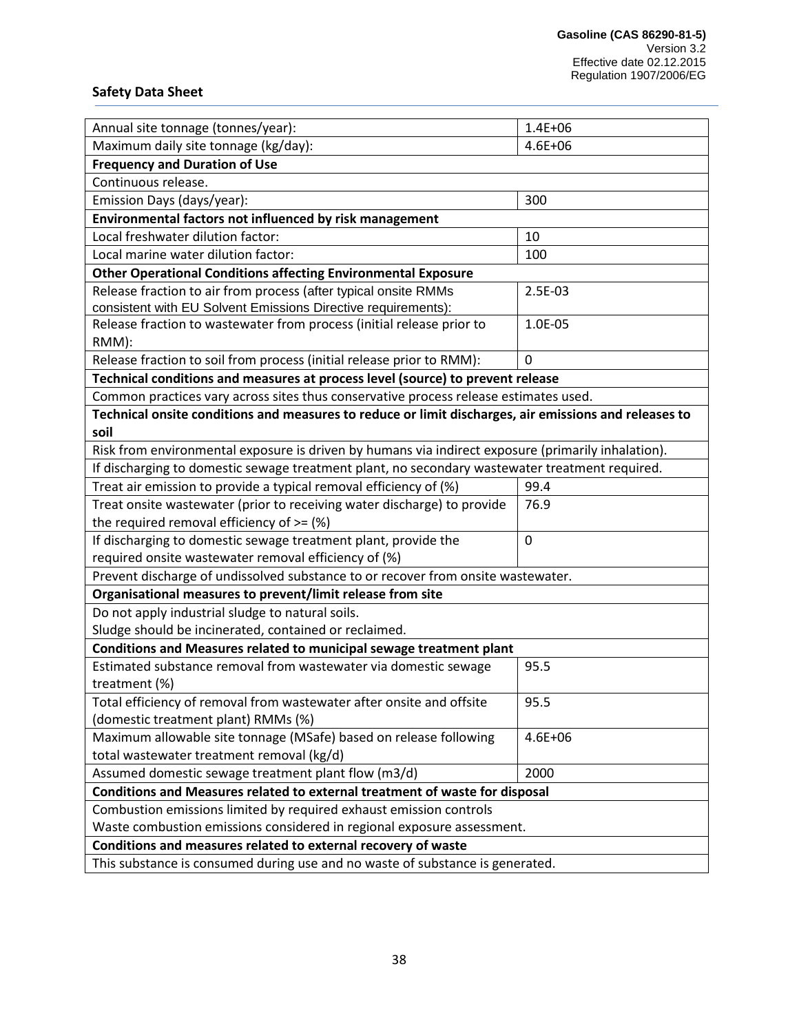| Annual site tonnage (tonnes/year):                                                                    | $1.4E + 06$ |
|-------------------------------------------------------------------------------------------------------|-------------|
| Maximum daily site tonnage (kg/day):                                                                  | $4.6E + 06$ |
| <b>Frequency and Duration of Use</b>                                                                  |             |
| Continuous release.                                                                                   |             |
| Emission Days (days/year):                                                                            | 300         |
| Environmental factors not influenced by risk management                                               |             |
| Local freshwater dilution factor:                                                                     | 10          |
| Local marine water dilution factor:                                                                   | 100         |
| <b>Other Operational Conditions affecting Environmental Exposure</b>                                  |             |
| Release fraction to air from process (after typical onsite RMMs                                       | 2.5E-03     |
| consistent with EU Solvent Emissions Directive requirements):                                         |             |
| Release fraction to wastewater from process (initial release prior to                                 | 1.0E-05     |
| RMM):                                                                                                 |             |
| Release fraction to soil from process (initial release prior to RMM):                                 | $\Omega$    |
| Technical conditions and measures at process level (source) to prevent release                        |             |
| Common practices vary across sites thus conservative process release estimates used.                  |             |
| Technical onsite conditions and measures to reduce or limit discharges, air emissions and releases to |             |
| soil                                                                                                  |             |
| Risk from environmental exposure is driven by humans via indirect exposure (primarily inhalation).    |             |
| If discharging to domestic sewage treatment plant, no secondary wastewater treatment required.        |             |
| Treat air emission to provide a typical removal efficiency of (%)                                     | 99.4        |
| Treat onsite wastewater (prior to receiving water discharge) to provide                               | 76.9        |
| the required removal efficiency of $>=(\%)$                                                           |             |
| If discharging to domestic sewage treatment plant, provide the                                        | $\mathbf 0$ |
| required onsite wastewater removal efficiency of (%)                                                  |             |
| Prevent discharge of undissolved substance to or recover from onsite wastewater.                      |             |
| Organisational measures to prevent/limit release from site                                            |             |
| Do not apply industrial sludge to natural soils.                                                      |             |
| Sludge should be incinerated, contained or reclaimed.                                                 |             |
| Conditions and Measures related to municipal sewage treatment plant                                   |             |
| Estimated substance removal from wastewater via domestic sewage                                       | 95.5        |
| treatment (%)                                                                                         |             |
| Total efficiency of removal from wastewater after onsite and offsite                                  | 95.5        |
| (domestic treatment plant) RMMs (%)                                                                   |             |
| Maximum allowable site tonnage (MSafe) based on release following                                     | 4.6E+06     |
| total wastewater treatment removal (kg/d)                                                             |             |
| Assumed domestic sewage treatment plant flow (m3/d)                                                   | 2000        |
| Conditions and Measures related to external treatment of waste for disposal                           |             |
| Combustion emissions limited by required exhaust emission controls                                    |             |
| Waste combustion emissions considered in regional exposure assessment.                                |             |
| Conditions and measures related to external recovery of waste                                         |             |
| This substance is consumed during use and no waste of substance is generated.                         |             |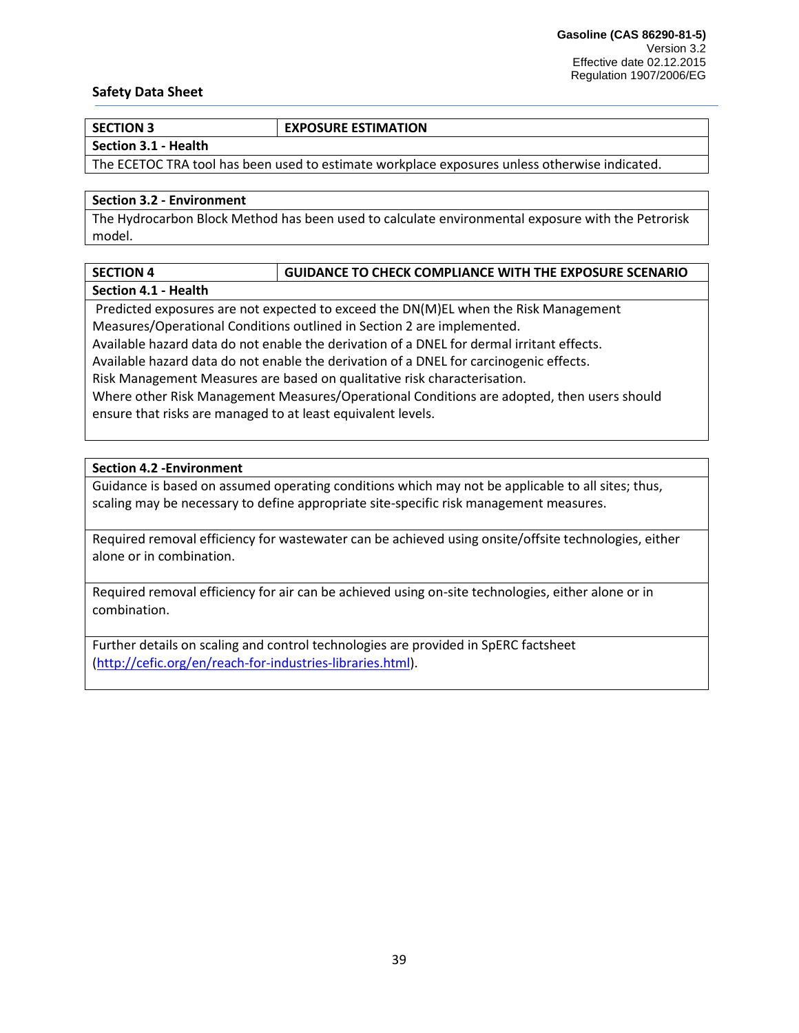| <b>SECTION 3</b>                      | <b>EXPOSURE ESTIMATION</b> |
|---------------------------------------|----------------------------|
| Section 3.1 - Health                  |                            |
| $-1$<br>$- - - - - - - - - - - - - -$ | .                          |

The ECETOC TRA tool has been used to estimate workplace exposures unless otherwise indicated.

# **Section 3.2 - Environment**

The Hydrocarbon Block Method has been used to calculate environmental exposure with the Petrorisk model.

# **SECTION 4 GUIDANCE TO CHECK COMPLIANCE WITH THE EXPOSURE SCENARIO**

# **Section 4.1 - Health**

Predicted exposures are not expected to exceed the DN(M)EL when the Risk Management Measures/Operational Conditions outlined in Section 2 are implemented.

Available hazard data do not enable the derivation of a DNEL for dermal irritant effects.

Available hazard data do not enable the derivation of a DNEL for carcinogenic effects.

Risk Management Measures are based on qualitative risk characterisation.

Where other Risk Management Measures/Operational Conditions are adopted, then users should ensure that risks are managed to at least equivalent levels.

# **Section 4.2 -Environment**

Guidance is based on assumed operating conditions which may not be applicable to all sites; thus, scaling may be necessary to define appropriate site-specific risk management measures.

Required removal efficiency for wastewater can be achieved using onsite/offsite technologies, either alone or in combination.

Required removal efficiency for air can be achieved using on-site technologies, either alone or in combination.

Further details on scaling and control technologies are provided in SpERC factsheet [\(http://cefic.org/en/reach-for-industries-libraries.html\)](http://cefic.org/en/reach-for-industries-libraries.html).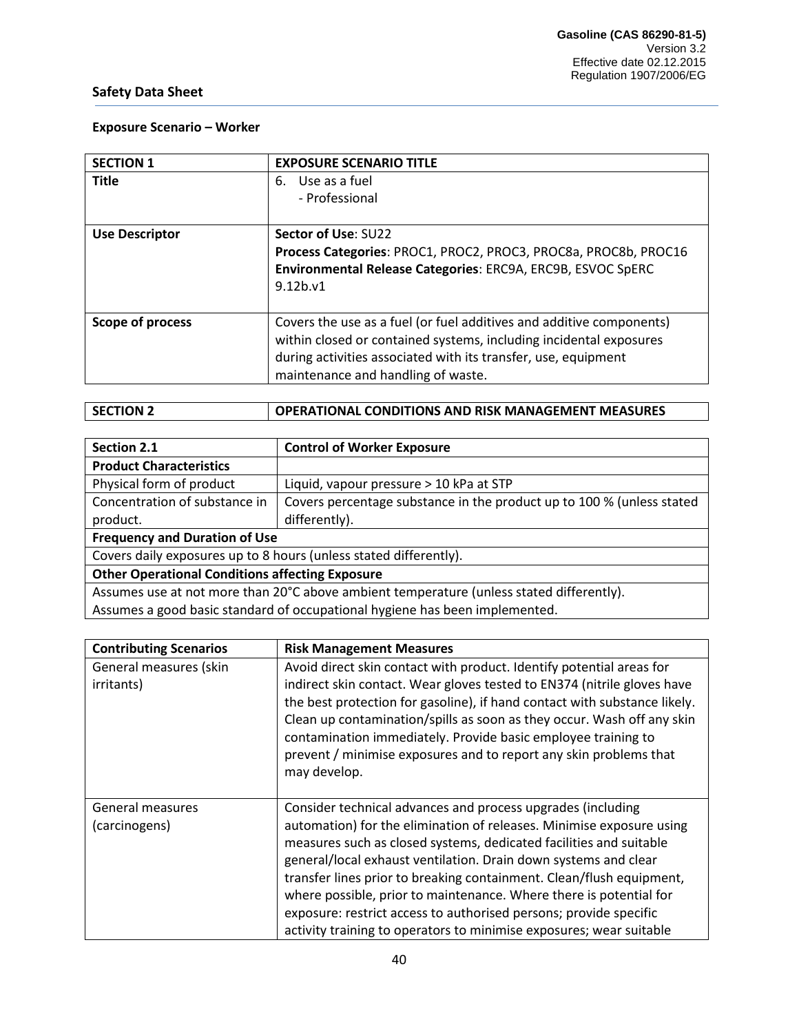# **Exposure Scenario – Worker**

| <b>SECTION 1</b>      | <b>EXPOSURE SCENARIO TITLE</b>                                                                                                                                                                                                                     |
|-----------------------|----------------------------------------------------------------------------------------------------------------------------------------------------------------------------------------------------------------------------------------------------|
| <b>Title</b>          | 6. Use as a fuel<br>- Professional                                                                                                                                                                                                                 |
| <b>Use Descriptor</b> | Sector of Use: SU22<br>Process Categories: PROC1, PROC2, PROC3, PROC8a, PROC8b, PROC16<br>Environmental Release Categories: ERC9A, ERC9B, ESVOC SpERC<br>9.12 <sub>b.v1</sub>                                                                      |
| Scope of process      | Covers the use as a fuel (or fuel additives and additive components)<br>within closed or contained systems, including incidental exposures<br>during activities associated with its transfer, use, equipment<br>maintenance and handling of waste. |

| <b>SECTION 2</b> | OPERATIONAL CONDITIONS AND RISK MANAGEMENT MEASURES |
|------------------|-----------------------------------------------------|
|                  |                                                     |

| Section 2.1                                                                              | <b>Control of Worker Exposure</b>                                     |  |
|------------------------------------------------------------------------------------------|-----------------------------------------------------------------------|--|
| <b>Product Characteristics</b>                                                           |                                                                       |  |
| Physical form of product                                                                 | Liquid, vapour pressure > 10 kPa at STP                               |  |
| Concentration of substance in                                                            | Covers percentage substance in the product up to 100 % (unless stated |  |
| product.                                                                                 | differently).                                                         |  |
| <b>Frequency and Duration of Use</b>                                                     |                                                                       |  |
| Covers daily exposures up to 8 hours (unless stated differently).                        |                                                                       |  |
| <b>Other Operational Conditions affecting Exposure</b>                                   |                                                                       |  |
| Assumes use at not more than 20°C above ambient temperature (unless stated differently). |                                                                       |  |
| Assumes a good basic standard of occupational hygiene has been implemented.              |                                                                       |  |

| <b>Contributing Scenarios</b>        | <b>Risk Management Measures</b>                                                                                                                                                                                                                                                                                                                                                                                                                              |  |
|--------------------------------------|--------------------------------------------------------------------------------------------------------------------------------------------------------------------------------------------------------------------------------------------------------------------------------------------------------------------------------------------------------------------------------------------------------------------------------------------------------------|--|
| General measures (skin<br>irritants) | Avoid direct skin contact with product. Identify potential areas for<br>indirect skin contact. Wear gloves tested to EN374 (nitrile gloves have<br>the best protection for gasoline), if hand contact with substance likely.<br>Clean up contamination/spills as soon as they occur. Wash off any skin<br>contamination immediately. Provide basic employee training to<br>prevent / minimise exposures and to report any skin problems that<br>may develop. |  |
| General measures                     | Consider technical advances and process upgrades (including                                                                                                                                                                                                                                                                                                                                                                                                  |  |
| (carcinogens)                        | automation) for the elimination of releases. Minimise exposure using<br>measures such as closed systems, dedicated facilities and suitable<br>general/local exhaust ventilation. Drain down systems and clear<br>transfer lines prior to breaking containment. Clean/flush equipment,<br>where possible, prior to maintenance. Where there is potential for                                                                                                  |  |
|                                      | exposure: restrict access to authorised persons; provide specific<br>activity training to operators to minimise exposures; wear suitable                                                                                                                                                                                                                                                                                                                     |  |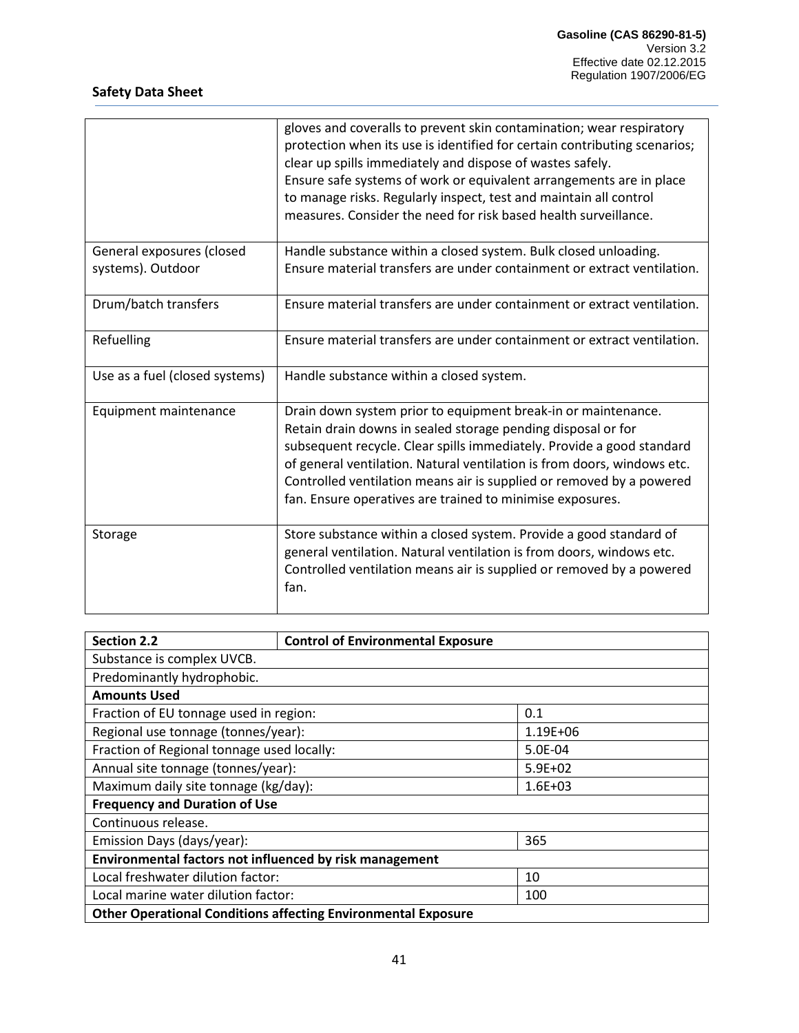|                                                | gloves and coveralls to prevent skin contamination; wear respiratory<br>protection when its use is identified for certain contributing scenarios;<br>clear up spills immediately and dispose of wastes safely.<br>Ensure safe systems of work or equivalent arrangements are in place<br>to manage risks. Regularly inspect, test and maintain all control<br>measures. Consider the need for risk based health surveillance. |
|------------------------------------------------|-------------------------------------------------------------------------------------------------------------------------------------------------------------------------------------------------------------------------------------------------------------------------------------------------------------------------------------------------------------------------------------------------------------------------------|
| General exposures (closed<br>systems). Outdoor | Handle substance within a closed system. Bulk closed unloading.<br>Ensure material transfers are under containment or extract ventilation.                                                                                                                                                                                                                                                                                    |
| Drum/batch transfers                           | Ensure material transfers are under containment or extract ventilation.                                                                                                                                                                                                                                                                                                                                                       |
| Refuelling                                     | Ensure material transfers are under containment or extract ventilation.                                                                                                                                                                                                                                                                                                                                                       |
| Use as a fuel (closed systems)                 | Handle substance within a closed system.                                                                                                                                                                                                                                                                                                                                                                                      |
| Equipment maintenance                          | Drain down system prior to equipment break-in or maintenance.<br>Retain drain downs in sealed storage pending disposal or for<br>subsequent recycle. Clear spills immediately. Provide a good standard<br>of general ventilation. Natural ventilation is from doors, windows etc.<br>Controlled ventilation means air is supplied or removed by a powered<br>fan. Ensure operatives are trained to minimise exposures.        |
| Storage                                        | Store substance within a closed system. Provide a good standard of<br>general ventilation. Natural ventilation is from doors, windows etc.<br>Controlled ventilation means air is supplied or removed by a powered<br>fan.                                                                                                                                                                                                    |

| <b>Section 2.2</b>                                                   | <b>Control of Environmental Exposure</b> |             |  |
|----------------------------------------------------------------------|------------------------------------------|-------------|--|
| Substance is complex UVCB.                                           |                                          |             |  |
| Predominantly hydrophobic.                                           |                                          |             |  |
| <b>Amounts Used</b>                                                  |                                          |             |  |
| Fraction of EU tonnage used in region:<br>0.1                        |                                          |             |  |
| Regional use tonnage (tonnes/year):<br>$1.19E + 06$                  |                                          |             |  |
| Fraction of Regional tonnage used locally:                           |                                          | 5.0E-04     |  |
| Annual site tonnage (tonnes/year):                                   |                                          | $5.9E + 02$ |  |
| Maximum daily site tonnage (kg/day):<br>$1.6E + 03$                  |                                          |             |  |
| <b>Frequency and Duration of Use</b>                                 |                                          |             |  |
| Continuous release.                                                  |                                          |             |  |
| Emission Days (days/year):<br>365                                    |                                          |             |  |
| Environmental factors not influenced by risk management              |                                          |             |  |
| Local freshwater dilution factor:                                    |                                          | 10          |  |
| Local marine water dilution factor:<br>100                           |                                          |             |  |
| <b>Other Operational Conditions affecting Environmental Exposure</b> |                                          |             |  |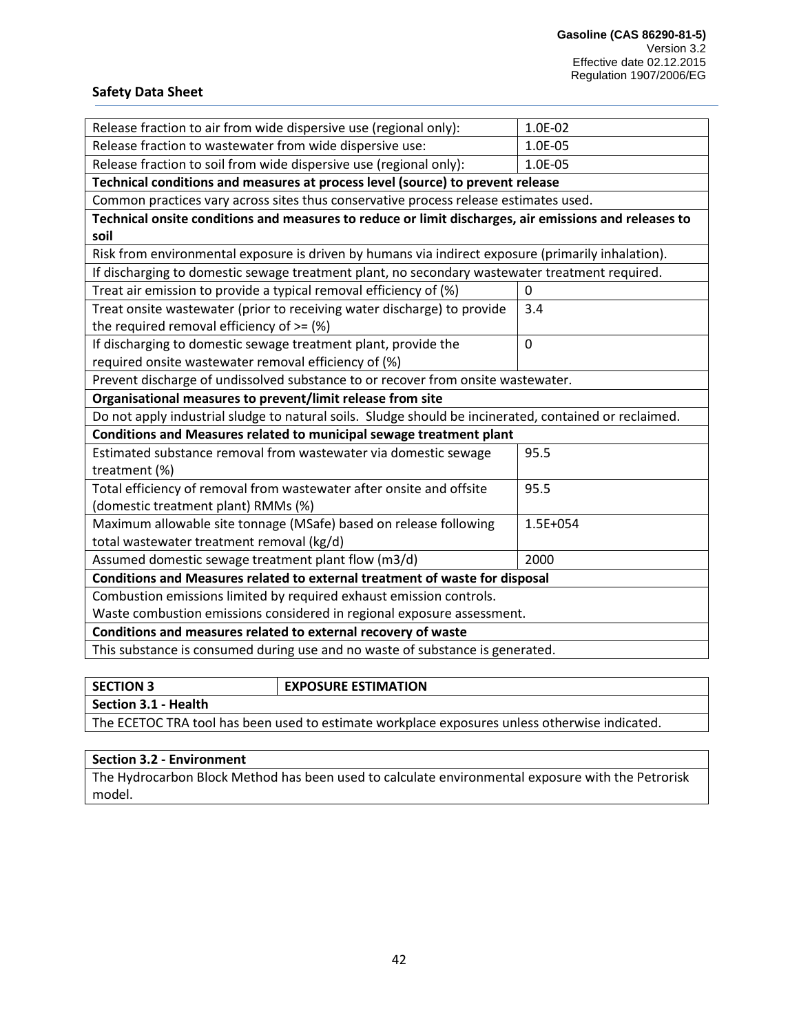| 1.0E-02                                                                                                |  |  |
|--------------------------------------------------------------------------------------------------------|--|--|
| 1.0E-05                                                                                                |  |  |
| 1.0E-05                                                                                                |  |  |
| Technical conditions and measures at process level (source) to prevent release                         |  |  |
| Common practices vary across sites thus conservative process release estimates used.                   |  |  |
| Technical onsite conditions and measures to reduce or limit discharges, air emissions and releases to  |  |  |
|                                                                                                        |  |  |
| Risk from environmental exposure is driven by humans via indirect exposure (primarily inhalation).     |  |  |
| If discharging to domestic sewage treatment plant, no secondary wastewater treatment required.         |  |  |
| $\mathbf{0}$                                                                                           |  |  |
| 3.4                                                                                                    |  |  |
|                                                                                                        |  |  |
| $\Omega$                                                                                               |  |  |
|                                                                                                        |  |  |
| Prevent discharge of undissolved substance to or recover from onsite wastewater.                       |  |  |
| Organisational measures to prevent/limit release from site                                             |  |  |
| Do not apply industrial sludge to natural soils. Sludge should be incinerated, contained or reclaimed. |  |  |
|                                                                                                        |  |  |
| 95.5                                                                                                   |  |  |
|                                                                                                        |  |  |
| 95.5                                                                                                   |  |  |
|                                                                                                        |  |  |
| 1.5E+054                                                                                               |  |  |
|                                                                                                        |  |  |
| 2000                                                                                                   |  |  |
| Conditions and Measures related to external treatment of waste for disposal                            |  |  |
|                                                                                                        |  |  |
|                                                                                                        |  |  |
| Waste combustion emissions considered in regional exposure assessment.                                 |  |  |
|                                                                                                        |  |  |
|                                                                                                        |  |  |

**SECTION 3** EXPOSURE ESTIMATION

**Section 3.1 - Health** 

The ECETOC TRA tool has been used to estimate workplace exposures unless otherwise indicated.

#### **Section 3.2 - Environment**

The Hydrocarbon Block Method has been used to calculate environmental exposure with the Petrorisk model.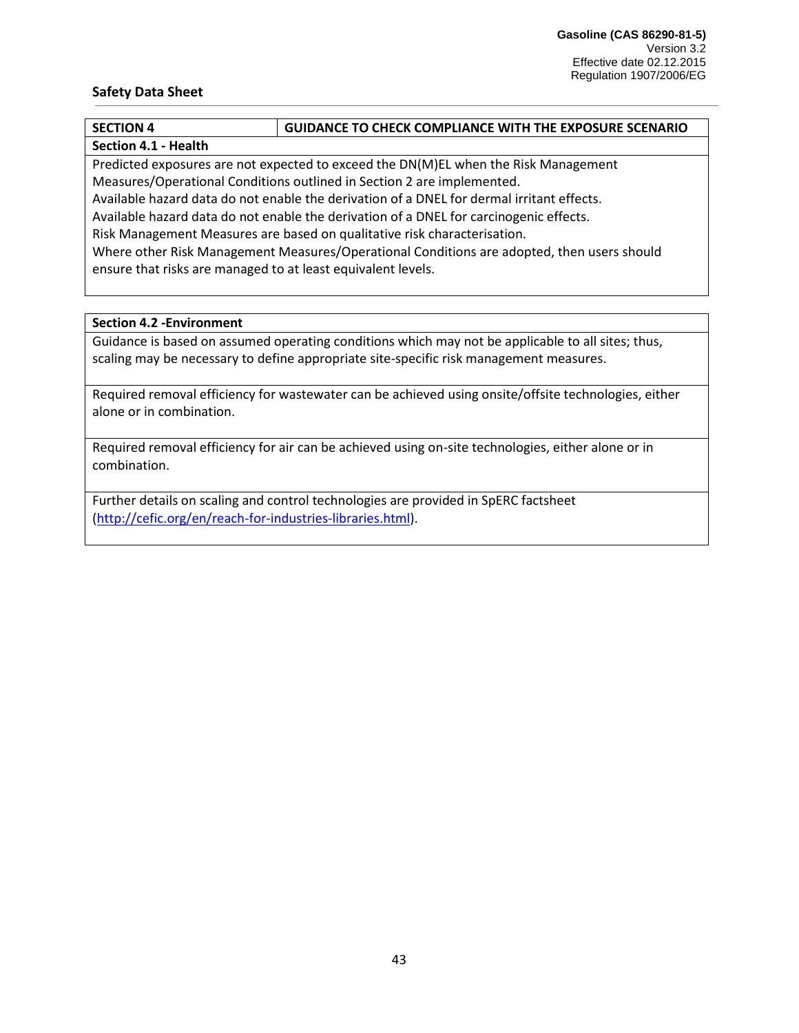| <b>SECTION 4</b>                                                                           | <b>GUIDANCE TO CHECK COMPLIANCE WITH THE EXPOSURE SCENARIO</b> |  |  |
|--------------------------------------------------------------------------------------------|----------------------------------------------------------------|--|--|
| Section 4.1 - Health                                                                       |                                                                |  |  |
| Predicted exposures are not expected to exceed the DN(M)EL when the Risk Management        |                                                                |  |  |
| Measures/Operational Conditions outlined in Section 2 are implemented.                     |                                                                |  |  |
| Available hazard data do not enable the derivation of a DNEL for dermal irritant effects.  |                                                                |  |  |
| Available hazard data do not enable the derivation of a DNEL for carcinogenic effects.     |                                                                |  |  |
| Risk Management Measures are based on qualitative risk characterisation.                   |                                                                |  |  |
| Where other Risk Management Measures/Operational Conditions are adopted, then users should |                                                                |  |  |
| ensure that risks are managed to at least equivalent levels.                               |                                                                |  |  |
|                                                                                            |                                                                |  |  |

# **Section 4.2 -Environment**

Guidance is based on assumed operating conditions which may not be applicable to all sites; thus, scaling may be necessary to define appropriate site-specific risk management measures.

Required removal efficiency for wastewater can be achieved using onsite/offsite technologies, either alone or in combination.

Required removal efficiency for air can be achieved using on-site technologies, either alone or in combination.

Further details on scaling and control technologies are provided in SpERC factsheet [\(http://cefic.org/en/reach-for-industries-libraries.html\)](http://cefic.org/en/reach-for-industries-libraries.html).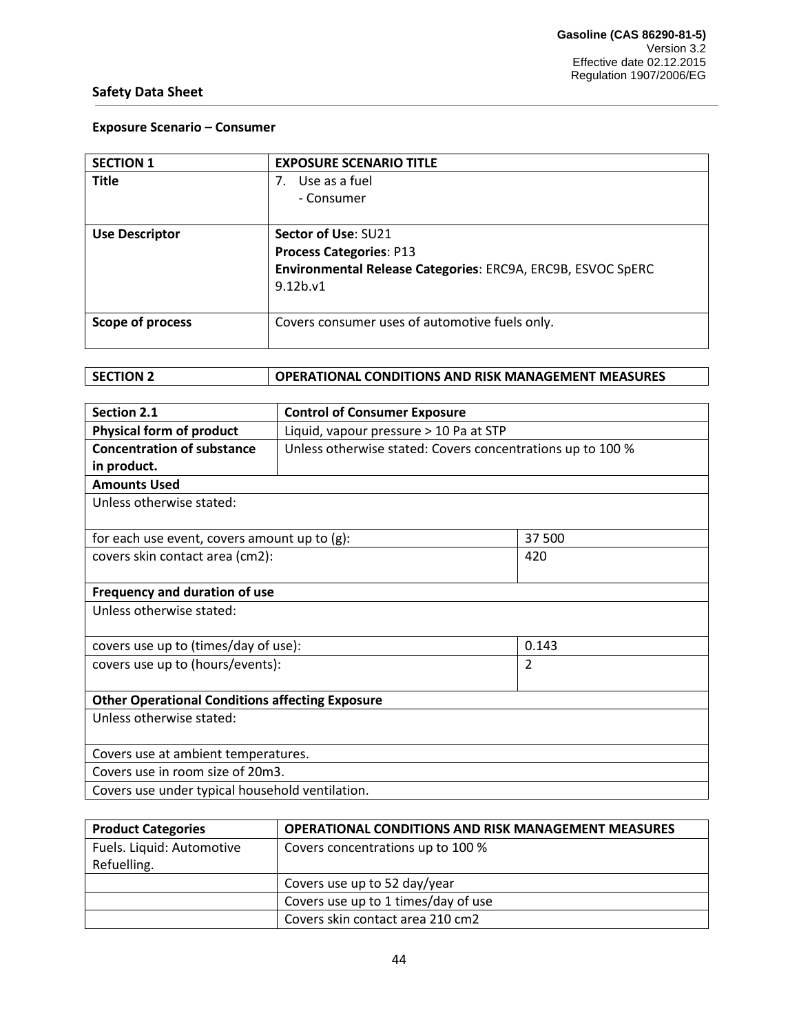# **Exposure Scenario – Consumer**

| <b>SECTION 1</b>      | <b>EXPOSURE SCENARIO TITLE</b>                                                                                                               |
|-----------------------|----------------------------------------------------------------------------------------------------------------------------------------------|
| <b>Title</b>          | Use as a fuel<br>7.<br>- Consumer                                                                                                            |
| <b>Use Descriptor</b> | Sector of Use: SU21<br><b>Process Categories: P13</b><br>Environmental Release Categories: ERC9A, ERC9B, ESVOC SpERC<br>9.12 <sub>b.v1</sub> |
| Scope of process      | Covers consumer uses of automotive fuels only.                                                                                               |

| <b>SECTION 2</b> | OPERATIONAL CONDITIONS AND RISK MANAGEMENT MEASURES |
|------------------|-----------------------------------------------------|
|                  |                                                     |

| <b>Section 2.1</b>                                     | <b>Control of Consumer Exposure</b>                        |     |  |
|--------------------------------------------------------|------------------------------------------------------------|-----|--|
| <b>Physical form of product</b>                        | Liquid, vapour pressure > 10 Pa at STP                     |     |  |
| <b>Concentration of substance</b>                      | Unless otherwise stated: Covers concentrations up to 100 % |     |  |
| in product.                                            |                                                            |     |  |
| <b>Amounts Used</b>                                    |                                                            |     |  |
| Unless otherwise stated:                               |                                                            |     |  |
|                                                        |                                                            |     |  |
| 37 500<br>for each use event, covers amount up to (g): |                                                            |     |  |
| covers skin contact area (cm2):                        |                                                            | 420 |  |
|                                                        |                                                            |     |  |
| Frequency and duration of use                          |                                                            |     |  |
| Unless otherwise stated:                               |                                                            |     |  |
|                                                        |                                                            |     |  |
| covers use up to (times/day of use):<br>0.143          |                                                            |     |  |
| covers use up to (hours/events):                       |                                                            | 2   |  |
|                                                        |                                                            |     |  |
| <b>Other Operational Conditions affecting Exposure</b> |                                                            |     |  |
| Unless otherwise stated:                               |                                                            |     |  |
|                                                        |                                                            |     |  |
| Covers use at ambient temperatures.                    |                                                            |     |  |
| Covers use in room size of 20m3.                       |                                                            |     |  |
| Covers use under typical household ventilation.        |                                                            |     |  |

| <b>Product Categories</b> | <b>OPERATIONAL CONDITIONS AND RISK MANAGEMENT MEASURES</b> |
|---------------------------|------------------------------------------------------------|
| Fuels. Liquid: Automotive | Covers concentrations up to 100 %                          |
| Refuelling.               |                                                            |
|                           | Covers use up to 52 day/year                               |
|                           | Covers use up to 1 times/day of use                        |
|                           | Covers skin contact area 210 cm2                           |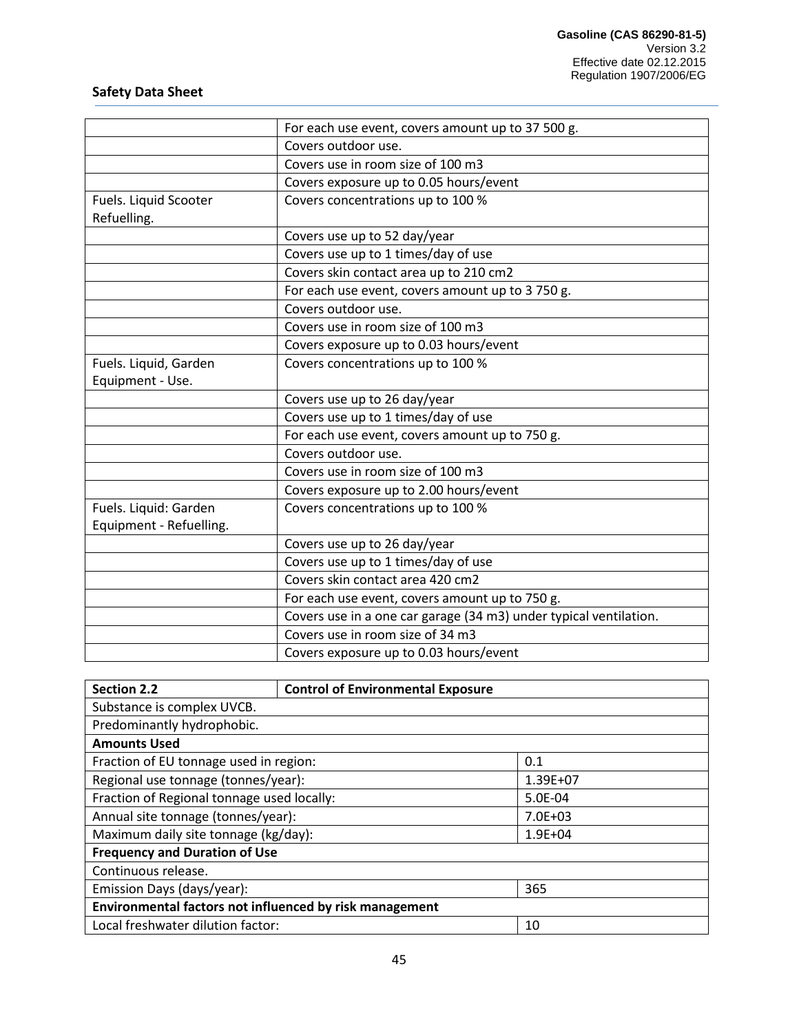|                         | For each use event, covers amount up to 37 500 g.                 |  |
|-------------------------|-------------------------------------------------------------------|--|
|                         | Covers outdoor use.                                               |  |
|                         | Covers use in room size of 100 m3                                 |  |
|                         | Covers exposure up to 0.05 hours/event                            |  |
| Fuels. Liquid Scooter   | Covers concentrations up to 100 %                                 |  |
| Refuelling.             |                                                                   |  |
|                         | Covers use up to 52 day/year                                      |  |
|                         | Covers use up to 1 times/day of use                               |  |
|                         | Covers skin contact area up to 210 cm2                            |  |
|                         | For each use event, covers amount up to 3750 g.                   |  |
|                         | Covers outdoor use.                                               |  |
|                         | Covers use in room size of 100 m3                                 |  |
|                         | Covers exposure up to 0.03 hours/event                            |  |
| Fuels. Liquid, Garden   | Covers concentrations up to 100 %                                 |  |
| Equipment - Use.        |                                                                   |  |
|                         | Covers use up to 26 day/year                                      |  |
|                         | Covers use up to 1 times/day of use                               |  |
|                         | For each use event, covers amount up to 750 g.                    |  |
|                         | Covers outdoor use.                                               |  |
|                         | Covers use in room size of 100 m3                                 |  |
|                         | Covers exposure up to 2.00 hours/event                            |  |
| Fuels. Liquid: Garden   | Covers concentrations up to 100 %                                 |  |
| Equipment - Refuelling. |                                                                   |  |
|                         | Covers use up to 26 day/year                                      |  |
|                         | Covers use up to 1 times/day of use                               |  |
|                         | Covers skin contact area 420 cm2                                  |  |
|                         | For each use event, covers amount up to 750 g.                    |  |
|                         | Covers use in a one car garage (34 m3) under typical ventilation. |  |
|                         | Covers use in room size of 34 m3                                  |  |
|                         | Covers exposure up to 0.03 hours/event                            |  |

| <b>Section 2.2</b>                                      | <b>Control of Environmental Exposure</b> |             |
|---------------------------------------------------------|------------------------------------------|-------------|
| Substance is complex UVCB.                              |                                          |             |
| Predominantly hydrophobic.                              |                                          |             |
| <b>Amounts Used</b>                                     |                                          |             |
| Fraction of EU tonnage used in region:<br>0.1           |                                          |             |
| Regional use tonnage (tonnes/year):                     |                                          | 1.39E+07    |
| Fraction of Regional tonnage used locally:              |                                          | 5.0E-04     |
| Annual site tonnage (tonnes/year):                      |                                          | $7.0E + 03$ |
| Maximum daily site tonnage (kg/day):                    |                                          | $1.9E + 04$ |
| <b>Frequency and Duration of Use</b>                    |                                          |             |
| Continuous release.                                     |                                          |             |
| Emission Days (days/year):<br>365                       |                                          |             |
| Environmental factors not influenced by risk management |                                          |             |
| Local freshwater dilution factor:<br>10                 |                                          |             |